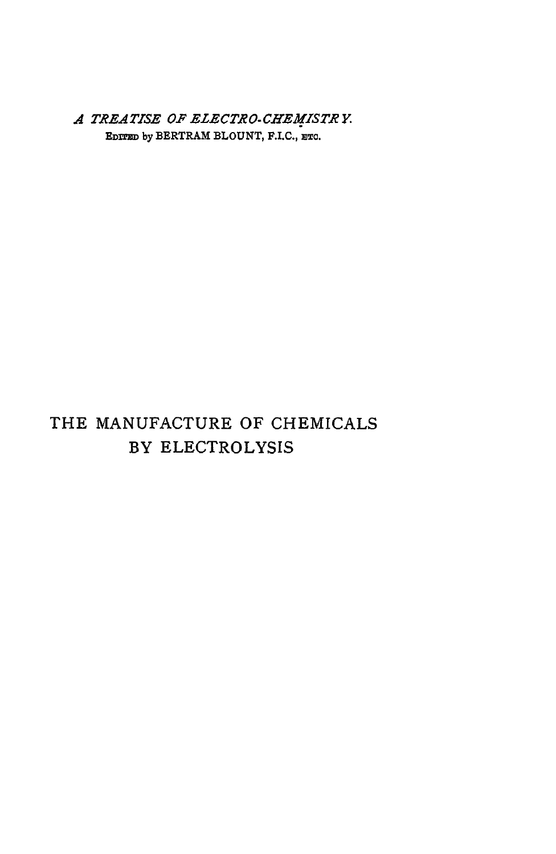*A TREATISE OF ELECTRO-CHEMISTRY,* **EDITED by BERTRAM BLOUNT, F.I.C., ETC.** 

# **T H E MANUFACTUR E O F CHEMICAL S B Y ELECTROLYSI S**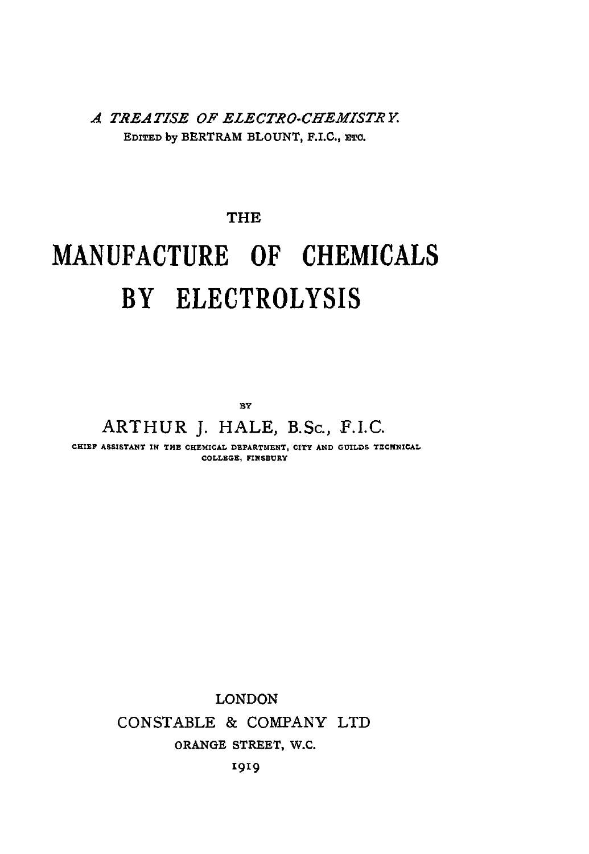*A TREATISE OF ELECTRO-CHEMISTRY.* EDITED by BERTRAM BLOUNT, F.I.C, ETC.

### **THE**

# **MANUFACTURE OF CHEMICALS B Y ELECTROLYSI S**

BY

### ARTHUR J. HALE, B.Sc., F.I.C.

CHIEF ASSISTANT IN THE CHEMICAL DEPARTMENT, CITY AND GUILDS TECHNICAL COLLEGE, FINSBURY

> LONDON CONSTABLE & COMPANY LTD ORANGE STREET, W.C. 1919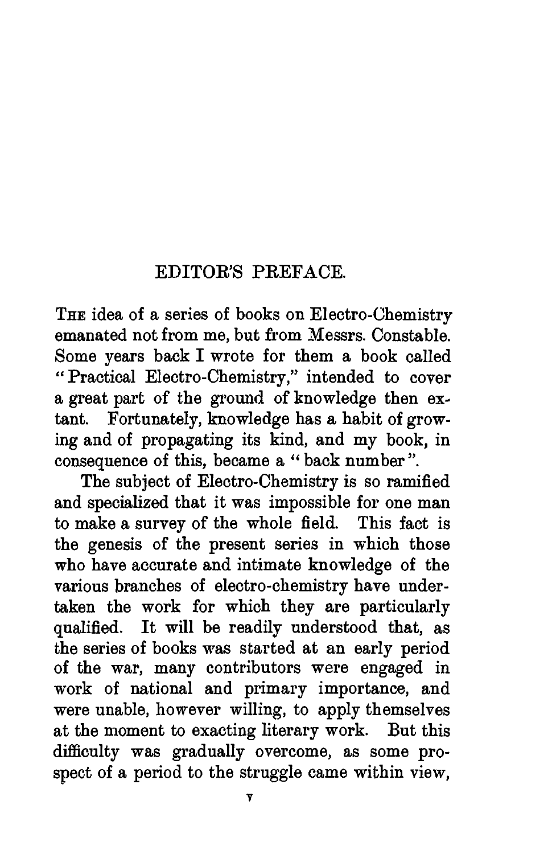# **EDITOK'S PREFACE .**

THE idea of a series of books on Electro-Chemistry **emanated not from me, but from Messrs. Constable. Some years back I wrote for them a book called " Practical Electro-Chemistry," intended to cover a great part of the ground of knowledge then extant. Fortunately, knowledge has a habit of growing and of propagating its kind, and my book, in consequence of this, became a " back number".**

**The subject of Electro-Chemistry is so ramified and specialized that it was impossible for one man to make a survey of the whole field. This fact is the genesis of the present series in which those who have accurate and intimate knowledge of the various branches of electro-chemistry have undertaken the work for which they are particularly qualified. It will be readily understood that, as the series of books was started at an early period of the war, many contributors were engaged in work of national and primary importance, and were unable, however willing, to apply themselves** at the moment to exacting literary work. But this **difficulty was gradually overcome, as some prospect of a period to the struggle came within view,**

 $\overline{\mathbf{v}}$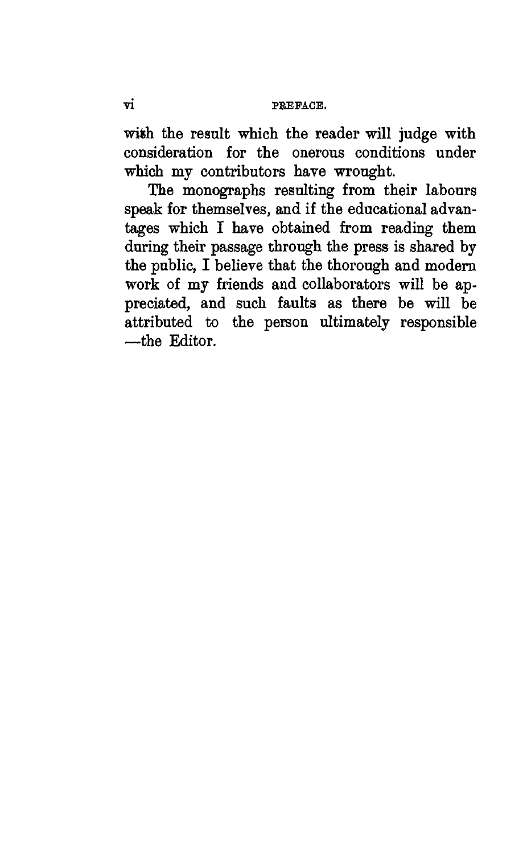with the result which the reader will judge with **consideration for the onerous conditions under which my contributors have wrought.**

**The monographs resulting from their labours speak for themselves, and if the educational advantages which I have obtained from reading them during their passage through the press is shared by the public, I believe that the thorough and modern work of my friends and collaborators will be appreciated, and such faults as there be will be attributed to the person ultimately responsible —the Editor.**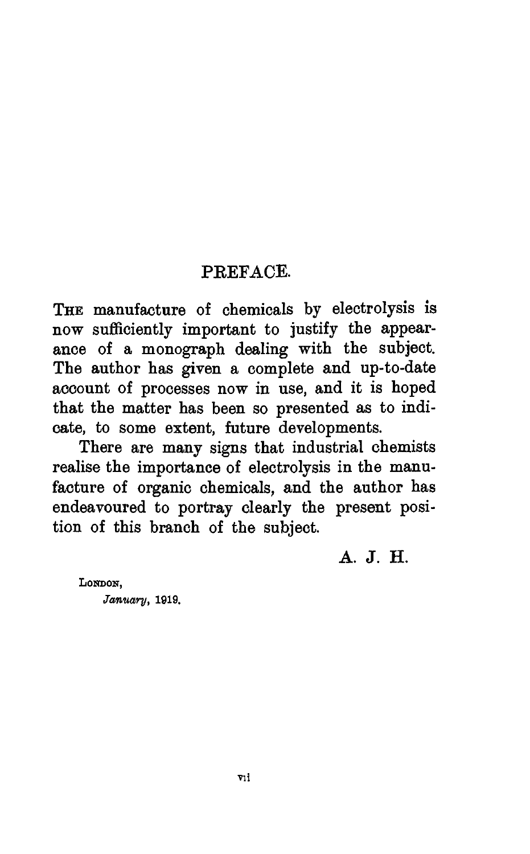## **PKEFACE .**

THE manufacture of chemicals by electrolysis is now sufficiently important to justify the appear**ance of a monograph dealing with the subject. The author has given a complete and up-to-date account of processes now in use, and it is hoped that the matter has been so presented as to indicate, to some extent, future developments.**

**There are many signs that industrial chemists realise the importance of electrolysis in the manufacture of organic chemicals, and the author has endeavoured to portray clearly the present position of this branch of the subject.**

# **A. J. H.**

**LONDON,** *January,* **1919.**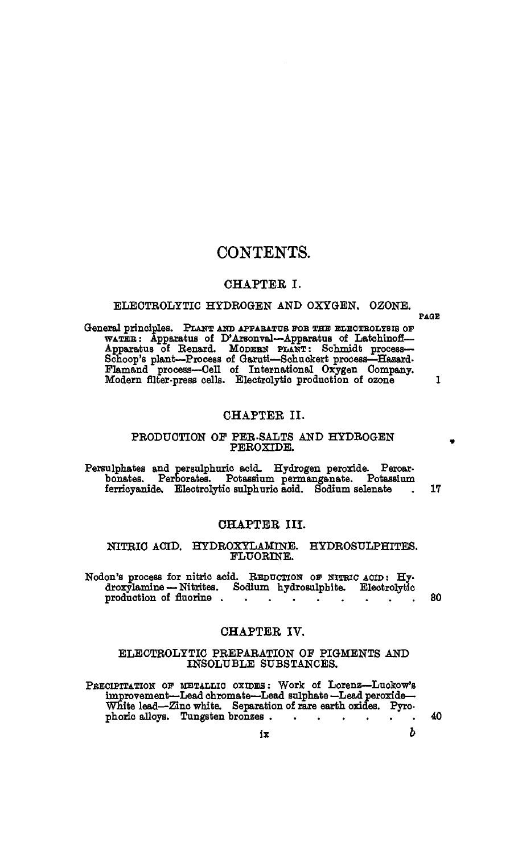### **CONTENTS.**

#### CHAPTER L

#### ELECTROLYTIC HYDROGEN AND OXYGEN. OZONE.

PAGE

General principles. FLANT AND APPARATUS FOR THE ELECTROLYSIS OF WATER: Apparatus of DATROLYSIS PLANT: Schmidt process-<br>Apparatus of Renard. MoDERN FLANT: Schmidt process--<br>Schoop's plant---Process of Garuti---Schuckert pro

#### CHAPTER II.

#### PRODUCTION OP PER-SALTS AND HYDROGEN PEROXIDE.

Persulphates and persulphurio acid. Hydrogen peroxide. Peroarbonates. Perborates. Potassium permanganate. Potassium ferricyanide. Electrolytic sulphuric acid. Sodium selenate . 17

#### CHAPTER III.

#### NITRIC ACID. HYDROXYLAMINE. HYDROSULPHITES. FLUORINE.

Nodon's process for nitric acid. REDUCTION OF NITRIC ACID: Hydroxylamine — Nitrites. Sodium hydrosulphite. Electrolytic production of fluorine .

#### CHAPTER IV.

#### ELECTROLYTIC PREPARATION OF PIGMENTS AND INSOLUBLE SUBSTANCES.

PRECIPITATION OF METALLIC OXIDES: Work of Lorenz—Luckow's improvement—Lead chromate—Lead sulphate—Lead peroxide— White lead—Zinc white. Separation of rare earth oxides. Pyrophoric alloys. Tungsten bronzes . . . . . . 40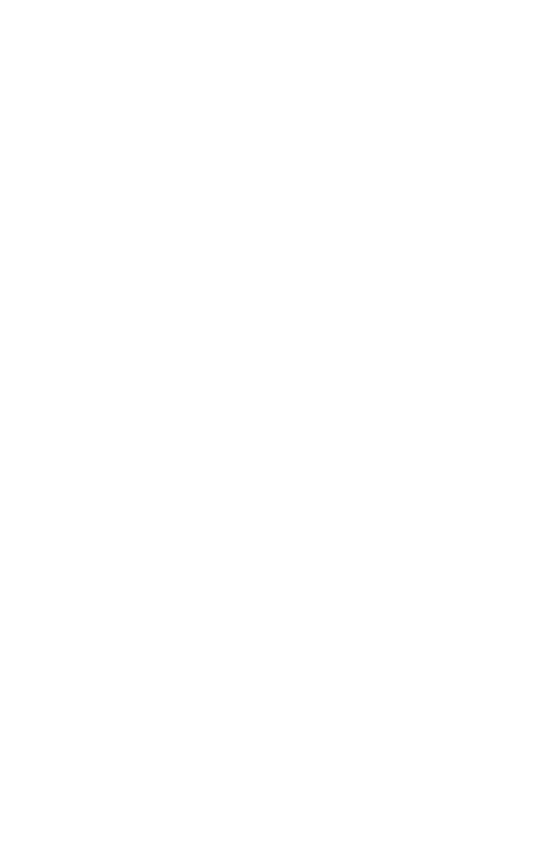#### CHAPTER V.

#### ELEOTRO-OSMOTIO AND ELEOTRO-COLLOIDAL PROCESSES.

PAGE

| General, Dehydration. Separation of constituents of glue. Tan- |     |  |
|----------------------------------------------------------------|-----|--|
| ning of skins. Purification of silicic acid. Alumina. Electro- |     |  |
| lytic lixiviation. Principles of electro-osmosis               | -49 |  |

#### CHAPTER VI.

#### ELECTROLYTIO REDUCTION OF ORGANIC COMPOUNDS.

Introductory. REDUCTION OP NITBO-COMPOUNDS : Aminophenols— Chloranilines—Amines—Benzidine—Azoxybenzene—Azobenzene<br>—Hydrazobenzene—Importance of electrode potential—Catalytic<br>action of cathode—Overvoltage—Reduction in aqueous alkaline<br>emulsions—Production of aminophenols. Hydrazine

#### CHAPTER VII.

#### OXIDATION AND SUBSTITUTION *OF* ORGANIC COMPOUNDS.

| OXIDATION PRODUCTS: Oxidation of aromatic side ohains—Quinone—<br>Basic dyes—Purpurogallin—Anthraquinone—Vanillin—Saccha-<br>Oxidation of alcohols. ELECTROLYTIC SUBSTITUTION:<br>rin.<br>Iodoform — Bromoform — Chloroform — Chloral — Diazo-com-<br>pounds-Azo-dyes-Substituted phenols. CONDENSATION BY<br>ELECTROLYSIS: Esters of dicarboxylic acids. Effect of super |  |  |  |                                                                                                                 |  |  |  |  |  |    |
|---------------------------------------------------------------------------------------------------------------------------------------------------------------------------------------------------------------------------------------------------------------------------------------------------------------------------------------------------------------------------|--|--|--|-----------------------------------------------------------------------------------------------------------------|--|--|--|--|--|----|
| imposing alternating current on direct current.                                                                                                                                                                                                                                                                                                                           |  |  |  |                                                                                                                 |  |  |  |  |  | 65 |
| <b>APPENDIX.</b>                                                                                                                                                                                                                                                                                                                                                          |  |  |  | the contract of the contract of the contract of the contract of the contract of the contract of the contract of |  |  |  |  |  | 75 |
| NAME INDEX                                                                                                                                                                                                                                                                                                                                                                |  |  |  | $\cdot$ , $\cdot$ , $\cdot$ , $\cdot$ , $\cdot$ , $\cdot$                                                       |  |  |  |  |  | 77 |
| <b>SUBJECT INDEX</b>                                                                                                                                                                                                                                                                                                                                                      |  |  |  |                                                                                                                 |  |  |  |  |  |    |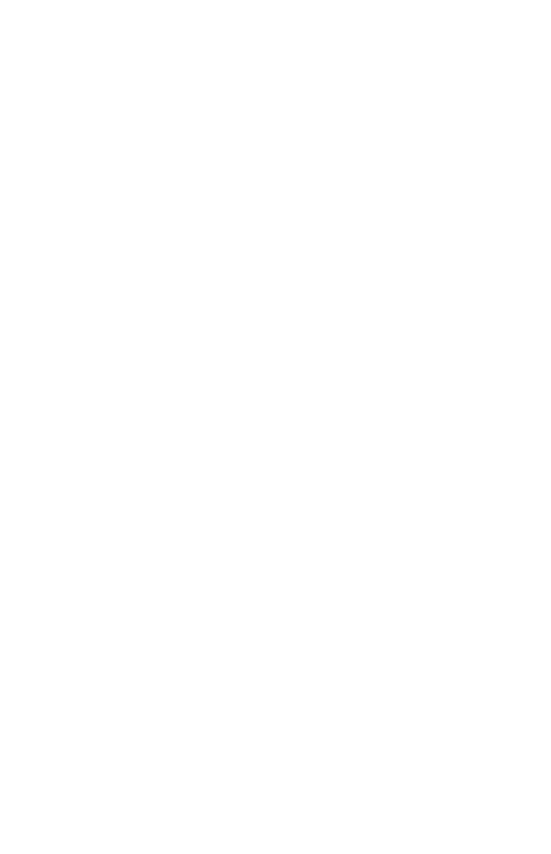### **ABBREVIATION S EMPLOYE D I N TH E REFERENCES.**

| Amer. Chem. J. .                      | American Chemical Journal.                   |
|---------------------------------------|----------------------------------------------|
| Annalen<br>٠                          | Justus Liebig's Annalen der Chemie.          |
| Ber                                   | Berichte der Deutschen chemischen Gesell-    |
|                                       | schaft.                                      |
| Bull. de l'Assoc. Ing. Elect.         | Bulletins de l'Association des Ingenieurs    |
|                                       | Electriques.                                 |
| Chem. Zeit.                           | Chemiker Zeitung.                            |
| Compt, rend.                          | Comptes rendus hebdomadaires des Séances     |
|                                       | de l'Académie des Sciences.                  |
| D.R.P.<br>۰                           | Deutsches Reichspatent.                      |
| Electrochem. Ind.                     | Electrochemical Industry.                    |
| Electrochem, Review.                  | Electrochemical Review.                      |
| Electrochem. Zeitsch.                 | Elektrochemische Zeitschrift.                |
| Eng. Pat<br>$\bullet$                 | English Patent.                              |
| Fr. Pat.<br>$\sim$                    | French Patent.                               |
| Int. Cong. App. Chem.                 | International Congress of Applied Chemistry. |
| J. Amer. Chem. Soc                    | Journal of the American Chemical Society.    |
| J. Physical Chem.                     | Journal of Physical Chemistry.               |
| J. pr. Chem.                          | Journal für praktische Chemie.               |
| J. Soc. Chem. Ind.                    | Journal of the Society of Chemical Industry. |
| Met. Chem. Eng.                       | Metallurgical and Chemical Engineering.      |
| Monatsh                               | Monatshefte für Chemie und verwandte         |
|                                       | Theile anderer Wissenschaften.               |
| Rec. trav. chim                       | Recueil des travaux chimiques des Pays-Bas   |
|                                       | et de la Belgique.                           |
| Trans. Amer. Electrochem.             | Transactions of the American<br>Electro-     |
|                                       | Chemical Society.                            |
| Trans. Chem. Soc.                     | Transactions of the Chemical Society.        |
| Trans. Farad. Soc.                    | Transactions of the Faraday Society.         |
| U.S. Pat.<br>$\overline{\phantom{a}}$ | United States Patent.                        |
| Zeitsch. angew. Chem.<br>۰            | Zeitschrift für angewandte Chemie.           |
| Zeitsch. anorg. Chem.<br>٠            | Zeitschrift für anorganische Chemie.         |
| Zeitsch. Elektrochem.                 | Zeitschrift für Elektrochemie.               |
| Zeitsch. physikal Chem.               | Zeitschrift für physikalische Chemie.        |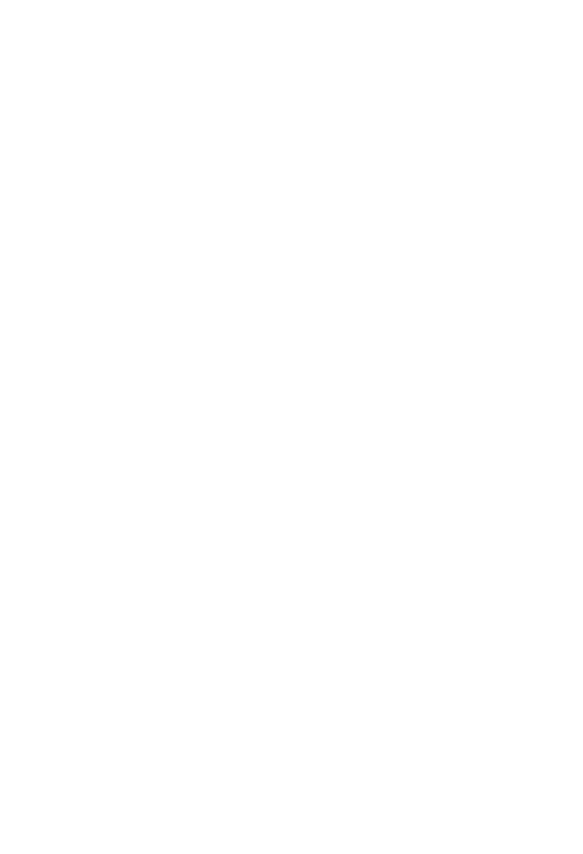### CHAPTEE I.

### ELECTROLYTIC HYDROGEN AND OXYGEN. OZONE.

THE electrolytic decomposition of water provides a suitable introduction to the manufacture of chemicals by electrolysis. Many of the processes described herein depend upon the employment of electrolytic hydrogen and oxygen, and the electrolysis of water furnishes a convenient subject with which to introduce certain fundamental principles and electrical quantities.

Since 1895 several forms of apparatus and plant have been on the market for providing hydrogen and oxygen by electrolysing water. They are largely employed in accumulator works where the oxy-hydrogen flame is needed for lead-welding, and'also in metallurgical processes where a high temperature flame is necessary for melting refractory metals such as platinum.

The production of these two gases by electrolysis for storage and transport can only be commercially successful when the cheapest power is utilised, because there are established economical processes for making both oxygen and hydrogen.

Pure water is practically a non-electrolyte, and in order that it may become a conductor, a small quantity of acid, alkali, or soluble salt must be dissolved in it. On passing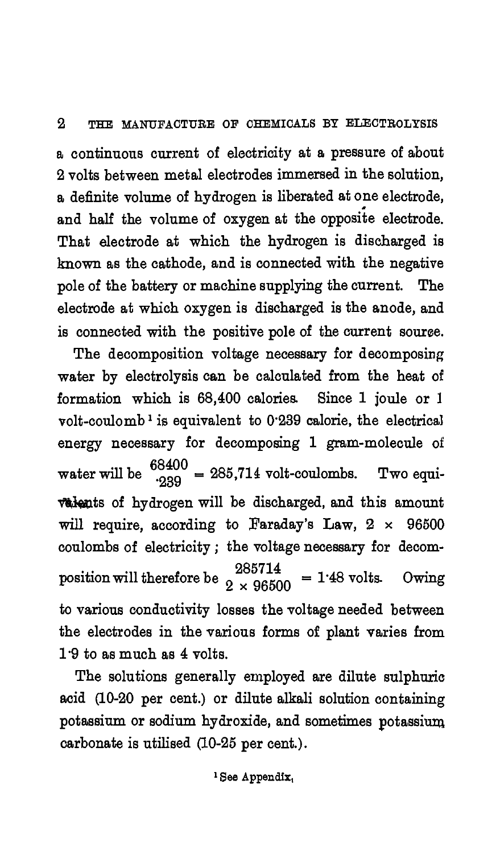a continuous current of electricity at a pressure of about 2 volts between metal electrodes immersed in the solution, a definite volume of hydrogen is liberated at one electrode, and half the volume of oxygen at the opposite electrode. That electrode at which the hydrogen is discharged is known as the cathode, and is connected with the negative pole of the battery or machine supplying the current. The electrode at which oxygen is discharged is the anode, and is connected with the positive pole of the current source.

The decomposition voltage necessary for decomposing water by electrolysis can be calculated from the heat of formation which is 68,400 calories. Since 1 joule or 1  $volt-coulomb<sup>1</sup>$  is equivalent to 0.239 calorie, the electrical energy necessary for decomposing 1 gram-molecule of water will be  $\frac{68400}{0.000} = 285,714$  volt-coulombs. Two equivalents of hydrogen will be discharged, and this amount will require, according to Faraday's Law,  $2 \times 96500$ coulombs of electricity ; the voltage necessary for decom-OQKrr-| *A* position will therefore be  $\sigma_{\infty}$  96500  $= 1.48$  volts. Owing to various conductivity losses the voltage needed between the electrodes in the various forms of plant varies from 1\*9 to as much as 4 volts.

The solutions generally employed are dilute sulphuric acid (10-20 per cent.) or dilute alkali solution containing potassium or sodium hydroxide, and sometimes potassium carbonate is utilised (10-25 per cent.).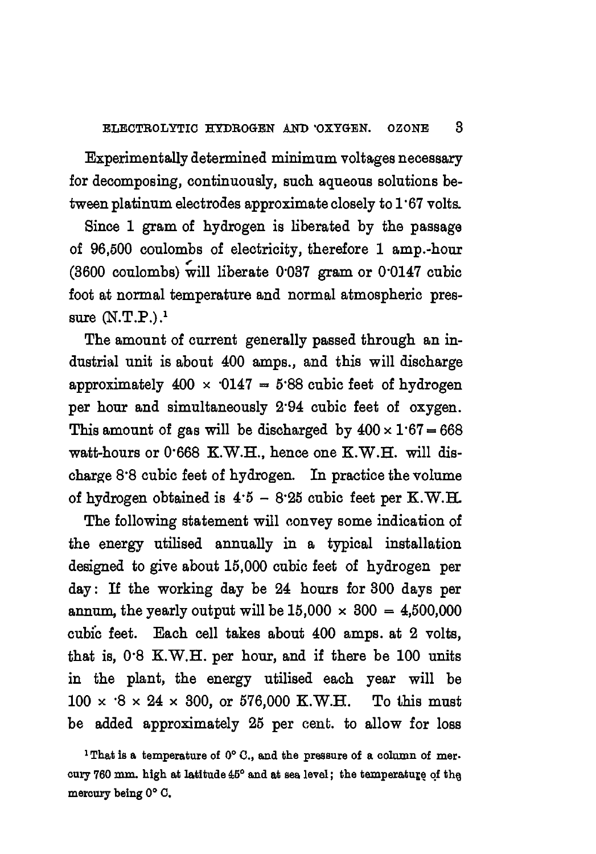Experimentally determined minimum voltages necessary for decomposing, continuously, such aqueous solutions between platinum electrodes approximate closely to  $1.67$  volts.

Since 1 gram of hydrogen is liberated by the passage of 96,500 coulombs of electricity, therefore 1 amp.-hour (3600 coulombs) will liberate 0"037 gram or 0'0147 cubic foot at normal temperature and normal atmospheric pressure  $(N.T.P.)$ .<sup>1</sup>

The amount of current generally passed through an industrial unit is about 400 amps., and this will discharge approximately  $400 \times 0147 = 5.88$  cubic feet of hydrogen per hour and simultaneously 2.94 cubic feet of oxygen. This amount of gas will be discharged by  $400 \times 1.67 = 668$ watt-hours or  $0.668$  K.W.H., hence one K.W.H. will discharge 8'8 cubic feet of hydrogen. In practice the volume of hydrogen obtained is  $4.5 - 8.25$  cubic feet per K.W.H.

The following statement will convey some indication of the energy utilised annually in a typical installation designed to give about 15,000 cubic feet of hydrogen per day: If the working day be 24 hours for 300 days per annum, the yearly output will be  $15,000 \times 300 = 4,500,000$ cubic feet. Each cell takes about 400 amps, at 2 volts, that is,  $0.8$  K.W.H. per hour, and if there be 100 units in the plant, the energy utilised each year will be  $100 \times 8 \times 24 \times 300$ , or 576,000 K.W.H. To this must be added approximately 25 per cent, to allow for loss

<sup>1</sup>That is a temperature of  $0^{\circ}$  C., and the pressure of a column of mercury 760 mm. high at latitude 45° and at sea level; the temperature of the, mercury being 0° C.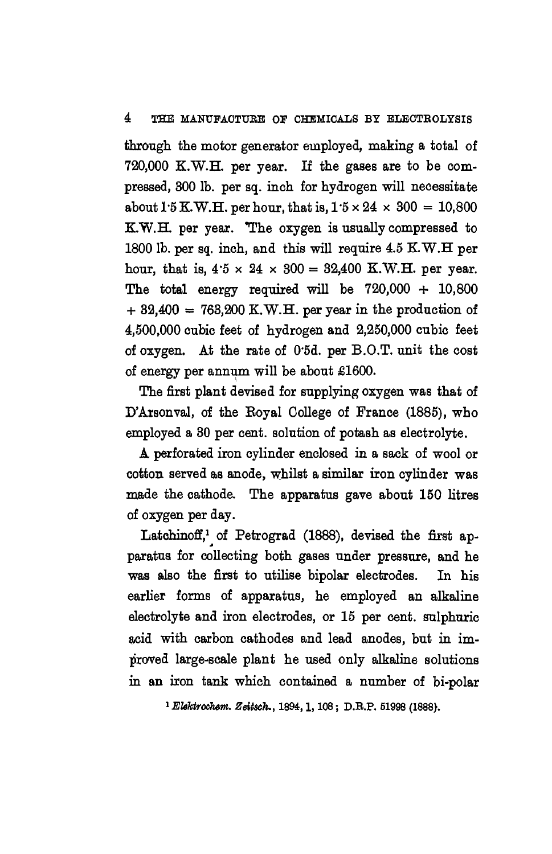through the motor generator employed, making a total of 720,000 K.W.EL per year. If the gases are to be compressed, 300 1b. per sq. inch for hydrogen will necessitate about 1.5 K.W.H. per hour, that is,  $1.5 \times 24 \times 300 = 10,800$ KW.H. per year. \*The oxygen is usually compressed to 1800 lb. per sq. inch, and this will require 4.5 K.W.H per hour, that is,  $4.5 \times 24 \times 300 = 32,400$  K.W.H. per year. The total energy required will be  $720,000 + 10,800$  $+32,400 = 763,200$  K.W.H. per year in the production of 4,500,000 cubic feet of hydrogen and 2,250,000 cubic feet of oxygen. At the rate of 0'5d. per B.O.T. unit the cost of energy per annum will be about £1600.

The first plant devised for supplying oxygen was that of D'Arsonval, of the Eoyal College of France (1885), who employed a 30 per cent, solution of potash as electrolyte.

A perforated iron cylinder enclosed in a sack of wool or cotton served as anode, whilst a similar iron cylinder was made the cathode. The apparatus gave about 150 litres of oxygen per day.

Latchinoff,<sup>1</sup> of Petrograd (1888), devised the first apparatus for collecting both gases under pressure, and he was also the first to utilise bipolar electrodes. In his earlier forms of apparatus, he employed an alkaline electrolyte and iron electrodes, or 15 per cent, sulphuric acid with carbon cathodes and lead anodes, but in improved large-scale plant he used only alkaline solutions in an iron tank which contained a number of bi-polar

*<sup>1</sup>EleJctrochem. Zeitsch.,* 1894,1,108; D.E.P. 51998 (1888).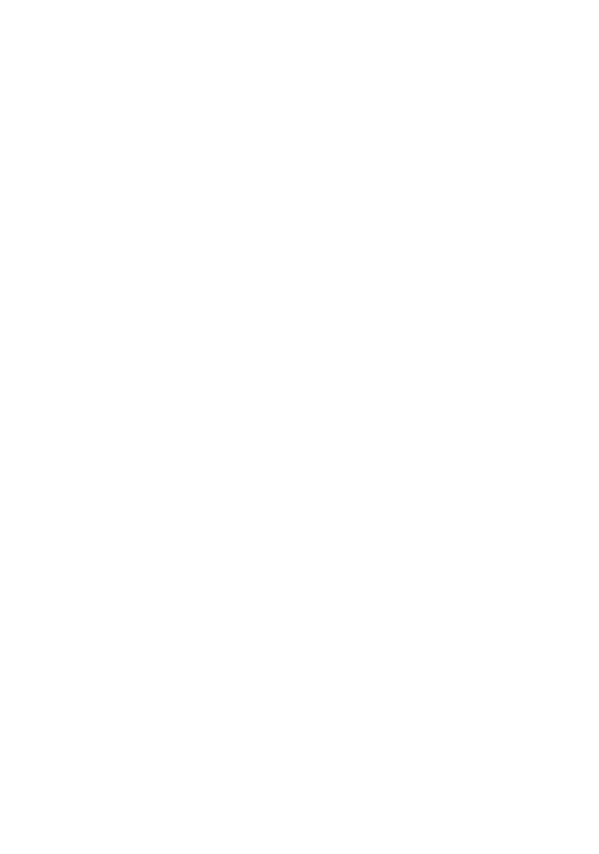ELECTROLYTIC HYDBOGEN AND OXYGEN. OZONE 5 iron electrodes separated from each other by parchment sheets.

Colonel Renard of Paris<sup>1</sup> (1890) prepared hydrogen, for balloon work, in a cylindrical iron cathode vessel in which was suspended a cylindrical iron anode surrounded by an asbestos diaphragm. The electrolyte was caustic soda, and 250 litres of hydrogen were obtained per hour.

The first modern plant was introduced by Dr. O. Schmidt<sup>2</sup> in 1899. It is constructed on the filter-press principle, and



is manufactured by the Machinenfabrik, Oerlikon, Zurich. Bi-polar iron electrodes *e* are fixed in a strong iron frame (Fig. 1) and are separated from each other by diaphragms of asbestos *d3* which are bound with rubber borders. The electrodes are bordered by thick rims, so that when close together there is a cavity between two adjacent plates which is divided into two equal portions by the diaphragm, the rubber edge of which serves to insulate the adjacent

1  *La Lvmiire Electrique,* 39, 39. <sup>2</sup>D.R.P. 111131 (1899); *Zeitsch. Elektrochew.,* 1900, 7, 296.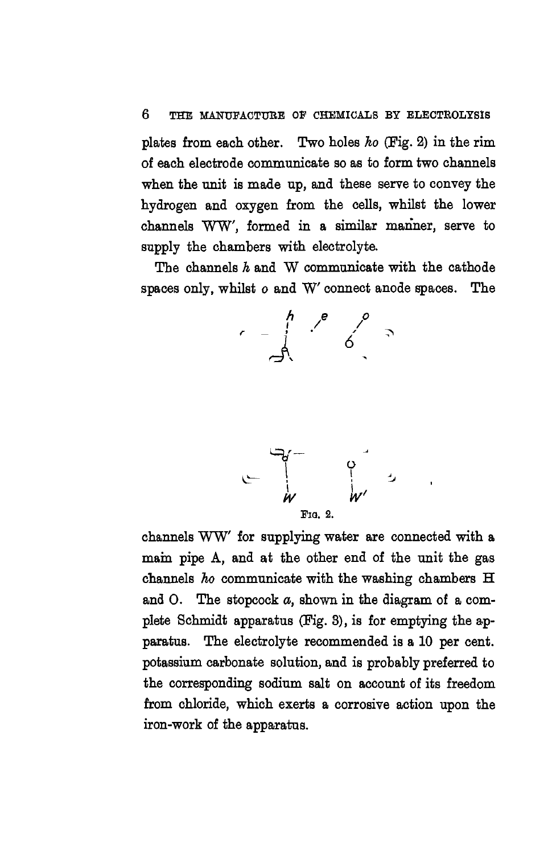6 THE MANUFACTURE OF CHEMICALS BY ELECTROLYSIS plates from each other. Two holes *ho* (Fig. 2) in the rim of each electrode communicate so as to form two channels when the unit is made up, and these serve to convey the hydrogen and oxygen from the cells, whilst the lower channels WW , formed in a similar manner, serve to supply the chambers with electrolyte.

The channels *h* and W communicate with the cathode spaces only, whilst  $o$  and W' connect anode spaces. The





channels WW' for supplying water are connected with a main pipe A, and at the other end of the unit the gas channels *ho* communicate with the washing chambers H and  $O$ . The stopcock  $a$ , shown in the diagram of a complete Schmidt apparatus (Fig. 3), is for emptying the apparatus. The electrolyte recommended is a 10 per cent, potassium carbonate solution, and is probably preferred to the corresponding sodium salt on account of its freedom from chloride, which exerts a corrosive action upon the iron-work of the apparatus.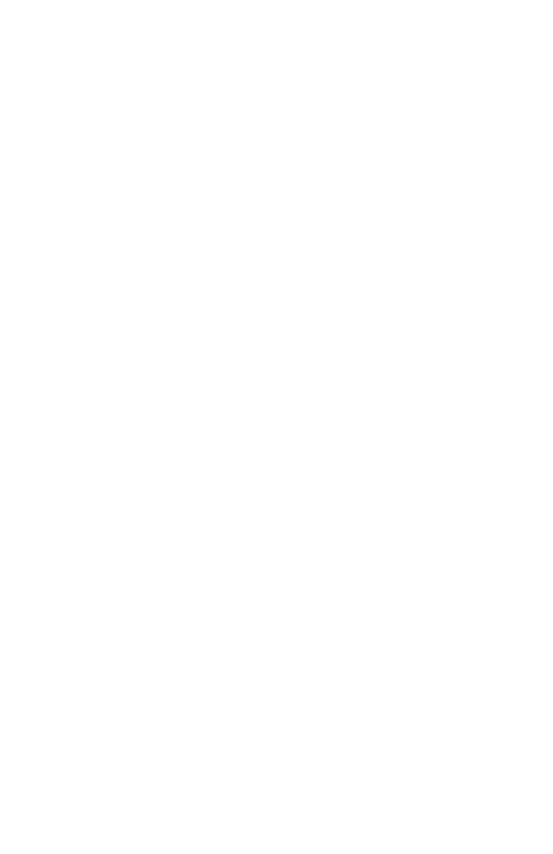A voltage of  $2.5$  volts is maintained between adjacent electrodes, and the energy efficiency is stated to be approximately 54 per cent. The hydrogen generated has a purity of 99 per cent, and the oxygen purity is 97 per cent., but this can be raised to over 99 per cent, by passing the gas over platinum at 100° 0.

Standard types of plant are manufactured for working



at a pressure of 65 or 110 volts. The quantity of water decomposed per K.W.H. is about 130 c.c , and this loss must be made good continuously to prevent the electrolytic gases from collecting in the cells. A Schmidt plant for generating 33 cubic metres of oxygen per twenty-four hours costs about £6000, and for immediate use without compression the cost of the electrolytic gas per cubic metre (35 cubic feet) is approximately 5d. to 6d.

The conductivity of an alkaline electrolyte is lower than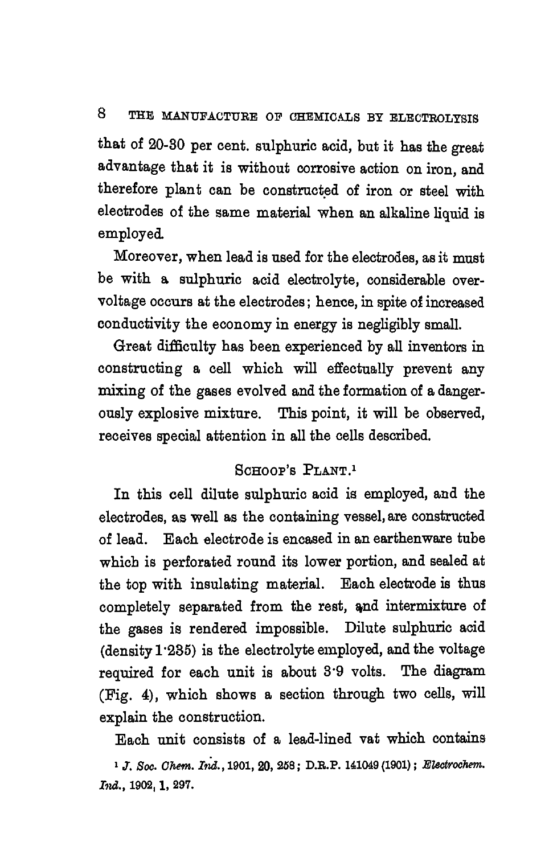that of 20-30 per cent, sulphuric acid, but it has the great advantage that it is without corrosive action on iron, and therefore plant can be constructed of iron or steel with electrodes of the same material when an alkaline liquid is employed.

Moreover, when lead is used for the electrodes, as it must be with a sulphuric acid electrolyte, considerable overvoltage occurs at the electrodes; hence, in spite of increased conductivity the economy in energy is negligibly small.

Great difficulty has been experienced by all inventors in constructing a cell which will effectually prevent any mixing of the gases evolved and the formation of a dangerously explosive mixture. This point, it will be observed, receives special attention in all the cells described.

### SCHOOP'S PLANT. <sup>1</sup>

In this cell dilute sulphuric acid is employed, and the electrodes, as well as the containing vessel, are constructed of lead. Bach electrode is encased in an earthenware tube which is perforated round its lower portion, and sealed at the top with insulating material. Each electrode is thus completely separated from the rest, and intermixture of the gases is rendered impossible. Dilute sulphuric acid (density 1\*235) is the electrolyte employed, and the voltage required for each unit is about 3'9 volts. The diagram (Fig. 4), which shows a section through two cells, will explain the construction.

Each unit consists of a lead-lined vat which contains

1  *J. Soc. Chem. Bid.,* 1901, 20, 258; D.B.P. 141049 (1901); *Electrochem. bid.,* 1902,1, 297.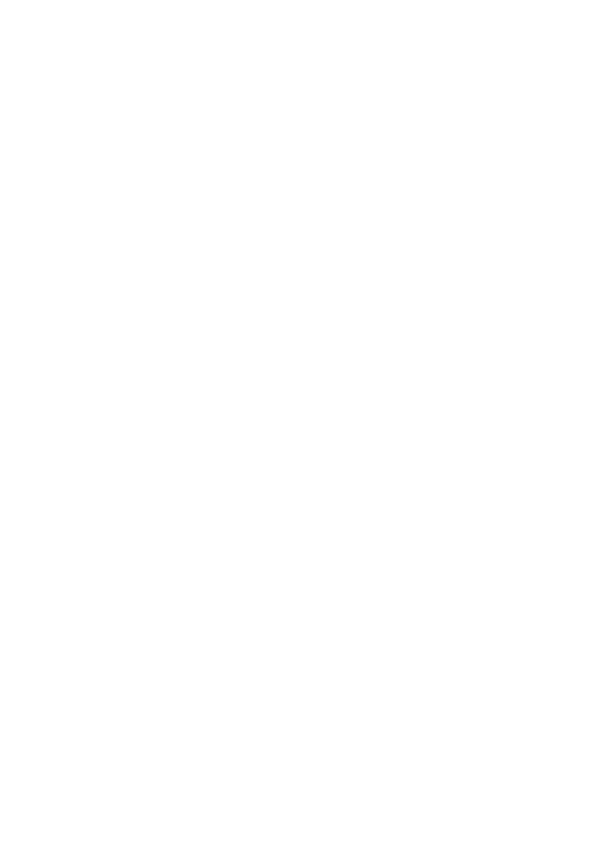#### ELECTROLYTIC HYDROGEN AND OXYGEN. OZONE 9

two cylindrical lead anodes and two corresponding cathodes. Each electrode contains a bundle of lead wires which give increased electrode surface, and the lower part of the electrode is perforated to give free access to the current and to the electrolyte. For the same reason each surrounding earthenware tube is perforated round its lower portion.



The apparatus can be constructed with iron electrodes **for use with an alkaline electrolyte, and the working** voltage is then about 2°25 volts as compared with 3°8 volts for sulphuric acid and electrodes of lead.

**for sulphuric acid and electrodes of lead. The folowing costs are quoted by the makers for plant with acid electrolyte: One H.P. hour gives 97'5 litres of hydrogen and half this amount of oxygen; or, stated in another way, 1 cubic metre of the mixed gases requires**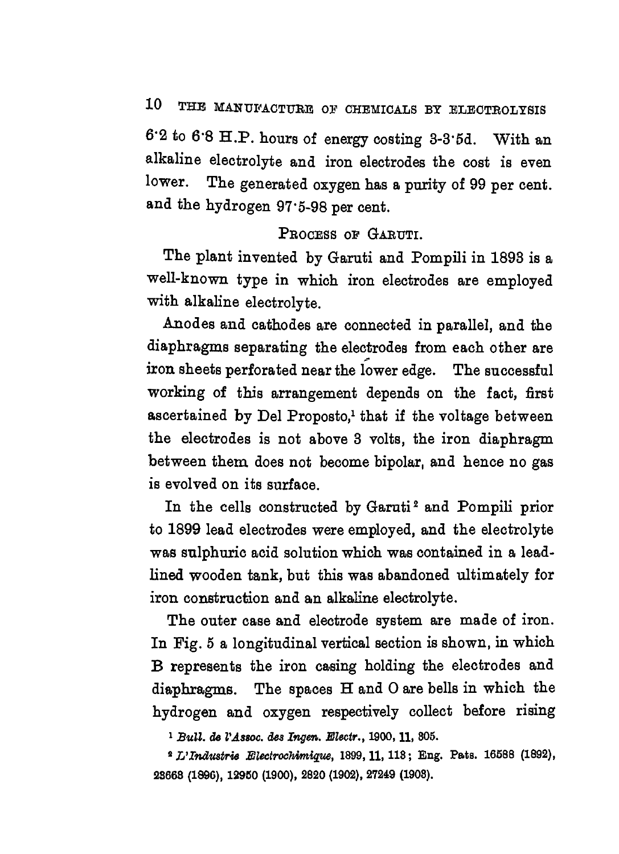10 THE MANUFACTUEE OP CHEMICALS BY ELECTROLYSIS  $6.2$  to  $6.8$  H.P. hours of energy costing 3-3.5d. With an alkaline electrolyte and iron electrodes the cost is even lower. The generated oxygen has a purity of 99 per cent. and the hydrogen 97.5-98 per cent.

### PROCESS OF GARUTI.

The plant invented by Garuti and Pompili in 1893 is a well-known type in which iron electrodes are employed with alkaline electrolyte.

Anodes and cathodes are connected in parallel, and the diaphragms separating the electrodes from each other are iron sheets perforated near the lower edge. The successful working of this arrangement depends on the fact, first ascertained by Del Proposto,<sup>1</sup> that if the voltage between the electrodes is not above 3 volts, the iron diaphragm between them does not become bipolar, and hence no gas is evolved on its surface.

In the cells constructed by Garuti<sup>2</sup> and Pompili prior to 1899 lead electrodes were employed, and the electrolyte was sulphuric acid solution which was contained in a leadlined wooden tank, but this was abandoned ultimately for iron construction and an alkaline electrolyte.

The outer case and electrode system are made of iron. In Fig. 5 a longitudinal vertical section is shown, in which B represents the iron casing holding the electrodes and diaphragms. The spaces H and 0 are bells in which the hydrogen and oxygen respectively collect before rising

1  *Bull, de VAssoc. ties Ingen. Electr.,* 1900,11, 305.

fl *L<sup>l</sup> Industrie Medrochimique,* 1899,11,113; Bng. Pats. 16588 (1892), 23668 (189G), 12950 (1900), 2820 (1902), 27249 (1903).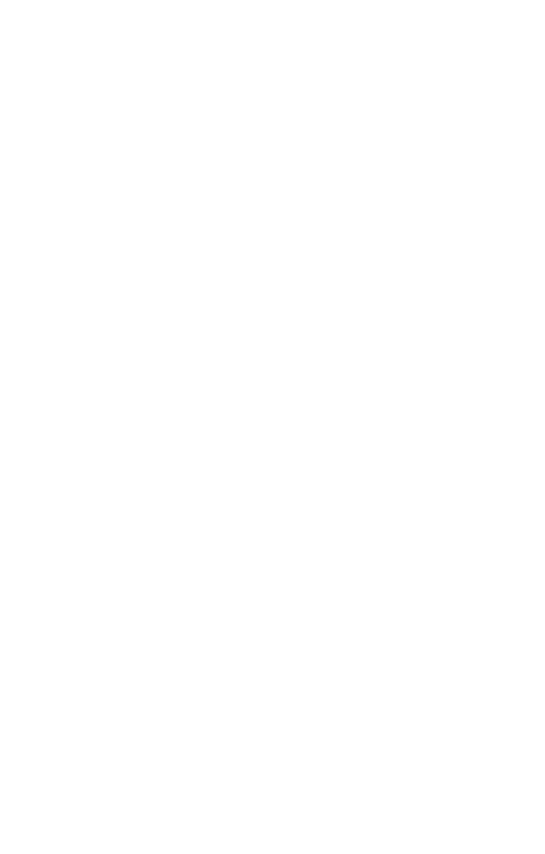through the exit tubes TT'. The electrodes and diaphragms traverse the entire length of B and are shown sectionally in Fig. 6, which is a transverse section. Electrodes *e* are



FIG. 5.

12 mm. apart, and the lower edge of each is 12 cms. from the bottom of the tank. Each diaphragm *d* has a zone of perforations 4 cms. wide running parallel with and about

*r*



FIG. 6.

7'5 cms. above the lower edge. Anode spaces open at the top, on one side, into the bell 0 which receives oxygen, and in a similar manner the cathode spaces open on the other side to the bell  $H$  which collects hydrogen (see Fig. 5).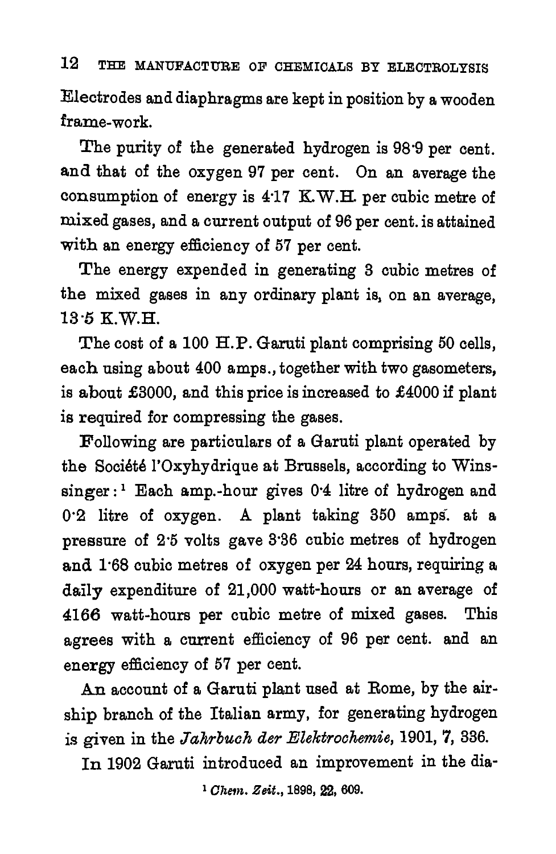Electrodes and diaphragms are kept in position by a wooden frame-work.

The purity of the generated hydrogen is 98.9 per cent. and that of the oxygen 97 per cent. On an average the consumption of energy is 417 KW. E per cubic metre of mixed gases, and a current output of 96 per cent, is attained with an energy efficiency of 57 per cent.

The energy expended in generating 3 cubic metres of the mixed gases in any ordinary plant is, on an average, 135 K.W.H.

The cost of a 100 H.P. Garuti plant comprising 50 cells, each using about 400 amps., together with two gasometers, is about £3000, and this price is increased to £4000 if plant is required for compressing the gases.

Following are particulars of a Garuti plant operated by the Société l'Oxyhydrique at Brussels, according to Winssinger:<sup>1</sup> Each amp.-hour gives 0<sup>.</sup>4 litre of hydrogen and 0.2 litre of oxygen. A plant taking 350 amps, at a pressure of 2\*5 volts gave 3'36 cubic metres of hydrogen and  $1.68$  cubic metres of oxygen per 24 hours, requiring a daily expenditure of 21,000 watt-hours or an average of 4166 watt-hours per cubic metre of mixed gases. This agrees with a current efficiency of 96 per cent, and an energy efficiency of 57 per cent.

An account of a Garuti plant used at Rome, by the airship branch of the Italian army, for generating hydrogen is given in the *Jahrbuch der Elektrochemie,* 1901, 7, 336.

In 1902 Garuti introduced an improvement in the dia-

<sup>1</sup> Chem. Zeit., 1898, 22, 609.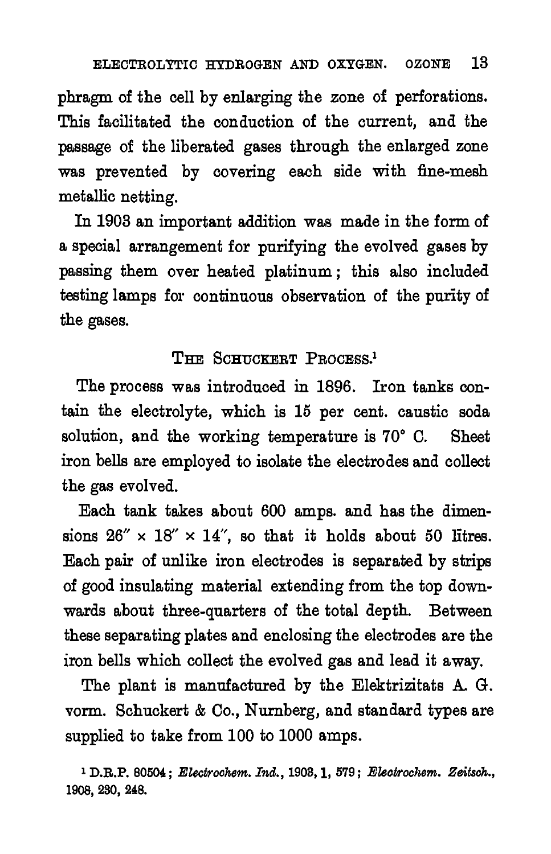phragm of the cell by enlarging the zone of perforations. This facilitated the conduction of the current, and the passage of the liberated gases through the enlarged zone was prevented by covering each side with fine-mesh metallic netting.

In 1903 an important addition was made in the form of a special arrangement for purifying the evolved gases by passing them over heated platinum; this also included testing lamps for continuous observation of the purity of the gases.

### THE SCHUCKERT PROCESS.<sup>1</sup>

The process was introduced in 1896. Iron tanks contain the electrolyte, which is 15 per cent, caustic soda solution, and the working temperature is 70° C. Sheet iron bells are employed to isolate the electrodes and collect the gas evolved.

Each tank takes about 600 amps, and has the dimensions  $26'' \times 18'' \times 14''$ , so that it holds about 50 litres. Each pair of unlike iron electrodes is separated by strips of good insulating material extending from the top downwards about three-quarters of the total depth. Between these separating plates and enclosing the electrodes are the iron bells which collect the evolved gas and lead it away.

The plant is manufactured by the Elektrizitats A. G. vorm. Schuckert & Co., Nurnberg, and standard types are supplied to take from 100 to 1000 amps.

1 D.E.P. 80504; *Electroohem. Ind.,* 1903,1, 579; *Electrochem. Zeitsch.<sup>t</sup>* 1908, 230, 248.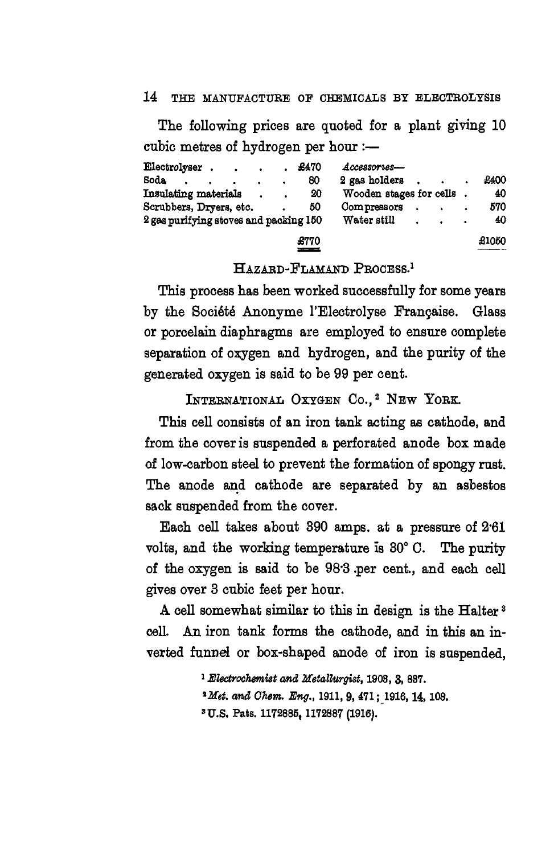The following prices are quoted for a plant giving 10 cubic metres of hydrogen per hour :—

| Electrolyser                           |  |               | $\bullet$            | £470        | Accessories-             |                          |           |       |
|----------------------------------------|--|---------------|----------------------|-------------|--------------------------|--------------------------|-----------|-------|
| Soda                                   |  |               | $\ddot{\phantom{0}}$ | 80          | $2$ gas holders          |                          | $\bullet$ | £400  |
| Insulating materials                   |  | $\sim$ $\sim$ |                      | 20          | Wooden stages for cells. |                          |           | 40    |
| Scrubbers, Dryers, etc.                |  |               |                      | 50          | Compressors.             | <b>Contract Contract</b> | $\bullet$ | 570   |
| 2 gas purifying stoves and packing 150 |  |               |                      |             | Water still              |                          | $\bullet$ | 40    |
|                                        |  |               |                      | £770<br>--- |                          |                          |           | £1050 |

### **HAZAED-FLAMAN D PEOCESS. <sup>1</sup>**

This process has been worked successfully for some years **by th e Soci6t 6 Anonym e l'Electrolys e Fran?aise . Glass or porcelain diaphragm s are employe d t o ensur e complet e separation of oxyge n an d hydrogen , and th e purit y of th e** generated oxygen is said to be 99 per cent.

**INTEENATIONA L OXYGE N CO., <sup>2</sup> NE W YOEK .**

This cell consists of an iron tank acting as cathode, and **from th e cove r is suspende d a perforated anod e bo x mad e of low-carbon stee l t o preven t th e formation of spong y rust.** The anode and cathode are separated by an asbestos **sack suspended from the cover.** 

Each cell takes about 390 amps, at a pressure of 2°61 **volts, and the working temperature is 30° C. The purity of the oxyge n is said t o b e 98\*3 .per cent , an d each cell give s ove r 3 cubi c fee t pe r hour .**

A cell somewhat similar to this in design is the Halter<sup>3</sup> cell. An iron tank forms the cathode, and in this an inverted funnel or box-shaped anode of iron is suspended,

**1**  *Electrochemist and Metallurgist,* **1903, 3, 887.**

**\* Jftfe.** *and Chem. Eng.,* **1911, 9, 471; 1916,14,108,**

**'U.S. Pats. 1172885,1172887 (1916).**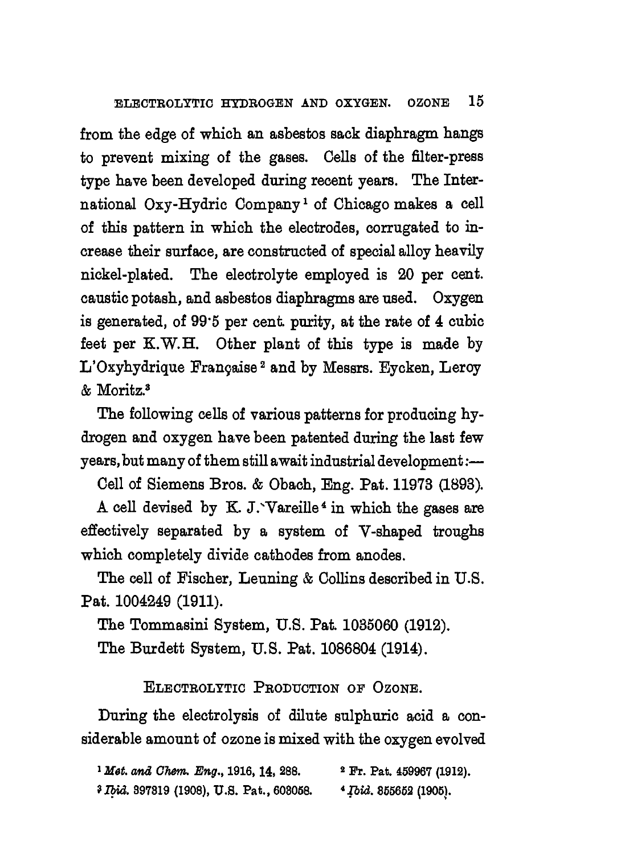ELECTEOLYTIC HYDROGEN AND OXYGEN. OZONE 15

from the edge of which an asbestos sack diaphragm hangs to prevent mixing of the gases. Cells of the filter-press type have been developed during recent years. The International Oxy-Hydric Company<sup>1</sup> of Chicago makes a cell of this pattern in which the electrodes, corrugated to increase their surface, are constructed of special alloy heavily nickel-plated. The electrolyte employed is 20 per cent, caustic potash, and asbestos diaphragms are used. Oxygen is generated, of 99'5 per cent, purity, at the rate of 4 cubic feet per K.W.H. Other plant of this type is made by L'Oxyhydrique Française<sup>2</sup> and by Messrs. Eycken, Leroy *&* Moritz.<sup>8</sup>

The following cells of various patterns for producing hydrogen and oxygen have been patented during the last few years, but many of them still await industrial development:—

Cell of Siemens Bros. & Obach, Eng. Pat. 11973 (1893).

A cell devised by K. J. Vareille<sup>4</sup> in which the gases are effectively separated by a system of V-shaped troughs which completely divide cathodes from anodes.

The cell of Fischer, Leuning & Collins described in U.S. Pat. 1004249 (1911).

The Tommasini System, U.S. Pat. 1035060 (1912).

The Burdett System, U.S. Pat. 1086804 (1914).

ELECTEOLYTIO PEODUCTION OF OZONE.

During the electrolysis of dilute sulphuric acid a considerable amount of ozone is mixed with the oxygen evolved

<sup>1</sup> Met. and Chem. Eng., 1916, 14, 288. <sup>2</sup> Fr. Pat. 459967 (1912). *tlbid.* 397319 (1908), U.S. Pat., 603058. *\*Ibid.* 355652 (1905).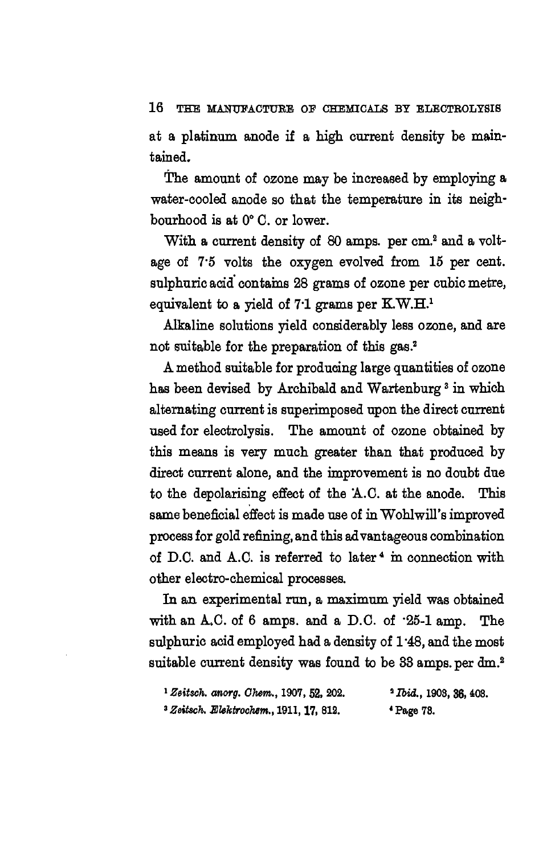at a platinum anode if a high current density be maintained.

The amount of ozone may be increased by employing a water-cooled anode so that the temperature in its neighbourhood is at 0\* C. or lower.

With a current density of 80 amps. per cm.<sup>2</sup> and a voltage of 7<sup>.5</sup> volts the oxygen evolved from 15 per cent. sulphuric acid contains 28 grams of ozone per cubic metre, equivalent to a yield of  $7.1$  grams per K.W.H.<sup>1</sup>

Alkaline solutions yield considerably less ozone, and are not suitable for the preparation of this gas.<sup>2</sup>

A method suitable for producing large quantities of ozone has been devised by Archibald and Wartenburg<sup>3</sup> in which alternating current is superimposed upon the direct current used for electrolysis. The amount of ozone obtained by this means is very much greater than that produced by direct current alone, and the improvement is no doubt due to the depolarising effect of the A.C. at the anode. This same beneficial effect is made use of in Wohlwill's improved process for gold refining, and this advantageous combination of D.C. and A.C. is referred to later<sup>4</sup> in connection with other electro-chemical processes.

In an experimental run, a maximum yield was obtained with an A.C. of 6 amps, and a D.C. of  $25-1$  amp. The sulphuric acid employed had a density of 1'48, and the most suitable current density was found to be 33 amps, per dm.<sup>2</sup>

| <sup>1</sup> Zeitsch. anorg. Chem., 1907, 52, 202.         | $^2$ <i>Ibid.</i> , 1903, 36, 408. |
|------------------------------------------------------------|------------------------------------|
| <sup>3</sup> Zeitsch. Elektrochem., 1911, <b>17</b> , 812. | $'$ Page 73.                       |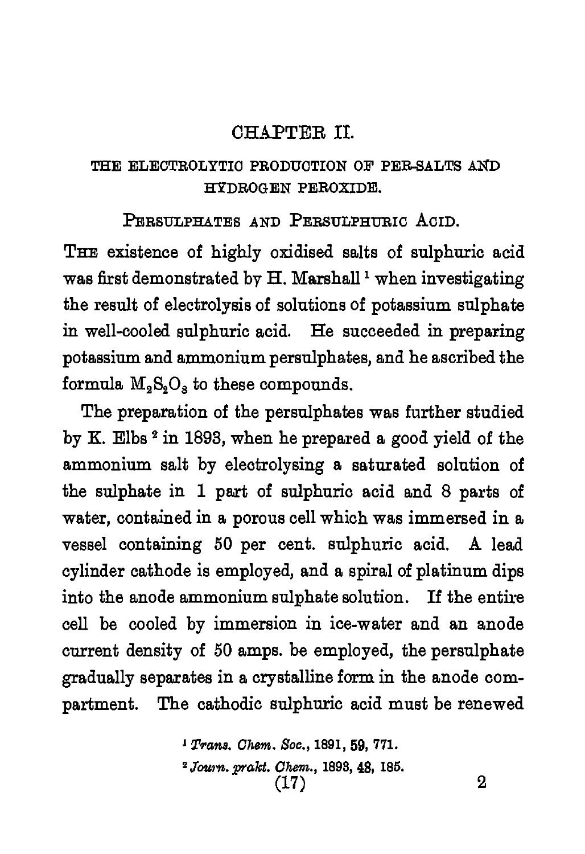### CHAPTER II.

### THE ELECTROLYTIC PRODUCTION OF PER-SALTS AND HYDROG-EN PEROXIDE.

PERSULPHATES AND PERSULPHURIC ACID.

THE existence of highly oxidised salts of sulphuric acid was first demonstrated by H. Marshall*<sup>l</sup>* when investigating the result of electrolysis of solutions of potassium sulphate in well-cooled sulphuric acid. He succeeded in preparing potassium and ammonium persulphates, and he ascribed the formula  $M_2S_2O_8$  to these compounds.

The preparation of the persulphates was further studied by K. Elbs<sup>2</sup> in 1893, when he prepared a good yield of the ammonium salt by electrolysing a saturated solution of the sulphate in 1 part of sulphuric acid and 8 parts of water, contained in a porous cell which was immersed in a vessel containing 50 per cent, sulphuric acid. A lead cylinder cathode is employed, and a spiral of platinum dips into the anode ammonium sulphate solution. If the entire cell be cooled by immersion in ice-water and an anode current density of 50 amps, be employed, the persulphate gradually separates in a crystalline form in the anode compartment. The cathodic sulphuric acid must be renewed

> 1  *Trans. Chem. Soc,* 1891, 59, 771. <sup>2</sup> Journ. prakt. Chem., 1898, 48, 185.  $(17)$  2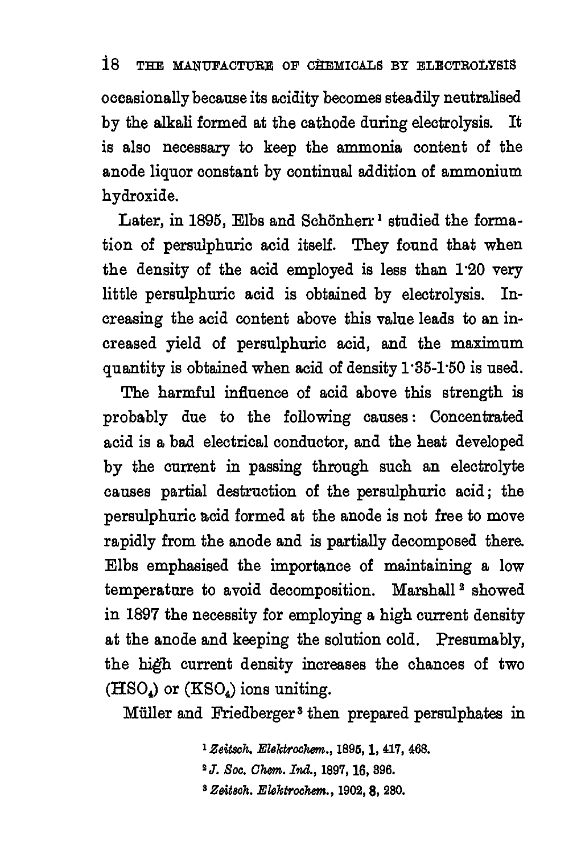occasionally because its acidity becomes steadily neutralised by the alkali formed at the cathode during electrolysis. It is also necessary to keep the ammonia content of the anode liquor constant by continual addition of ammonium hydroxide.

Later, in 1895, Elbs and Schönherr<sup>1</sup> studied the formation of persulphuric acid itself. They found that when the density of the acid employed is less than 1\*20 very little persulphuric acid is obtained by electrolysis. Increasing the acid content above this value leads to an increased yield of persulphuric acid, and the maximum quantity is obtained when acid of density  $1.35-1.50$  is used.

The harmful influence of acid above this strength is probably due to the following causes: Concentrated acid is a bad electrical conductor, and the heat developed by the current in passing through such an electrolyte causes partial destruction of the persulphuric acid; the persulphuric acid formed at the anode is not free to move rapidly from the anode and is partially decomposed there. Elbs emphasised the importance of maintaining a low temperature to avoid decomposition. Marshall<sup>2</sup> showed in 1897 the necessity for employing a high current density at the anode and keeping the solution cold. Presumably, the high current density increases the chances of two  $(HSO<sub>4</sub>)$  or  $(KSO<sub>4</sub>)$  ions uniting.

Müller and Friedberger<sup>3</sup> then prepared persulphates in

*l Zeitsch. Elektmehm.,* 1895,1, 417, 468. <sup>2</sup> J. Soc. Chem. Ind., 1897, **16**, 396. *\*Zeitsch. Elektrochem.,* 1902, 8, 230.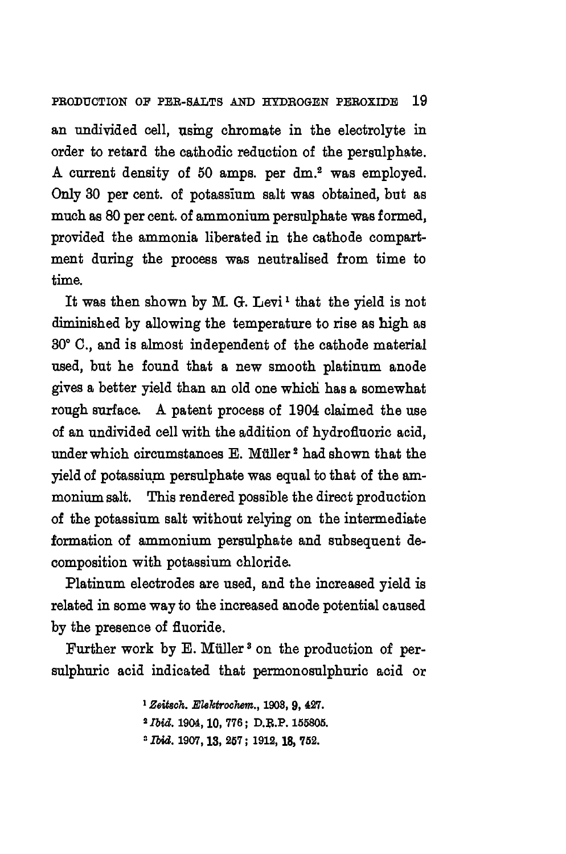### PRODUCTION OF PER-SALTS AND HYDROGEN PEROXIDE 19

an undivided cell, using chromate in the electrolyte in order to retard the cathodic reduction of the persulphate. A current density of 50 amps. per dm.<sup>2</sup> was employed. Only 30 per cent, of potassium salt was obtained, but as much as 80 per cent, of ammonium persulphate was formed, provided the ammonia liberated in the cathode compartment during the process was neutralised from time to time.

It was then shown by M. G. Levi<sup>1</sup> that the yield is not diminished by allowing the temperature to rise as high as 30° C, and is almost independent of the cathode material used, but he found that a new smooth platinum anode gives a better yield than an old one which has a somewhat rough surface. A patent process of 1904 claimed the use of an undivided cell with the addition of hydrofluoric acid, under which circumstances E. Müller<sup>2</sup> had shown that the yield of potassium persulphate was equal to that of the ammonium salt. This rendered possible the direct production of the potassium salt without relying on the intermediate formation of ammonium persulphate and subsequent decomposition with potassium chloride.

Platinum electrodes are used, and the increased yield is related in some way to the increased anode potential caused by the presence of fluoride.

Further work by E. Müller<sup>3</sup> on the production of persulphuric acid indicated that permonosulphuric acid or

> *1 Zeitsch. Elektrochem.,* 1903, 9, 427. <sup>2</sup> *Ibid.* 1904, 10, 776; D.R.P. 155805. *-'Ibid.* 1907,13, 257; 1912,18, 752.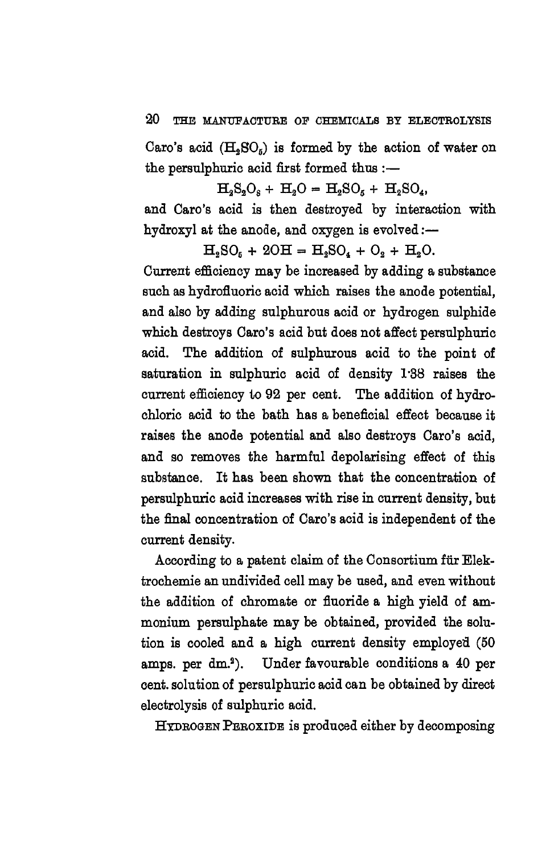Caro's acid  $(H_2SO_5)$  is formed by the action of water on the persulphuric acid first formed thus :—

 $H_2S_2O_8 + H_2O = H_2SO_6 + H_2SO_4$ 

and Caro's acid is then destroyed by interaction with hydroxyl at the anode, and oxygen is evolved:—

 $H_2SO_5 + 2OH = H_2SO_4 + O_2 + H_2O.$ 

Current efficiency may be increased by adding a substance such as hydrofluoric acid which raises the anode potential, and also by adding sulphurous acid or hydrogen sulphide which destroys Caro's acid but does not affect persulphuric acid. The addition of sulphurous acid to the point of saturation in sulphuric acid of density 1.38 raises the current efficiency to 92 per cent. The addition of hydrochloric acid to the bath has a beneficial effect because it raises the anode potential and also destroys Caro's acid, and so removes the harmful depolarising effect of this substance. It has been shown that the concentration of persulphuric acid increases with rise in current density, but the final concentration of Caro's acid is independent of the current density.

According to a patent claim of the Consortium fiir Elektrochemie an undivided cell may be used, and even without the addition of chromate or fluoride a high yield of ammonium persulphate may be obtained, provided the solution is cooled and a high current density employed (50 amps, per dm.<sup>2</sup>). ). Under favourable conditions a 40 per cent, solution of persulphuric acid can be obtained by direct electrolysis of sulphuric acid.

HYDEOGEN PEEOXIDE is produced either by decomposing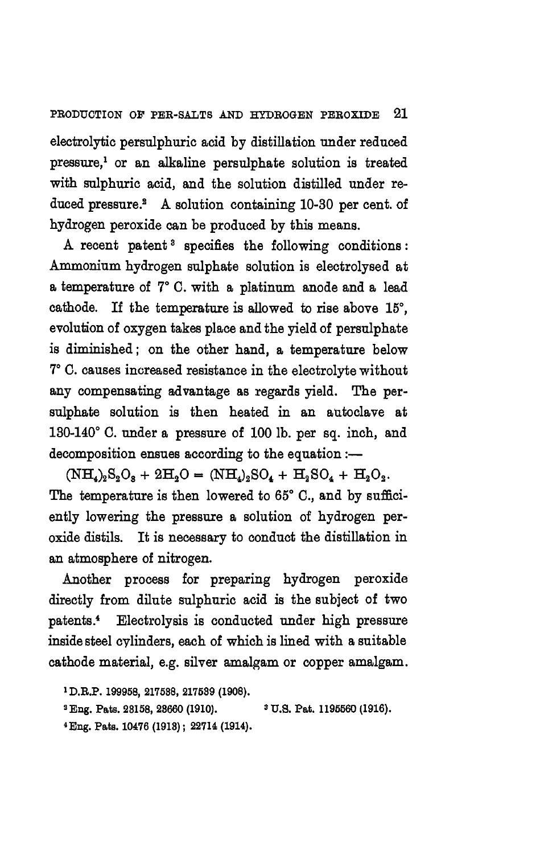#### **PRODUCTION OF PER-SALTS AND HYDROGEN PEROXIDE 21**

**electrolytic persulphuric acid by distillation under reduced pressure,<sup>1</sup> or an alkaline persulphate solution is treated with sulphuric acid, and the solution distilled under reduced pressure.<sup>2</sup> A solution containing 10-30 per cent, of hydrogen peroxide can be produced by this means.**

**A recent patent <sup>3</sup> specifies the following conditions: Ammonium hydrogen sulphate solution is electrolysed at a temperature of 7° 0 . with a platinum anode and a lead cathode. If the temperature is allowed to rise above 15°, evolution of oxygen takes place and the yield of persulphate is diminished; on the other hand, a temperature below 7° C. causes increased resistance in the electrolyte without any compensating advantage as regards yield. The persulphate solution is then heated in an autoclave at 130-140° C. under a pressure of 100 lb. per sq. inch, and decomposition ensues according to the equation :—**

 $(\text{NH}_4)_2\text{S}_2\text{O}_8 + 2\text{H}_2\text{O} = (\text{NH}_4)_2\text{SO}_4 + \text{H}_2\text{SO}_4 + \text{H}_2\text{O}_2.$ **The temperature is then lowered to 65° 0., and by sufficiently lowering the pressure a solution of hydrogen peroxide distils. It is necessary to conduct the distillation in an atmosphere of nitrogen.**

**Another process for preparing hydrogen peroxide directly from dilute sulphuric acid is the subject of two patents.<sup>4</sup> Electrolysis is conducted under high pressure inside steel cylinders, each of which is lined with a suitable cathode material, e.g. silver amalgam or copper amalgam.**

**P. 199958, 217538, 217539 (1908).**

**<sup>3</sup> Eng. Pats. 23158, 23660 (1910). » U.S. Pat. 1195560 (1916).**

**<sup>4</sup>Eng. Pats. 10476 (1913); 22714: (1914).**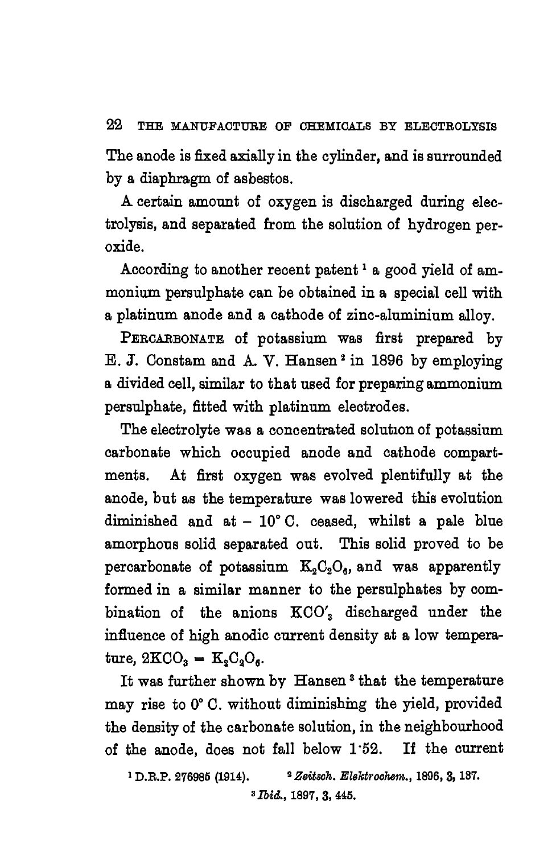22 THE MANUFACTURE OF CHEMICALS BY ELECTEOLYSIS The anode is fixed axially in the cylinder, and is surrounded by a diaphragm of asbestos.

A certain amount of oxygen is discharged during electrolysis, and separated from the solution of hydrogen peroxide.

According to another recent patent<sup>1</sup> a good yield of ammonium persulphate can be obtained in a special cell with a platinum anode and a cathode of zinc-aluminium alloy.

PERCARBONATE of potassium was first prepared by E. J. Constam and A. V. Hansen<sup>2</sup> in 1896 by employing a divided cell, similar to that used for preparing ammonium persulphate, fitted with platinum electrodes.

The electrolyte was a concentrated solution of potassium carbonate which occupied anode and cathode compartments. At first oxygen was evolved plentifully at the anode, but as the temperature was lowered this evolution diminished and at  $-10^{\circ}$  C. ceased, whilst a pale blue amorphous solid separated out. This solid proved to be percarbonate of potassium  $K_2C_2O_6$ , and was apparently formed in a similar manner to the persulphates by combination of the anions  $KCO'_{3}$  discharged under the influence of high anodic current density at a low temperature,  $2KCO<sub>3</sub> = K<sub>3</sub>C<sub>3</sub>O<sub>6</sub>$ .

It was further shown by Hansen<sup>3</sup> that the temperature may rise to  $0^{\circ}$  C. without diminishing the yield, provided the density of the carbonate solution, in the neighbourhood of the anode, does not fall below  $1.52$ . If the current

<sup>1</sup> D.R.P. 276985 (1914). <sup>2</sup> *Zeitsch. Elektrochem.<sup>t</sup>* 1896, 3,137. *.,* 1897,3,445.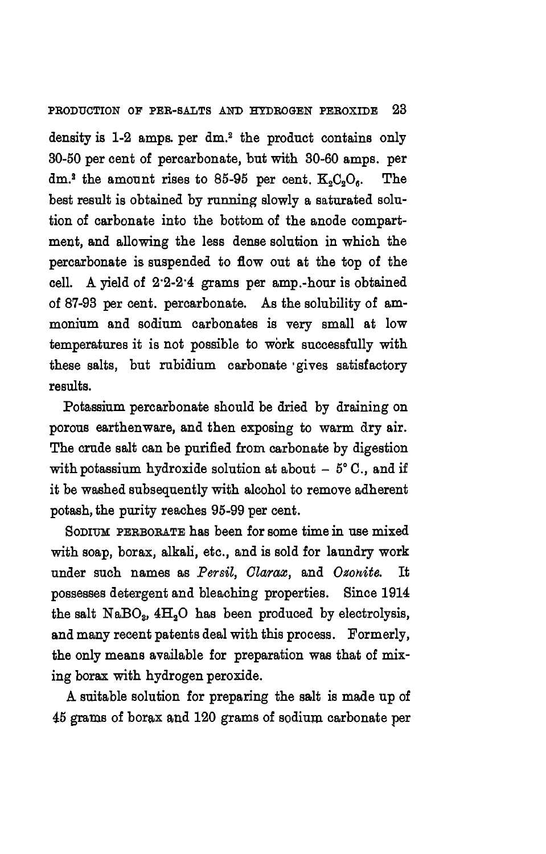#### PRODUCTION OF PER-SALTS AND HYDROGEN PEROXIDE 23

density is 1-2 amps. per dm.<sup>2</sup> the product contains only 30-50 per cent of percarbonate, but with 30-60 amps, per dm.<sup>2</sup> the amount rises to 85-95 per cent.  $K_2C_2O_6$ . The best result is obtained by running slowly a saturated solution of carbonate into the bottom of the anode compartment, and allowing the less dense solution in which the percarbonate is suspended to flow out at the top of the cell. A yield of  $2.2-2.4$  grams per amp.-hour is obtained of 87-93 per cent, percarbonate. As the solubility of ammonium and sodium carbonates is very small at low temperatures it is not possible to work successfully with these salts, but rubidium carbonate 'gives satisfactory results.

Potassium percarbonate should be dried by draining on porous earthenware, and then exposing to warm dry air. The crude salt can be purified from carbonate by digestion with potassium hydroxide solution at about  $-5^{\circ}$  C., and if it be washed subsequently with alcohol to remove adherent potash, the purity reaches 95-99 per cent.

SODIUM PERBORATE has been for some time in use mixed with soap, borax, alkali, etc., and is sold for laundry work under such names as *Persil, Clarax,* and *Ozonite.* It possesses detergent and bleaching properties. Since 1914 the salt  $NaBO<sub>3</sub>$ ,  $4H<sub>3</sub>O$  has been produced by electrolysis, and many recent patents deal with this process. Formerly, the only means available for preparation was that of mixing borax with hydrogen peroxide.

A suitable solution for preparing the salt is made up of 45 grams of borax and 120 grams of sodium carbonate per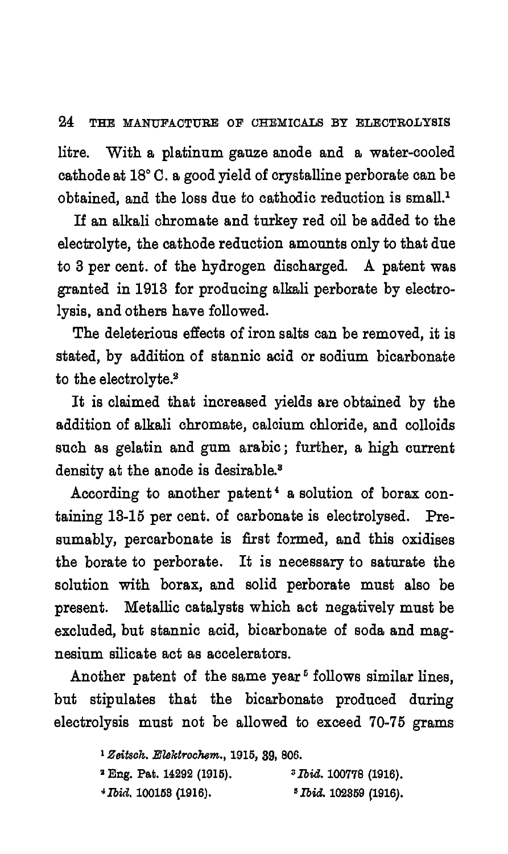litre. With a platinum gauze anode and a water-cooled cathode at 18° 0. a good yield of crystalline perborate can be obtained, and the loss due to cathodic reduction is small.<sup>1</sup>

If an alkali chromate and turkey red oil be added to the electrolyte, the cathode reduction amounts only to that due to 3 per cent, of the hydrogen discharged. A patent was granted in 1913 for producing alkali perborate by electrolysis, and others have followed.

The deleterious effects of iron salts can be removed, it is stated, by addition of stannic acid or sodium bicarbonate to the electrolyte.<sup>2</sup>

It is claimed that increased yields are obtained by the addition of alkali chromate, calcium chloride, and colloids such as gelatin and gum arabic; further, a high current density at the anode is desirable.<sup>8</sup>

According to another patent<sup>4</sup> a solution of borax containing 13-15 per cent, of carbonate is electrolysed. Presumably, percarbonate is first formed, and this oxidises the borate to perborate. It is necessary to saturate the solution with borax, and solid perborate must also be present. Metallic catalysts which act negatively must be excluded, but stannic acid, bicarbonate of soda and magnesium silicate act as accelerators.

Another patent of the same year<sup>5</sup> follows similar lines, but stipulates that the bicarbonate produced during electrolysis must not be allowed to exceed 70-75 grams

> *tJZeitsch. Elektrochem.,* 1915, 39, 806. 2 Eng. Pat. 14292 (1915). *\*Ibia.* 100778 (1916). *4 Ibid.* 100153 (1916). *\* Ibid.* 102359 (1916).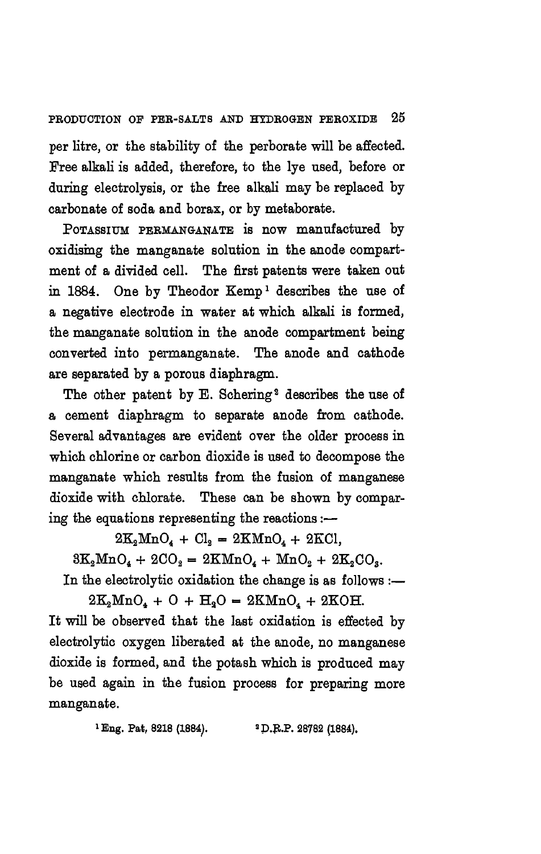PRODUCTION OF PER-SALTS AND HYDROGEN PEROXIDE 25

per litre, or the stability of the perborate will be affected. Free alkali is added, therefore, to the lye used, before or during electrolysis, or the free alkali may be replaced by carbonate of soda and borax, or by metaborate.

POTASSIUM PERMANGANATE is now manufactured by oxidising the manganate solution in the anode compartment of a divided cell. The first patents were taken out in 1884. One by Theodor Kemp<sup>1</sup> describes the use of a negative electrode in water at which alkali is formed, the manganate solution in the anode compartment being converted into permanganate. The anode and cathode are separated by a porous diaphragm.

The other patent by E. Schering<sup>2</sup> describes the use of a cement diaphragm to separate anode from cathode. Several advantages are evident over the older process in which chlorine or carbon dioxide is used to decompose the manganate which results from the fusion of manganese dioxide with chlorate. These can be shown by comparing the equations representing the reactions:—

 $2K_2MnO_4 + Cl_2 = 2KMnO_4 + 2KCl$ ,

 $3K_2MnO_4 + 2CO_2 = 2KMnO_4 + MnO_2 + 2K_2CO_3$ .

In the electrolytic oxidation the change is as follows :—

 $2K_2MnO_4 + O + H_2O = 2KMnO_4 + 2KOH.$ It will be observed that the last oxidation is effected by electrolytic oxygen liberated at the anode, no manganese dioxide is formed, and the potash which is produced may be used again in the fusion process for preparing more manganate.

> <sup>J</sup>Eng. Pat, 8218 (1884). <sup>2</sup>D.R.P. 28782 (1884).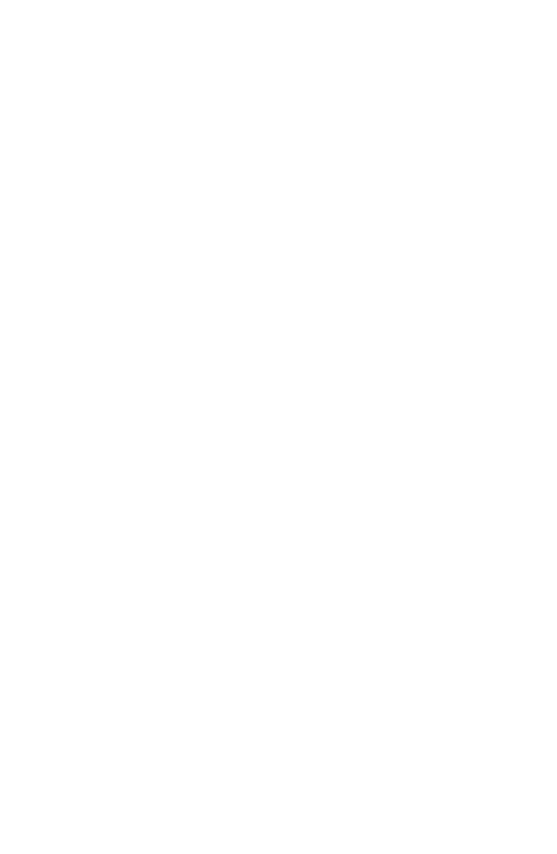A cell used by the Salzbergwerke,<sup>1</sup> Stassfürt, is shown in section in Fig. 7. It is of iron, and contains the solution of manganate, which is replenished by gradual solution of the fused product contained in the metal baskets B. The cathodes are immersed in cement boxes C which serve as diaphragms, and sheet iron anodes A dip into the liquor between the metal baskets and the cement cathode



FIG. 7.

compartments; 1 kilogram of permanganate requires about 0.7 K.W.H. and the voltage is about 28 volts.

The Griesheim Elektron Company<sup>2</sup> use a closed diaphragm cell for preparing metallic permanganates, which is fitted with tubes for the escape of electrolytic gas. Their method for preparing the calcium salt is as follows : The cathode compartment contains caustic potash solution, and the anode compartment is filled with saturated manganate

> \*D.R.P. 101710 (1898), <sup>2</sup> Ibid. 145368 (1904).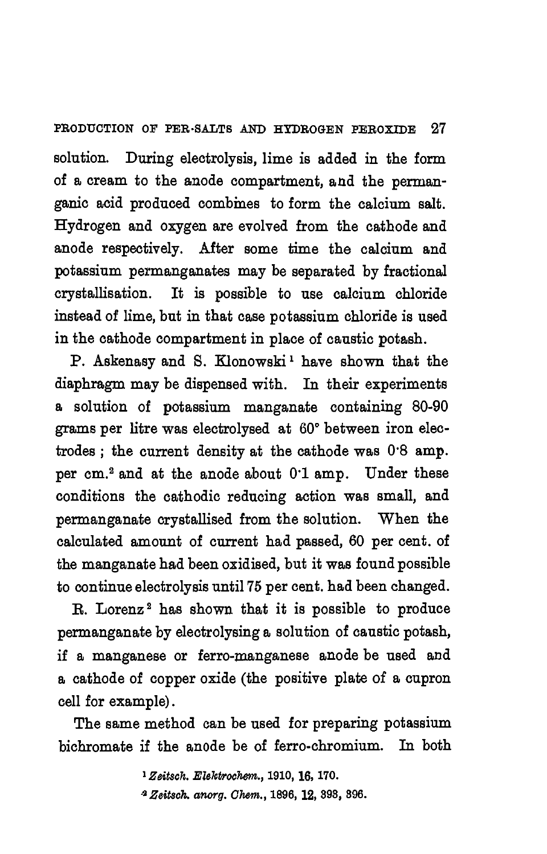PRODUCTION OF PER-SALTS AND HYDROGEN PEROXIDE 27

solution. During electrolysis, lime is added in the form of a cream to the anode compartment, and the permanganic acid produced combines to form the calcium salt. Hydrogen and oxygen are evolved from the cathode and anode respectively. After some time the calcium and potassium permanganates may be separated by fractional crystallisation. It is possible to use calcium chloride instead of lime, but in that case potassium chloride is used in the cathode compartment in place of caustic potash.

P. Askenasy and S. Klonowski<sup>1</sup> have shown that the diaphragm may be dispensed with. In their experiments a solution of potassium manganate containing 80-90 grams per litre was electrolysed at 60° between iron electrodes ; the current density at the cathode was 0\*8 amp. per cm.<sup>2</sup> and at the anode about O'l amp. Under these conditions the cathodic reducing action was small, and permanganate crystallised from the solution. "When the calculated amount of current had passed, 60 per cent, of the manganate had been oxidised, but it was found possible to continue electrolysis until 75 per cent, had been changed.

R. Lorenz<sup>2</sup> has shown that it is possible to produce permanganate by electrolysing a solution of caustic potash, if a manganese or ferro-manganese anode be used and a cathode of copper oxide (the positive plate of a cupron cell for example).

The same method can be used for preparing potassium bichromate if the anode be of ferro-chromium. In both

> *1 Zeitsch. EUktrochem.,* 1910,16, 170. *^Zeitsch. anorg. Chem.,* 1896,12, 393, 396.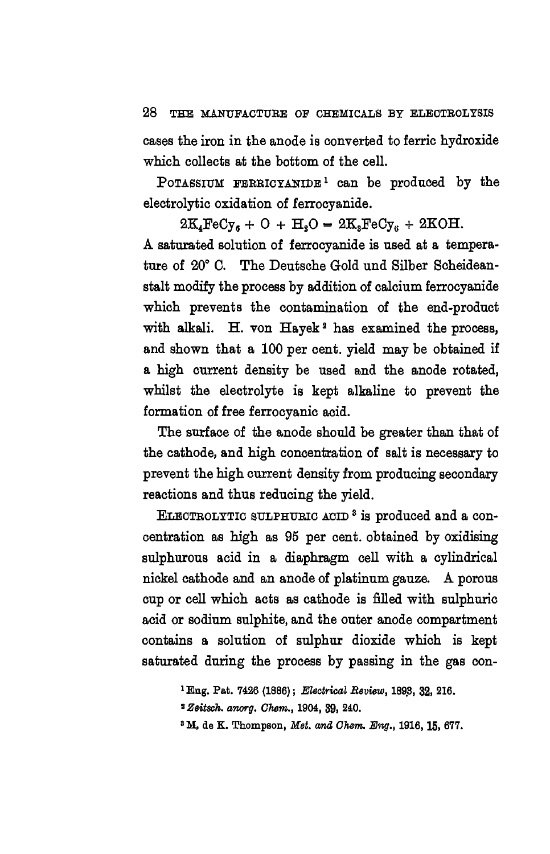cases the iron in the anode is converted to ferric hydroxide which collects at the bottom of the cell.

POTASSIUM FEBBICYANIDE*<sup>l</sup>* can be produced by the electrolytic oxidation of ferrocyanide.

 $2K_4FeCy_6 + 0 + H_3O = 2K_3FeCy_6 + 2KOH.$ A saturated solution of ferrocyanide is used at a temperature of 20° C. The Deutsche Gold und Silber Scheideanstalt modify the process by addition of calcium ferrocyanide which prevents the contamination of the end-product with alkali. H. von Hayek<sup>2</sup> has examined the process, and shown that a 100 per cent, yield may be obtained if a high current density be used and the anode rotated, whilst the electrolyte is kept alkaline to prevent the formation of free ferrocyanic acid.

The surface of the anode should be greater than that of the cathode, and high concentration of salt is necessary to prevent the high current density from producing secondary reactions and thus reducing the yield.

ELECTROLYTIC SULPHURIC ACID<sup>3</sup> is produced and a concentration as high as 95 per cent, obtained by oxidising sulphurous acid in a diaphragm cell with a cylindrical nickel cathode and an anode of platinum gauze. A porous cup or cell which acts as cathode is filled with sulphuric acid or sodium sulphite, and the outer anode compartment contains a solution of sulphur dioxide which is kept saturated during the process by passing in the gas con-

> ing . Pat. 7426 (1886); *Electrical Review,* 1893, 32, 216. *\*Zeitsch. anorg. Chem.,* 1904, 39, 240.

<sup>3</sup>M> de K. Thompson, *Met. and Chem. Eng.,* 1916,15, 677.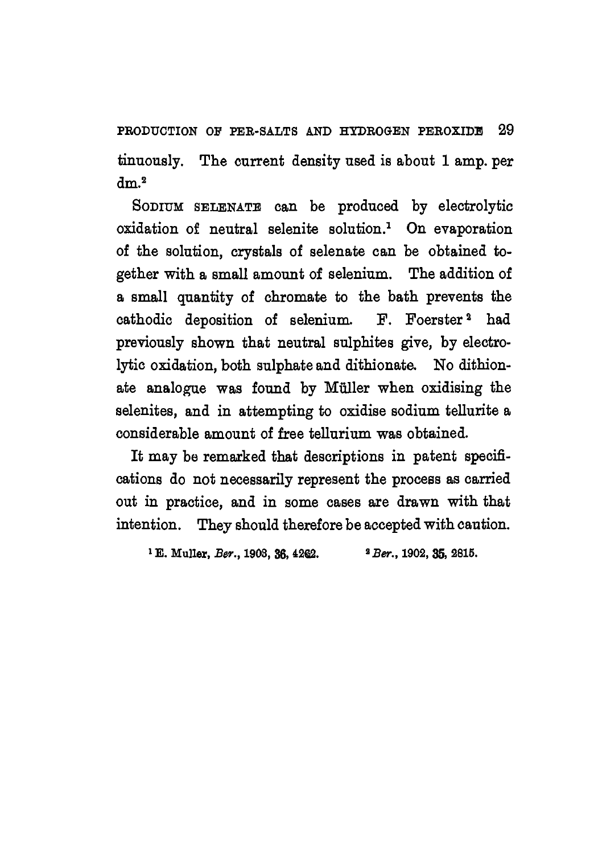PRODUCTION OF PER-SALTS AND HYDROGEN PEROXIDE 29 tinuously. The current density used is about 1 amp. per  $dm<sup>2</sup>$ 

SODIUM SELENATE can be produced by electrolytic oxidation of neutral selenite solution.<sup>1</sup> On evaporation of the solution, crystals of selenate can be obtained together with a small amount of selenium. The addition of a small quantity of chromate to the bath prevents the cathodic deposition of selenium. F. Foerster<sup>2</sup> had previously shown that neutral sulphites give, by electrolytic oxidation, both sulphate and dithionate. No dithionate analogue was found by Müller when oxidising the selenites, and in attempting to oxidise sodium tellurite a considerable amount of free tellurium was obtained.

It may be remarked that descriptions in patent specifications do not necessarily represent the process as carried out in practice, and in some cases are drawn with that intention. They should therefore be accepted with caution.

<sup>1</sup>E. Muller, *Ber.,* 1903, 36, 42S2. <sup>2</sup> *Ber.9*1902, 35, 2815.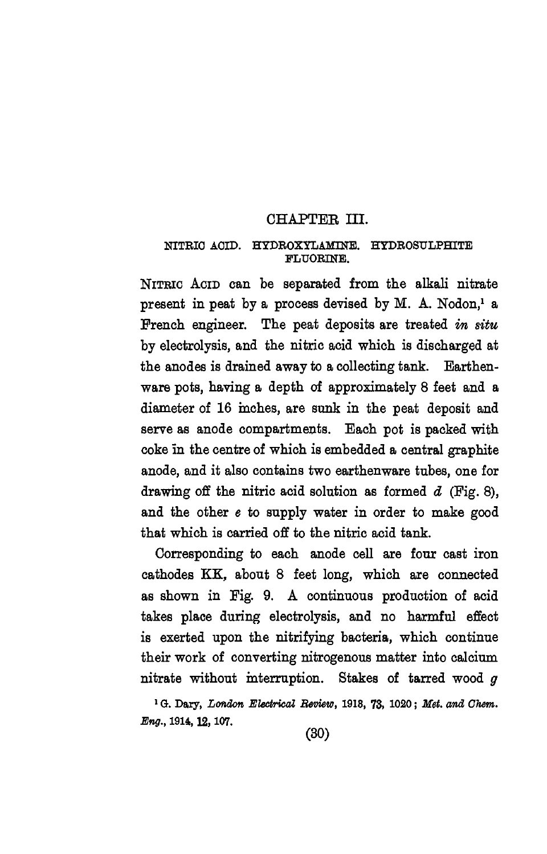# OHAPTEE III.

#### NITBIO ACID. HYDEOXYLAMINE. HYDROSULPHITE FLUORINE.

NITRIC ACID can be separated from the alkali nitrate present in peat by a process devised by M. A. Nodon,<sup>1</sup> a French engineer. The peat deposits are treated *in situ* by electrolysis, and the nitric acid which is discharged at the anodes is drained away to a collecting tank. Earthenware pots, having a depth of approximately 8 feet and a diameter of 16 inches, are sunk in the peat deposit and serve as anode compartments. Each pot is packed with coke in the centre of which is embedded a central graphite anode, and it also contains two earthenware tubes, one for drawing off the nitric acid solution as formed *d* (Fig. 8), and the other *e* to supply water in order to make good that which is carried off to the nitric acid tank.

Corresponding to each anode cell are four cast iron cathodes KK, about 8 feet long, which are connected as shown in Fig. 9. A continuous production of acid takes place during electrolysis, and no harmful effect is exerted upon the nitrifying bacteria, which continue their work of converting nitrogenous matter into calcium nitrate without interruption. Stakes of tarred wood *g*

<sup>1</sup>Q. Dary, *London Electrical Beview,* 1913, 73, 1020; *Met and Chem.* Eng., 1914, 12, 107.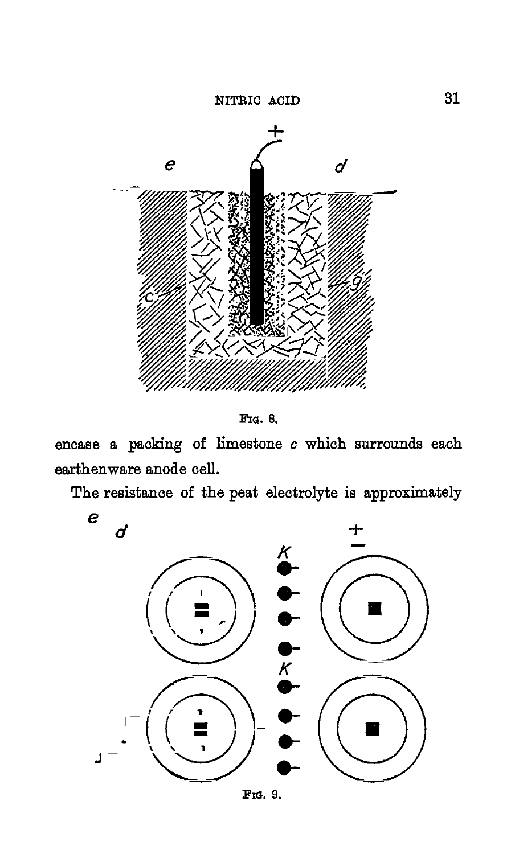

FIG. 8.

encase a packing of limestone *c* which surrounds each earthenware anode cell.

The resistance of the peat electrolyte is approximately

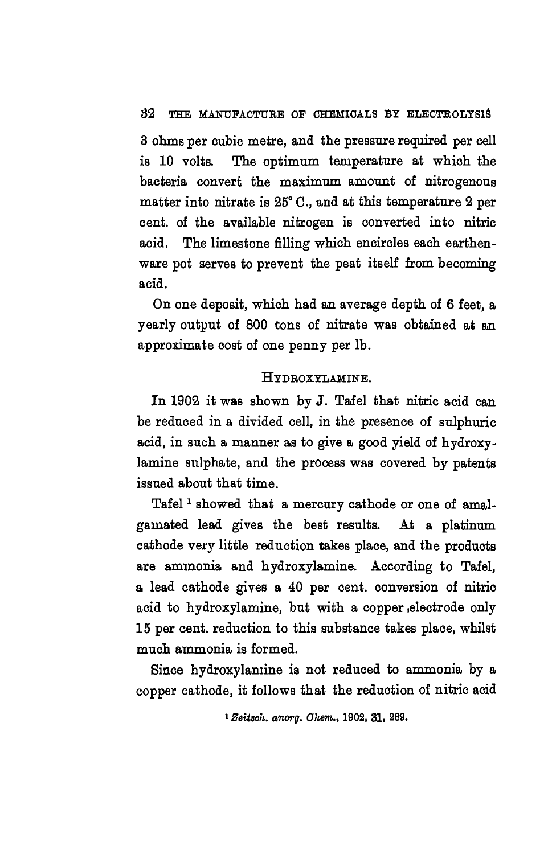3 ohms per cubic metre, and the pressure required per cell is 10 volts. The optimum temperature at which the bacteria convert the maximum amount of nitrogenous matter into nitrate is 25° C, and at this temperature 2 per cent, of the available nitrogen is converted into nitric acid. The limestone filling which encircles each earthenware pot serves to prevent the peat itself from becoming acid.

On one deposit, which had an average depth of 6 feet, a yearly output of 800 tons of nitrate was obtained at an approximate cost of one penny per 1b.

#### HYDROXYLAMINE.

In 1902 it was shown by J. Tafel that nitric acid can be reduced in a divided cell, in the presence of sulphuric acid, in such a manner as to give a good yield of hydroxylamine sulphate, and the process was covered by patents issued about that time.

Tafel<sup>1</sup> showed that a mercury cathode or one of amalgamated lead gives the best results. At a platinum cathode very little reduction takes place, and the products are ammonia and hydroxylamine. According to Tafel, a lead cathode gives a 40 per cent, conversion of nitric acid to hydroxylamine, but with a copper electrode only 15 per cent. reduction to this substance takes place, whilst much ammonia is formed.

Since hydroxylamine is not reduced to ammonia by a copper cathode, it follows that the reduction of nitric acid

<sup>&</sup>lt;sup>1</sup> Zeitsch. anorg. Chem., 1902, **31**, 289.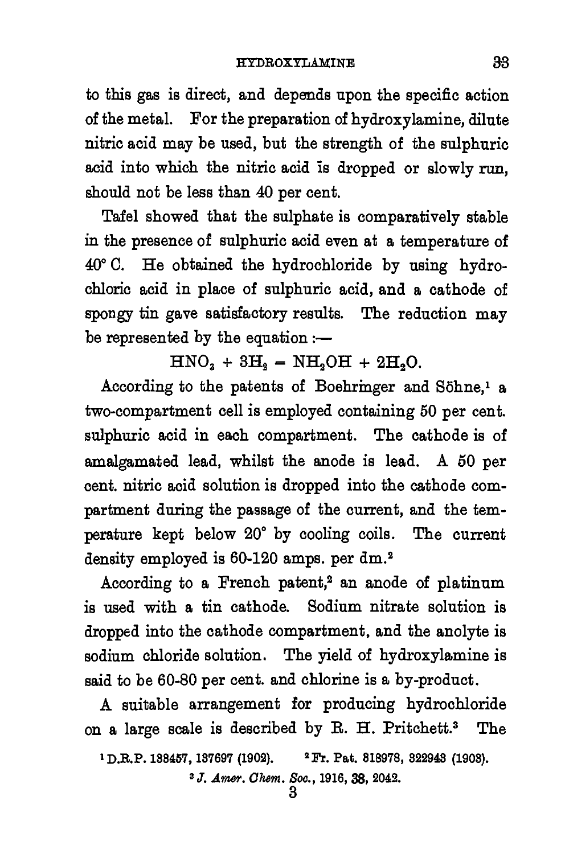to this gas is direct, and depends upon the specific action of the metal. For the preparation of hydroxylamine, dilute nitric acid may be used, but the strength of the sulphuric acid into which the nitric acid is dropped or slowly run, should not be less than 40 per cent.

Tafel showed that the sulphate is comparatively stable in the presence of sulphuric acid even at a temperature of 40° C. He obtained the hydrochloride by using hydrochloric acid in place of sulphuric acid, and a cathode of spongy tin gave satisfactory results. The reduction may be represented by the equation :—

 $HNO<sub>3</sub> + 3H<sub>2</sub> = NH<sub>2</sub>OH + 2H<sub>2</sub>O.$ 

According to the patents of Boehringer and Söhne,<sup>1</sup> a two-compartment cell is employed containing 50 per cent, sulphuric acid in each compartment. The cathode is of amalgamated lead, whilst the anode is lead. A 50 per cent, nitric acid solution is dropped into the cathode compartment during the passage of the current, and the temperature kept below 20° by cooling coils. The current density employed is 60-120 amps, per dm.<sup>2</sup>

According to a French patent,<sup>2</sup> an anode of platinum is used with a tin cathode. Sodium nitrate solution is dropped into the cathode compartment, and the anolyte is sodium chloride solution. The yield of hydroxylamine is said to be 60-80 per cent, and chlorine is a by-product.

A suitable arrangement for producing hydrochloride on a large scale is described by E. H. Pritchett.<sup>3</sup> The

1 D.B.P. 133457,137697 (1902). <sup>2</sup>Fr. Pat. 318978, 322943 (1903).

3  *J. Atner. Chem. Soc,* 1916, 38, 2042.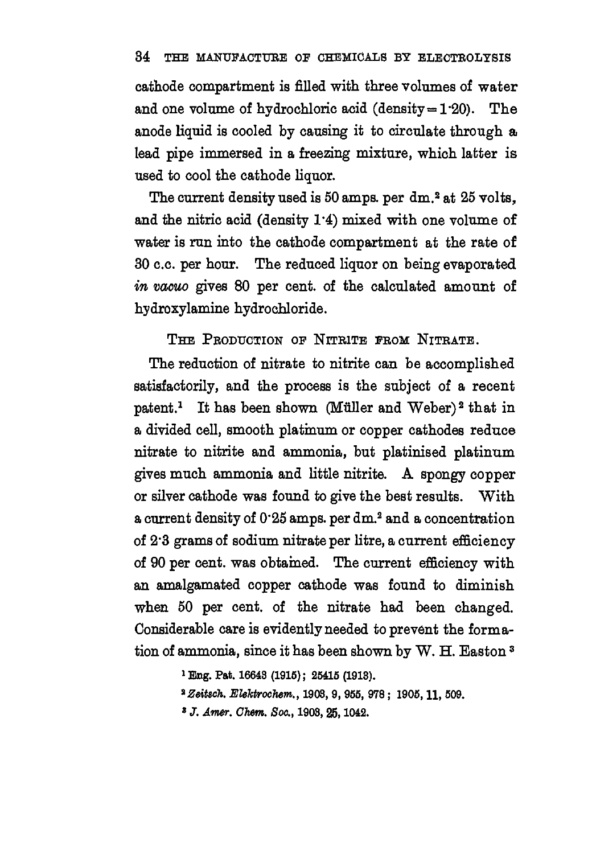cathode compartment is filled with three volumes of water and one volume of hydrochloric acid (density  $= 1.20$ ). The anode liquid is cooled by causing it to circulate through a lead pipe immersed in a freezing mixture, which latter is used to cool the cathode liquor.

The current density used is 50 amps. per dm.<sup>2</sup> at 25 volts, and the nitric acid (density 1.4) mixed with one volume of water is run into the cathode compartment at the rate of 30 c.c. per hour. The reduced liquor on being evaporated *in vacuo* gives 80 per cent, of the calculated amount of hydroxylamine hydrochloride.

THE PRODUCTION OF NITRITE FROM NITRATE.

The reduction of nitrate to nitrite can be accomplished satisfactorily, and the process is the subject of a recent patent.<sup>1</sup> It has been shown (Müller and Weber)<sup>2</sup> that in a divided cell, smooth platinum or copper cathodes reduce nitrate to nitrite and ammonia, but platinised platinum gives much ammonia and little nitrite. A spongy copper or silver cathode was found to give the best results. With a current density of  $0.25$  amps. per dm.<sup>2</sup> and a concentration of 2\*3 grams of sodium nitrate per litre, a current efficiency of 90 per cent, was obtained. The current efficiency with an amalgamated copper cathode was found to diminish when 50 per cent, of the nitrate had been changed. Considerable care is evidently needed to prevent the formation of ammonia, since it has been shown by W. H. Easton<sup>3</sup>

<sup>1</sup>Eng. Pat. 16643 (1915); 25415 (1913).

*\*Zeitsch. Elektrochem.,* 1903, 9, 955, 978 ; 1905,11, 509.

<sup>3</sup> J. Amer. Chem. Soc., 1903, 25, 1042.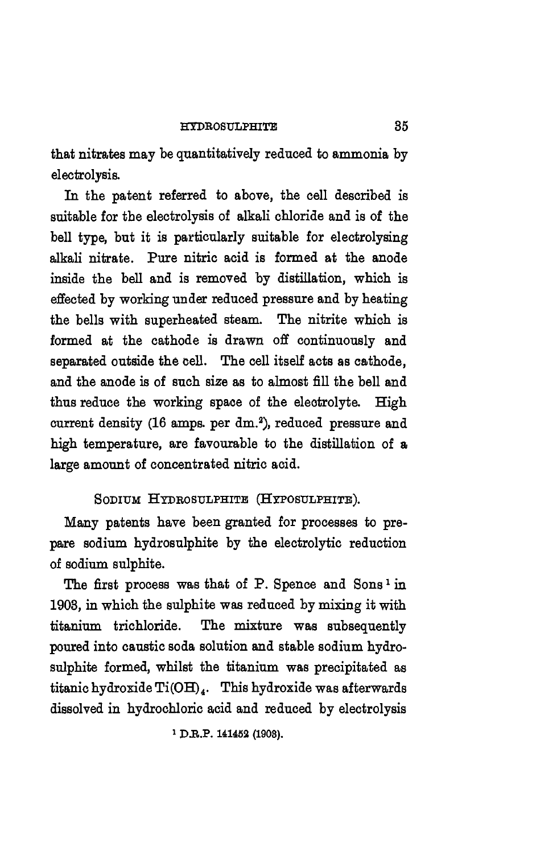ETDBOSULPHITE 35

that nitrates may be quantitatively reduced to ammonia by electrolysis.

In the patent referred to above, the cell described is suitable for the electrolysis of alkali chloride and is of the bell type, but it is particularly suitable for electrolysing alkali nitrate. Pure nitric acid is formed at the anode inside the bell and is removed by distillation, which is effected by working under reduced pressure and by heating the bells with superheated steam. The nitrite which is formed at the cathode is drawn off continuously and separated outside the cell. The cell itself acts as cathode, and the anode is of such size as to almost fill the bell and thus reduce the working space of the electrolyte. High current density (16 amps. per dm.<sup>2</sup>), reduced pressure and high temperature, are favourable to the distillation of a large amount of concentrated nitric acid.

# SODIUM HYDROSULPHITE (HYPOSULPHITE).

Many patents have been granted for processes to prepare sodium hydrosulphite by the electrolytic reduction of sodium sulphite.

The first process was that of P. Spence and Sons<sup>1</sup> in 1903, in which the sulphite was reduced by mixing it with titanium trichloride. The mixture was subsequently poured into caustic soda solution and stable sodium hydrosulphite formed, whilst the titanium was precipitated as titanic hydroxide  $Ti(OH)_4$ . This hydroxide was afterwards dissolved in hydrochloric acid and reduced by electrolysis

<sup>1</sup> D.R.P. 141452 (1903).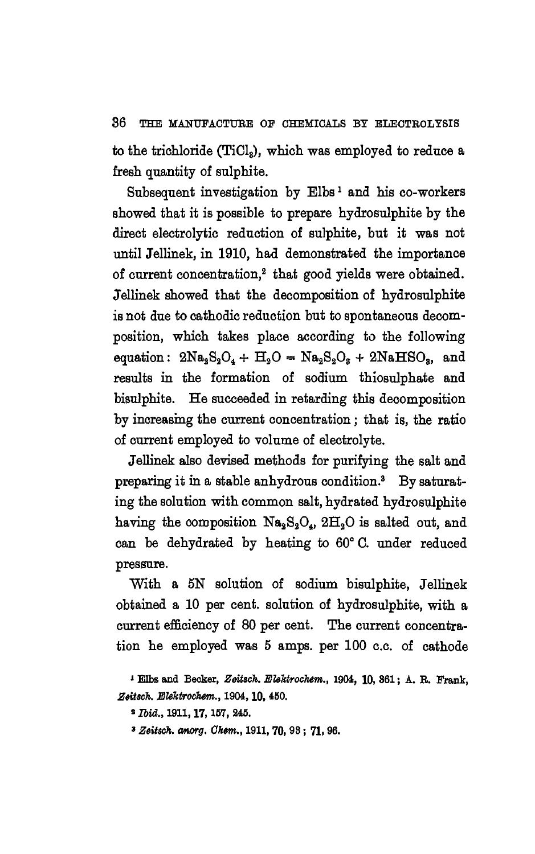36 THE MANtTFACTUBE OF CHEMICALS BY ELBOTEOLYSIS to the trichloride (TiCl<sub>a</sub>), which was employed to reduce a fresh quantity of sulphite.

Subsequent investigation by Elbs<sup>1</sup> and his co-workers showed that it is possible to prepare hydrosulphite by the direct electrolytic reduction of sulphite, but it was not until Jellinek, in 1910, had demonstrated the importance of current concentration,<sup>2</sup> that good yields were obtained. Jellinek showed that the decomposition of hydrosulphite is not due to cathodic reduction but to spontaneous decomposition, which takes place according to the following equation:  $2Na<sub>3</sub>S<sub>2</sub>O<sub>4</sub> + H<sub>2</sub>O = Na<sub>2</sub>S<sub>2</sub>O<sub>3</sub> + 2NaHSO<sub>3</sub>$ , and results in the formation of sodium thiosulphate and bisulphite. He succeeded in retarding this decomposition by increasing the current concentration; that is, the ratio of current employed to volume of electrolyte.

Jellinek also devised methods for purifying the salt and preparing it in a stable anhydrous condition.<sup>3</sup> By saturating the solution with common salt, hydrated hydrosulphite having the composition  $\text{Na}_2\text{S}_2\text{O}_4$ ,  $2\text{H}_2\text{O}$  is salted out, and can be dehydrated by heating to 60° C. under reduced pressure.

With a 5N solution of sodium bisulphite, Jellinek obtained a 10 per cent, solution of hydrosulphite, with a current efficiency of 80 per cent. The current concentration he employed was 5 amps, per 100 c.c. of cathode

» *Zeitsch, anorg. Chem.<sup>t</sup>* 1911,70, 93 ; 71,96.

<sup>\*</sup> Elbs and Becker, *Zeitsch. EUkbrochem.,* 1904, 10, 361; A. E. Frank, *Zeitsch. EleJctrochem.,* 1904,10, 450.

a *Ibid.,* 1911,17,157, 245.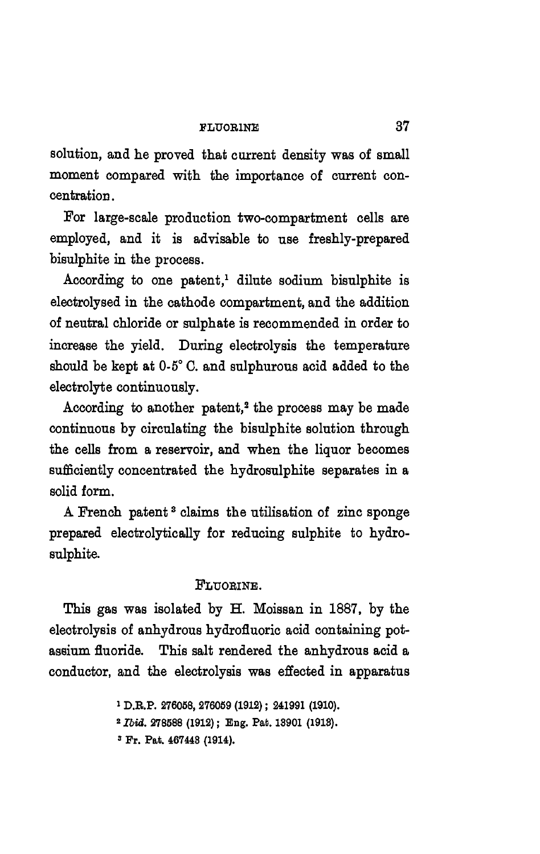solution, and he proved that current density was of small moment compared with the importance of current concentration .

For large-scale production two-compartment cells are employed, and it is advisable to use freshly-prepared bisulphite in the process.

According to one patent,<sup>1</sup> dilute sodium bisulphite is electrolysed in the cathode compartment, and the addition of neutral chloride or sulphate is recommended in order to increase the yield. During electrolysis the temperature should be kept at 0-5° 0. and sulphurous acid added to the electrolyte continuously.

According to another patent,<sup>2</sup> the process may be made continuous by circulating the bisulphite solution through the cells from a reservoir, and when the liquor becomes sufficiently concentrated the hydrosulphite separates in a solid form.

A French patent<sup>3</sup> claims the utilisation of zinc sponge prepared electrolytically for reducing sulphite to hydrosulphite.

#### FLUORINE.

This gas was isolated by H. Moissan in 1887, by the electrolysis of anhydrous hydrofluoric acid containing potassium fluoride. This salt rendered the anhydrous acid a conductor, and the electrolysis was effected in apparatus

> **<sup>1</sup> D.B.P. 276058, 276059 (1912); 241991 (1910). <sup>2</sup> Ibid. 278588 (1912); Eng. Pat. 13901 (1913). <sup>s</sup> Pr. Pat. 467443 (1914).**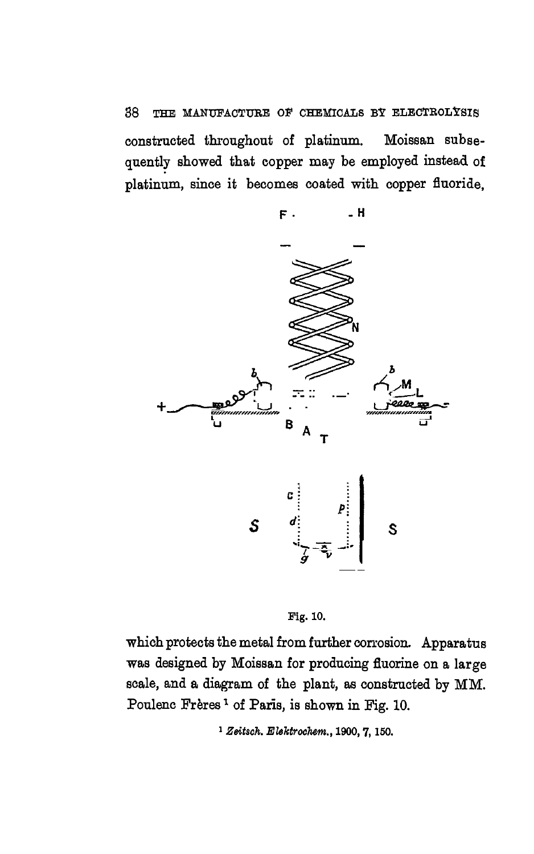38 THE MANUFACTURE OF CHEMICALS BY ELECTROLYSIS constructed throughout of platinum. Moissan subsequently showed that copper may be employed instead of platinum, since it becomes coated with copper fluoride,





**whic h protect s th e meta l fro m furthe r corrosion . Apparatu s w a s designe d b y Moissa n fo r producin g fluorine o n a larg e scale , an d a diagra m of th e plant , a s constructe d b y MM . Poulenc Freres**  $\cdot$  of **Paris**, is shown in Fig. 10.

*1 Zeitsch. EUktrochem.,* **1900, 7,150.**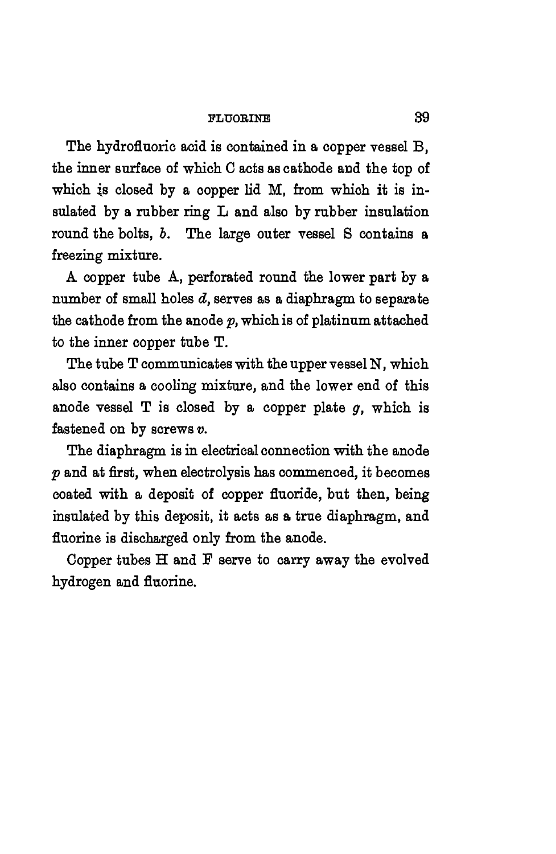The hydrofluoric acid is contained in a copper vessel B, the inner surface of which C acts as cathode and the top of which is closed by a copper lid M, from which it is insulated by a rubber ring L and also by rubber insulation round the bolts, *b.* The large outer vessel S contains a freezing mixture.

A. copper tube A, perforated round the lower part by a number of small holes *d,* serves as a diaphragm to separate the cathode from the anode *p,* which is of platinum attached to the inner copper tube T.

The tube T communicates with the upper vessel N, which also contains a cooling mixture, and the lower end of this anode vessel T is closed by a copper plate *g,* which is fastened on by screws *v.*

The diaphragm is in electrical connection with the anode *p* and at first, when electrolysis has commenced, it becomes coated with a deposit of copper fluoride, but then, being insulated by this deposit, it acts as a true diaphragm, and fluorine is discharged only from the anode.

Copper tubes H and E serve to carry away the evolved hydrogen and fluorine.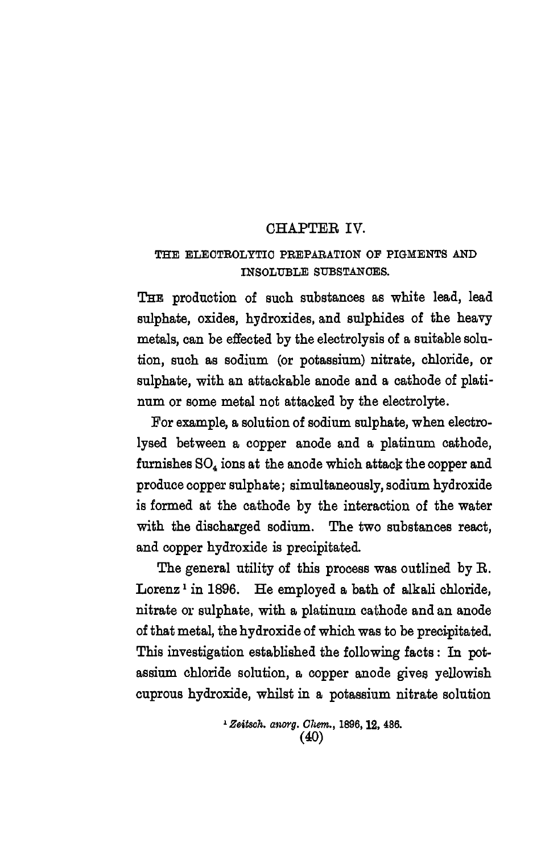# CHAPTEE IV.

# THE ELECTROLYTIC PREPARATION OF PIGMENTS AND INSOLUBLE SUBSTANCES.

THE production of such substances as white lead, lead sulphate, oxides, hydroxides, and sulphides of the heavy metals, can be effected by the electrolysis of a suitable solution, such as sodium (or potassium) nitrate, chloride, or sulphate, with an attackable anode and a cathode of platinum or some metal not attacked by the electrolyte.

For example, a solution of sodium sulphate, when electrolysed between a copper anode and a platinum cathode, furnishes SO4 ions at the anode which attack the copper and produce copper sulphate; simultaneously, sodium hydroxide is formed at the cathode by the interaction of the water with the discharged sodium. The two substances react, and copper hydroxide is precipitated.

The general utility of this process was outlined by E. Lorenz<sup>1</sup> in 1896. He employed a bath of alkali chloride, nitrate or sulphate, with a platinum cathode and an anode of that metal, the hydroxide of which was to be precipitated. This investigation established the following facts: In potassium chloride solution, a copper anode gives yellowish cuprous hydroxide, whilst in a potassium nitrate solution

*x £eitsch. anorg. Chem.,* 1896,12, 436. (40)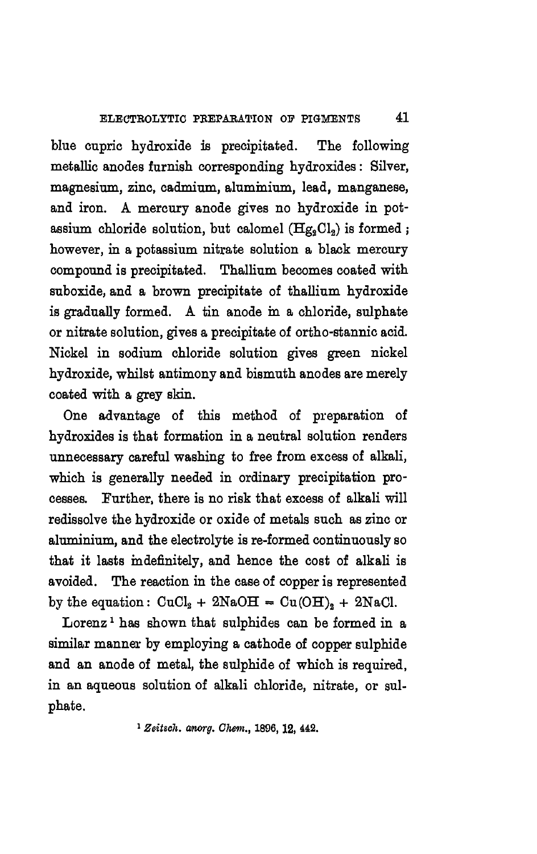ELECTROLYTIC PREPARATION OF PIGMENTS 41

blue cupric hydroxide is precipitated. The following metallic anodes furnish corresponding hydroxides: Silver, magnesium, zinc, cadmium, aluminium, lead, manganese, and iron. A mercury anode gives no hydroxide in potassium chloride solution, but calomel  $(Hg_2Cl_2)$  is formed; however, in a potassium nitrate solution a black mercury compound is precipitated. Thallium becomes coated with suboxide, and a brown precipitate of thallium hydroxide is gradually formed. A tin anode in a chloride, sulphate or nitrate solution, gives a precipitate of ortho-stannic acid. Nickel in sodium chloride solution gives green nickel hydroxide, whilst antimony and bismuth anodes are merely coated with a grey skin.

One advantage of this method of preparation of hydroxides is that formation in a neutral solution renders unnecessary careful washing to free from excess of alkali, which is generally needed in ordinary precipitation processes. Further, there is no risk that excess of alkali will redissolve the hydroxide or oxide of metals such as zinc or aluminium, and the electrolyte is re-formed continuously so that it lasts indefinitely, and hence the cost of alkali is avoided. The reaction in the case of copper is represented by the equation:  $CuCl<sub>2</sub> + 2NaOH = Cu(OH)<sub>2</sub> + 2NaCl.$ 

Lorenz<sup>1</sup> has shown that sulphides can be formed in a similar manner by employing a cathode of copper sulphide and an anode of metal, the sulphide of which is required, in an aqueous solution of alkali chloride, nitrate, or sulphate.

*l Zeitich<sup>t</sup> anorg. Chem.,* 1896, 12, 442.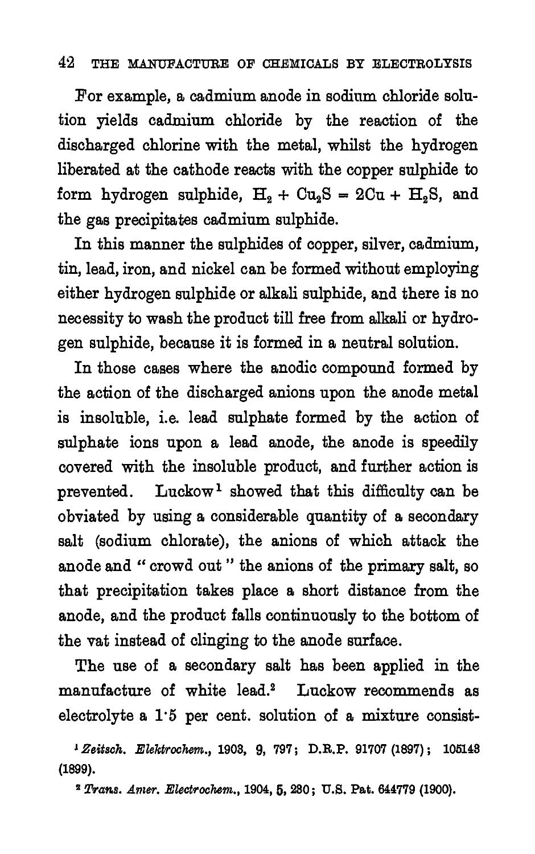For example, a cadmium anode in sodium chloride solution yields cadmium chloride by the reaction of the discharged chlorine with the metal, whilst the hydrogen liberated at the cathode reacts with the copper sulphide to form hydrogen sulphide,  $H_2 + Cu_2S = 2Cu + H_2S$ , and the gas precipitates cadmium sulphide.

In this manner the sulphides of copper, silver, cadmium, tin, lead, iron, and nickel can be formed without employing either hydrogen sulphide or alkali sulphide, and there is no necessity to wash the product till free from alkali or hydrogen sulphide, because it is formed in a neutral solution.

In those cases where the anodic compound formed by the action of the discharged anions upon the anode metal is insoluble, i.e. lead sulphate formed by the action of sulphate ions upon a lead anode, the anode is speedily covered with the insoluble product, and further action is prevented. Luckow<sup>1</sup> showed that this difficulty can be obviated by using a considerable quantity of a secondary salt (sodium chlorate), the anions of which attack the anode and " crowd out " the anions of the primary salt, so that precipitation takes place a short distance from the anode, and the product falls continuously to the bottom of the vat instead of clinging to the anode surface.

The use of a secondary salt has been applied in the manufacture of white lead.<sup>2</sup> Luckow recommends as electrolyte a 1.5 per cent, solution of a mixture consist-

*. Elektrochem.,* 1903, 9, 797; D.R.P. 91707(1897); 105143  $(1899).$ 

2  *Trans. Amer. Electrochem.,* 1904, 5, 230; U.S. Pat. 644779 (1900).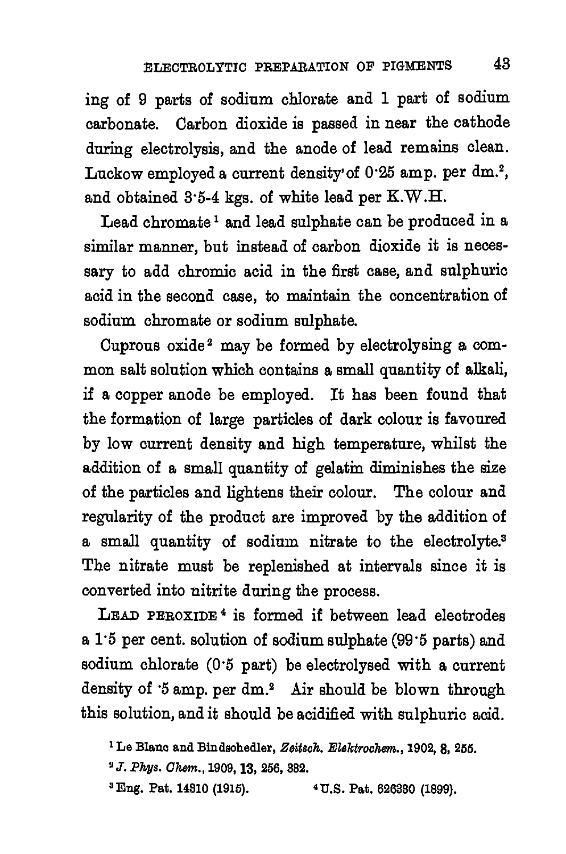ing of 9 parts of sodium chlorate and 1 part of sodium carbonate. Carbon dioxide is passed in near the cathode during electrolysis, and the anode of lead remains clean. Luckow employed a current density of  $0.25$  amp. per dm.<sup>2</sup>, and obtained 3\*5-4 kgs. of white lead per K.W.H.

Lead chromate<sup>1</sup> and lead sulphate can be produced in a similar manner, but instead of carbon dioxide it is necessary to add chromic acid in the first case, and sulphuric acid in the second case, to maintain the concentration of sodium chromate or sodium sulphate.

Cuprous oxide<sup>2</sup> may be formed by electrolysing a common salt solution which contains a small quantity of alkali, if a copper anode be employed. It has been found that the formation of large particles of dark colour is favoured by low current density and high temperature, whilst the addition of a small quantity of gelatin diminishes the size of the particles and lightens their colour. The colour and regularity of the product are improved by the addition of a small quantity of sodium nitrate to the electrolyte.<sup>3</sup> The nitrate must be replenished at intervals since it is converted into nitrite during the process.

LEAD PEROXIDE<sup>4</sup> is formed if between lead electrodes a 1\*5 per cent, solution of sodium sulphate (99'5 parts) and sodium chlorate (0.5 part) be electrolysed with a current density of 5 amp. per dm.<sup>2</sup> Air should be blown through this solution, and it should be acidified with sulphuric acid.

2  *J. Phys. Ohm.,* 1909,13, 256, 332.

<sup>3</sup>Eng, Pat. 14310 (1915). <sup>4</sup>U.S. Pat. 626330 (1899).

<sup>&</sup>lt;sup>1</sup> Le Blanc and Bindsohedler, *Zeitsch. Elektrochem*., 1902, 8, 255.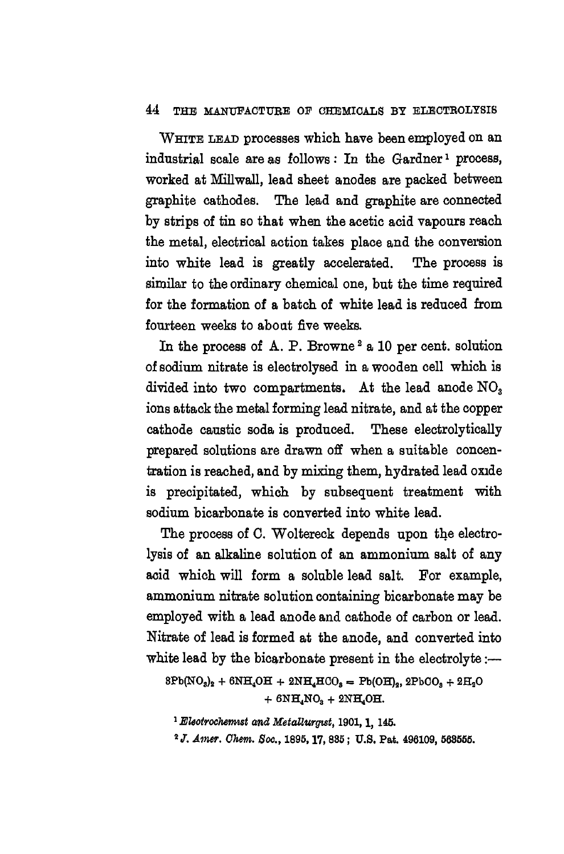WHITE LEAD processes which have been employed on an industrial scale are as follows: In the Gardner<sup>1</sup> process, worked at Millwall, lead sheet anodes are packed between graphite cathodes. The lead and graphite are connected by strips of tin so that when the acetic acid vapours reach the metal, electrical action takes place and the conversion into white lead is greatly accelerated. The process is similar to the ordinary chemical one, but the time required for the formation of a batch of white lead is reduced from fourteen weeks to about five weeks.

In the process of A. P. Browne<sup>2</sup> a 10 per cent. solution of sodium nitrate is electrolysed in a wooden cell which is divided into two compartments. At the lead anode  $NO<sub>3</sub>$ ions attack the metal forming lead nitrate, and at the copper cathode caustic soda is produced. These electrolytically prepared solutions are drawn off when a suitable concentration is reached, and by mixing them, hydrated lead oxide is precipitated, which by subsequent treatment with sodium bicarbonate is converted into white lead.

The process of C. Woltereck depends upon the electrolysis of an alkaline solution of an ammonium salt of any acid which will form a soluble lead salt. For example, ammonium nitrate solution containing bicarbonate may be employed with a lead anode and cathode of carbon or lead. Nitrate of lead is formed at the anode, and converted into white lead by the bicarbonate present in the electrolyte:—

 $3Pb(NO_3)_2 + 6NH_4OH + 2NH_4HCO_3 = Pb(OH)_2, 2PbOO_3 + 2H_2O$  $+ 6NH<sub>4</sub>NO<sub>3</sub> + 2NH<sub>4</sub>OH.$ 

1  *Electrochermst and Metallurgist,* 1901,1, 145.

<sup>2</sup> J. Amer. Chem. Soc., 1895, 17, 835; U.S. Pat. 496109, 563555.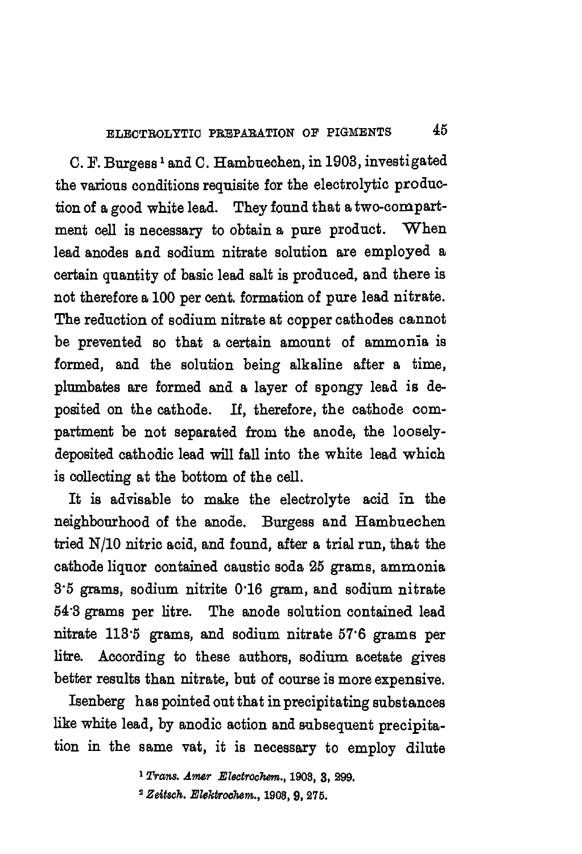C. F. Burgess<sup>1</sup> and C. Hambuechen, in 1903, investigated the various conditions requisite for the electrolytic production of a good white lead. They found that a two-compartment cell is necessary to obtain a pure product. When lead anodes and sodium nitrate solution are employed a certain quantity of basic lead salt is produced, and there is not therefore a 100 per cent. formation of pure lead nitrate. The reduction of sodium nitrate at copper cathodes cannot be prevented so that a certain amount of ammonia is formed, and the solution being alkaline after a time, plumbates are formed and a layer of spongy lead is deposited on the cathode. If, therefore, the cathode compartment be not separated from the anode, the looselydeposited cathodic lead will fall into the white lead which is collecting at the bottom of the cell.

It is advisable to make the electrolyte acid in the neighbourhood of the anode. Burgess and Hambuechen tried  $N/10$  nitric acid, and found, after a trial run, that the cathode liquor contained caustic soda 25 grams, ammonia 3'5 grams, sodium nitrite 0\*16 gram, and sodium nitrate 54\*3 grams per litre. The anode solution contained lead nitrate 113\*5 grams, and sodium nitrate 57'6 grams per litre. According to these authors, sodium acetate gives better results than nitrate, but of course is more expensive.

Isenberg has pointed out that in precipitating substances like white lead, by anodic action and subsequent precipitation in the same vat, it is necessary to employ dilute

> 1  *Trans. Amer fflectrochem.,* 1903, 3, 299. *2 Zeitsch. Elektroclieni.,* 1903, 9, 275.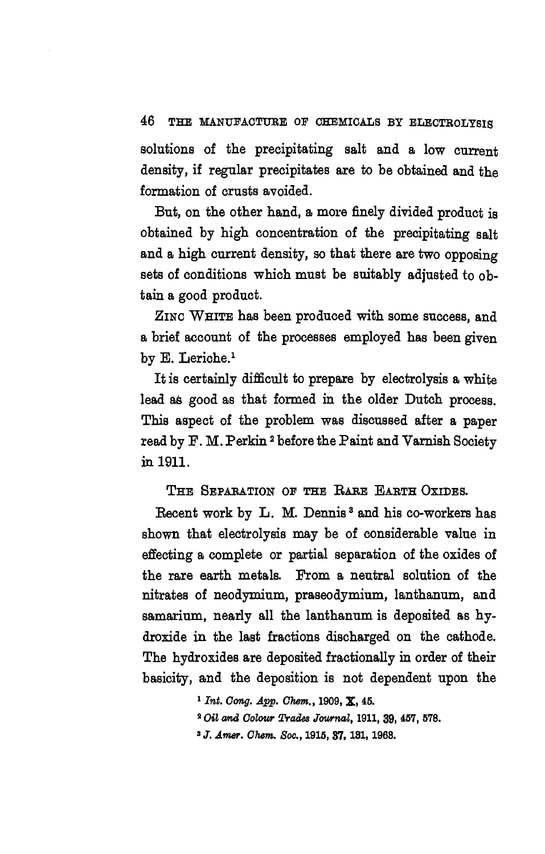solutions of the precipitating salt and a low current density, if regular precipitates are to be obtained and the formation of crusts avoided.

But, on the other hand, a more finely divided product is obtained by high concentration of the precipitating salt and a high current density, so that there are two opposing sets of conditions which must be suitably adjusted to obtain a good product.

ZINC WHITE has been produced with some success, and a brief account of the processes employed has been given by E. Leriche.<sup>1</sup>

It is certainly difficult to prepare by electrolysis a white lead as good as that formed in the older Dutch process. This aspect of the problem was discussed after a paper read by F. M. Perkin <sup>2</sup> before the Paint and Varnish Society in 1911.

THE SEPARATION OF THE RARE EARTH OXIDES.

Recent work by L. M. Dennis<sup>3</sup> and his co-workers has shown that electrolysis may be of considerable value in effecting a complete or partial separation of the oxides of the rare earth metals. From a neutral solution of the nitrates of neodymium, praseodymium, lanthanum, and samarium, nearly all the lanthanum is deposited as hydroxide in the last fractions discharged on the cathode. The hydroxides are deposited fractionally in order of their basicity, and the deposition is not dependent upon the

1  *Int. Gong. App. Chem.,* 1909, X, 45.

2  *Oil cmd Colour Trades Journal,* 1911, 39, 457, 578.

3  *J. Am&r\* Ghent. Soc,* 1915, 37,131,1963.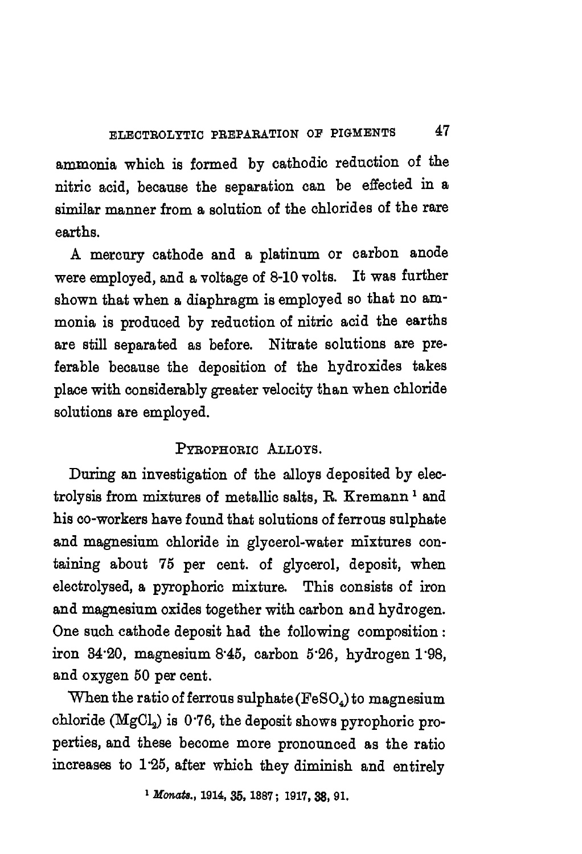ammonia which is formed by cathodic reduction of the nitric acid, because the separation can be effected in a similar manner from a solution of the chlorides of the rare earths.

A mercury cathode and a platinum or carbon anode were employed, and a voltage of 8-10 volts. It was further shown that when a diaphragm is employed so that no ammonia is produced by reduction of nitric acid the earths are still separated as before. Nitrate solutions are preferable because the deposition of the hydroxides takes place with considerably greater velocity than when chloride solutions are employed.

# PYROPHORIC ALLOYS.

During an investigation of the alloys deposited by electrolysis from mixtures of metallic salts, R. Kremann<sup>1</sup> and his co-workers have found that solutions of ferrous sulphate and magnesium chloride in glycerol-water mixtures containing about 75 per cent, of glycerol, deposit, when electrolysed, a pyrophoric mixture. This consists of iron and magnesium oxides together with carbon and hydrogen. One such cathode deposit had the following composition : iron 34'20, magnesium 8'45, carbon 5\*26, hydrogen 1\*98, and oxygen 50 per cent.

When the ratio of ferrous sulphate  $(FeSO_4)$  to magnesium chloride  $(MgCl<sub>2</sub>)$  is 0.76, the deposit shows pyrophoric properties, and these become more pronounced as the ratio increases to 1\*25, after which they diminish and entirely

1  *Monats.,* 1914, 35,1387; 1917,38, 91.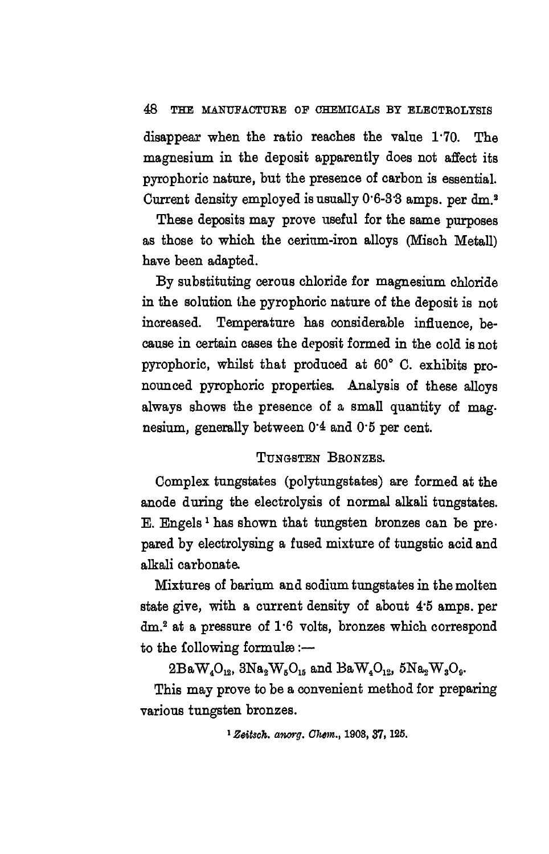disappear when the ratio reaches the value 1\*70. The magnesium in the deposit apparently does not affect its pyrophoric nature, but the presence of carbon is essential. Current density employed is usually  $0.6-3.3$  amps, per dm.<sup>2</sup>

These deposits may prove useful for the same purposes as those to which the cerium-iron alloys (Misch Metall) have been adapted.

By substituting cerous chloride for magnesium chloride in the solution the pyrophoric nature of the deposit is not increased. Temperature has considerable influence, because in certain cases the deposit formed in the cold is not pyrophoric, whilst that produced at 60° C. exhibits pronounced pyrophoric properties. Analysis of these alloys always shows the presence of a small quantity of magnesium, generally between 0'4 and 0'5 per cent.

# TUNGSTEN BRONZES.

Complex tungstates (polytungstates) are formed at the anode during the electrolysis of normal alkali tungstates. E. Engels *<sup>1</sup>* has shown that tungsten bronzes can be prepared by electrolysing a fused mixture of tungstic acid and alkali carbonate.

Mixtures of barium and sodium tungstates in the molten state give, with a current density of about 45 amps, per dm.<sup>2</sup> at a pressure of 1<sup>.6</sup> volts, bronzes which correspond to the following formulae:-

 $2BaW<sub>4</sub>O<sub>12</sub>$ ,  $3Na<sub>2</sub>W<sub>5</sub>O<sub>15</sub>$  and  $BaW<sub>4</sub>O<sub>12</sub>$ ,  $5Na<sub>2</sub>W<sub>3</sub>O<sub>9</sub>$ .

This may prove to be a convenient method for preparing various tungsten bronzes.

```
1
Zeitsch. anorg. Chem., 1903, 37,125.
```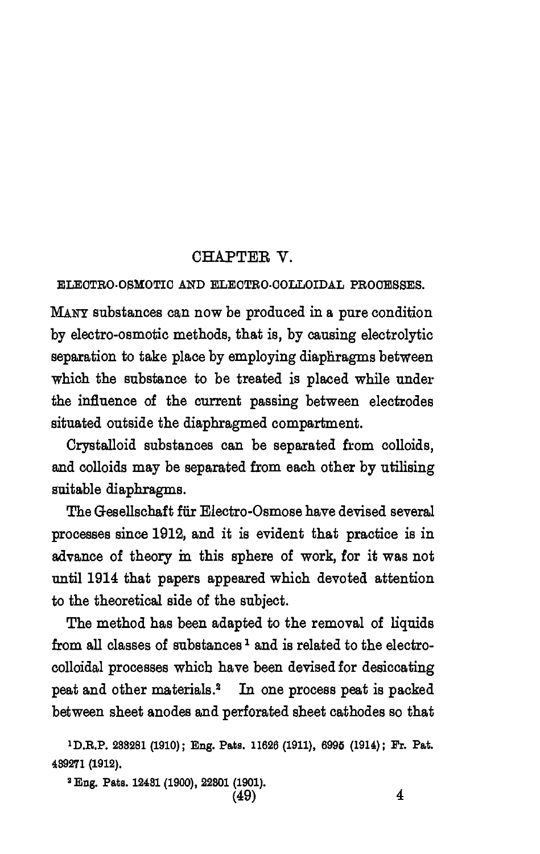# **CHAPTE E V-**

#### **ELEOTRO-OSMOTIC AND ELE0TEO-0OLLOIDAL PROCESSES.**

**MAN Y substances can now be produced in a pure condition by electro-osmotic methods, that is, by causing electrolytic separation to take place by employing diaphragms between which the substance to be treated is placed while under the influence of the current passing between electrodes situated outside the diaphragmed compartment.**

**Crystalloid substances can be separated from colloids, and colloids may be separated from each other by utilising suitable diaphragms.**

**The Gesellschaft für Electro-Osmose have devised several processes since 1912, and it is evident that practice is in advance of theory in this sphere of work, for it was not until 1914 that papers appeared which devoted attention to the theoretical side of the subject.**

**The method has been adapted to the removal of liquids** from all classes of substances<sup>1</sup> and is related to the electro**colloidal processes which have been devised for desiccating peat and other materials.<sup>2</sup> In one process peat is packed between sheet anodes and perforated sheet cathodes so that**

**. 233281 (1910); Eng. Pats. 11626 (1911), 6995 (1914); Fr. Pat. 439271 (1912).**

**<sup>2</sup> Eng. Pats. 12431 (1900), 22301 (1901).**

**(49) 4**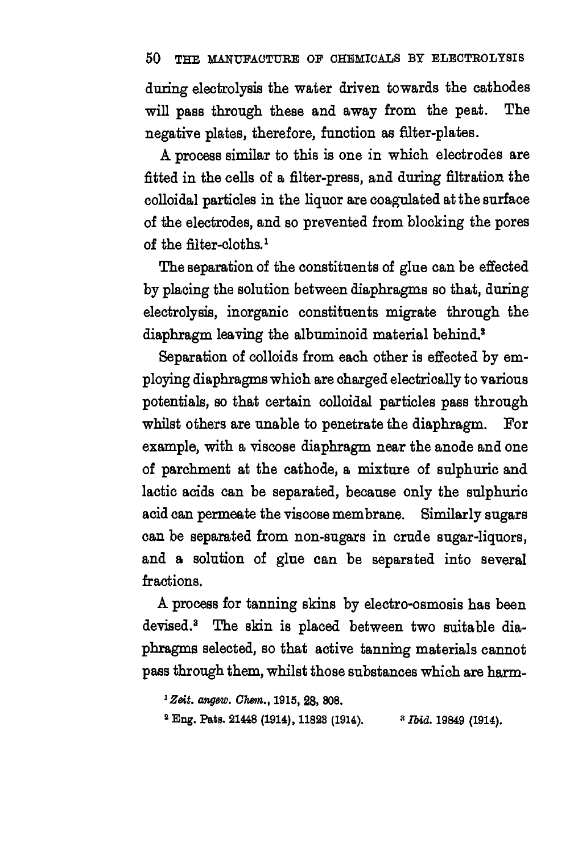during electrolysis the water driven towards the cathodes will pass through these and away from the peat. The negative plates, therefore, function as filter-plates.

A process similar to this is one in which electrodes are fitted in the cells of a filter-press, and during filtration the colloidal particles in the liquor are coagulated at the surface of the electrodes, and so prevented from blocking the pores of the filter-cloths.<sup>1</sup>

The separation of the constituents of glue can be effected by placing the solution between diaphragms so that, during electrolysis, inorganic constituents migrate through the diaphragm leaving the albuminoid material behind.<sup>2</sup>

Separation of colloids from each other is effected by employing diaphragms which are charged electrically to various potentials, so that certain colloidal particles pass through whilst others are unable to penetrate the diaphragm. For example, with a viscose diaphragm near the anode and one of parchment at the cathode, a mixture of sulphuric and lactic acids can be separated, because only the sulphuric acid can permeate the viscose membrane. Similarly sugars can be separated from non-sugars in crude sugar-liquors, and a solution of glue can be separated into several fractions.

A process for tanning skins by electro-osmosis has been devised.<sup>3</sup> The skin is placed between two suitable diaphragms selected, so that active tanning materials cannot pass through them, whilst those substances which are harm-

*l Zeit. angew. Chem.,* 1915, 28, 308.

2 Eng. Pats. 21448 (1914), 11823 (1914). » *Ibid.* 19849 (1914).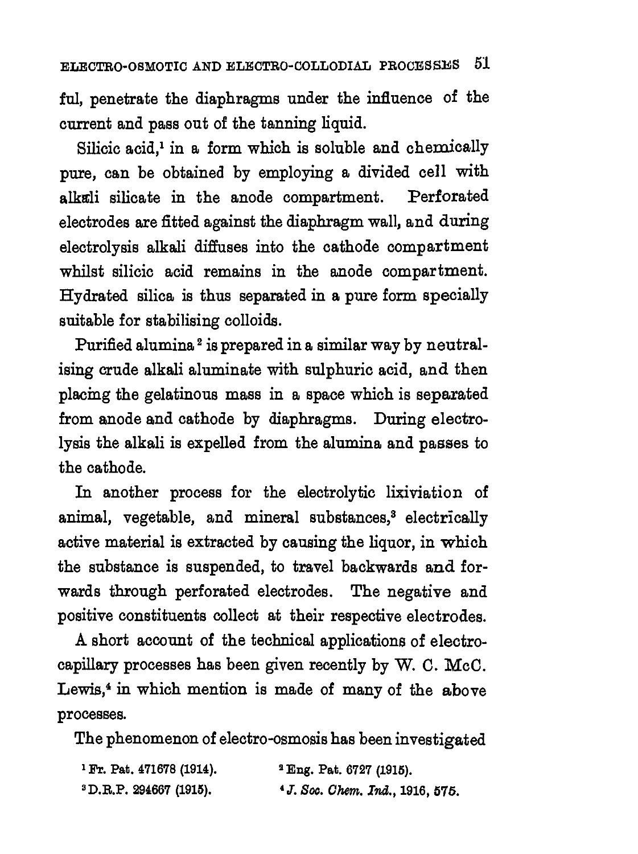ful, penetrate the diaphragms under the influence of the current and pass out of the tanning liquid.

Silicic acid,<sup>1</sup> in a form which is soluble and chemically pure, can be obtained by employing a divided cell with alkali silicate in the anode compartment. Perforated electrodes are fitted against the diaphragm wall, and during electrolysis alkali diffuses into the cathode compartment whilst silicic acid remains in the anode compartment. Hydrated silica is thus separated in a pure form specially suitable for stabilising colloids.

Purified alumina<sup>2</sup> is prepared in a similar way by neutralising crude alkali aluminate with sulphuric acid, and then placing the gelatinous mass in a space which is separated from anode and cathode by diaphragms. During electrolysis the alkali is expelled from the alumina and passes to the cathode.

In another process for the electrolytic lixiviation of animal, vegetable, and mineral substances,<sup>3</sup> electrically active material is extracted by causing the liquor, in which the substance is suspended, to travel backwards and forwards through perforated electrodes. The negative and positive constituents collect at their respective electrodes.

A short account of the technical applications of electrocapillary processes has been given recently by W. C. McC. Lewis,<sup>4</sup> in which mention is made of many of the above processes.

The phenomenon of electro-osmosis has been investigated

| <sup>1</sup> Fr. Pat. 471678 (1914). | <sup>2</sup> Eng. Pat. 6727 (1915).         |
|--------------------------------------|---------------------------------------------|
| $^3$ D.R.P. 294667 (1915).           | <sup>4</sup> J. Soc. Chem. Ind., 1916, 575. |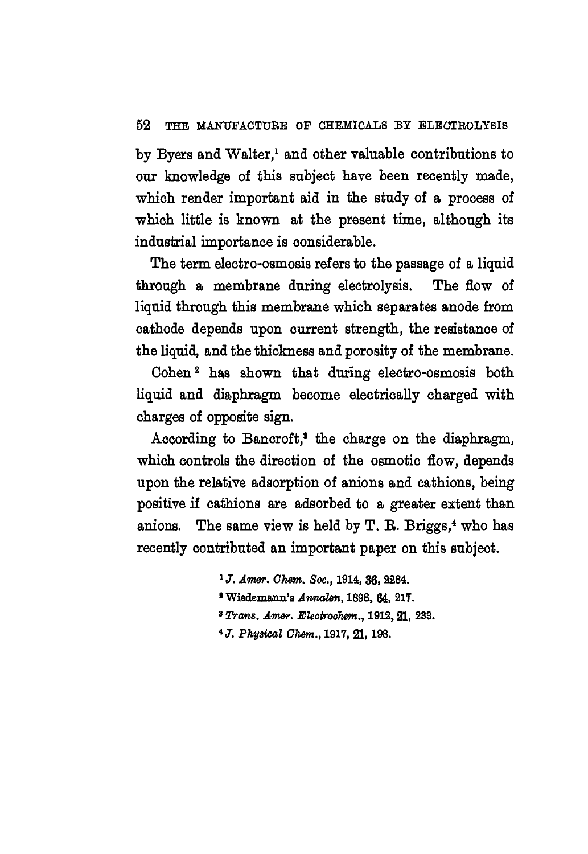by Byers and Walter,<sup>1</sup> and other valuable contributions to our knowledge of this subject have been recently made, which render important aid in the study of a process of which little is known at the present time, although its industrial importance is considerable.

The term electro-osmosis refers to the passage of a liquid through a membrane during electrolysis. The flow of liquid through this membrane which separates anode from cathode depends upon current strength, the resistance of the liquid, and the thickness and porosity of the membrane.

Cohen<sup>2</sup> has shown that during electro-osmosis both liquid and diaphragm become electrically charged with charges of opposite sign.

According to Bancroft,<sup>3</sup> the charge on the diaphragm, which controls the direction of the osmotic flow, depends upon the relative adsorption of anions and cathions, being positive if cathions are adsorbed to a greater extent than anions. The same view is held by T. R. Briggs,<sup>4</sup> who has recently contributed an important paper on this subject.

<sup>1</sup> J. Amer. Chem. Soc., 1914, **36**, 2284.

- 2 Wiedemann's *Awnalen,* 1898, 64, 217.
- 3  *Trans. Amer. EUcfrocfiem.,* 1912,21, 233.
- 4  *J. Physical OJiem.<sup>t</sup>* 1917, 21,198.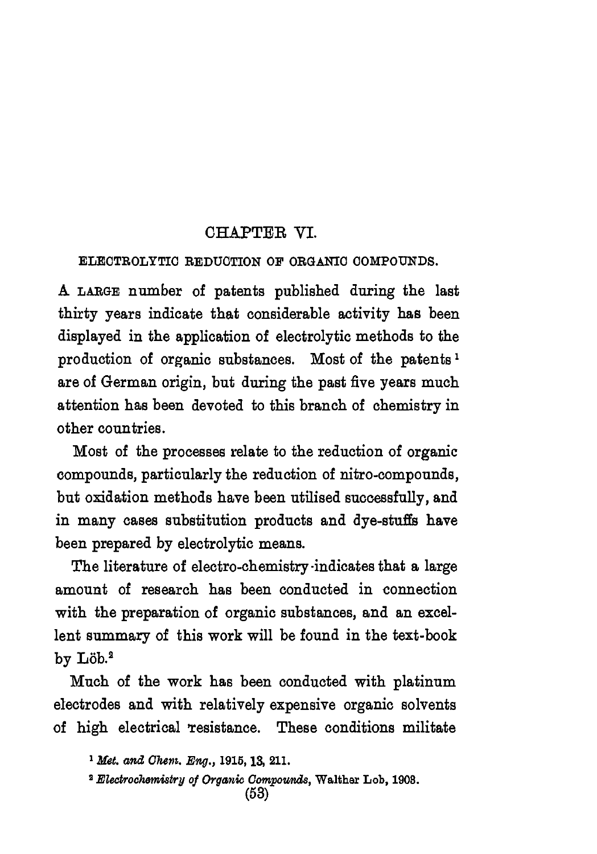# CHAPTER VI.

#### ELECTROLYTIC REDUCTION OF ORGANIC COMPOUNDS.

A LARGE number of patents published during the last thirty years indicate that considerable activity has been displayed in the application of electrolytic methods to the production of organic substances. Most of the patents *<sup>1</sup>* are of German origin, but during the past five years much attention has been devoted to this branch of chemistry in other countries.

Most of the processes relate to the reduction of organic compounds, particularly the reduction of nitro-compounds, but oxidation methods have been utilised successfully, and in many cases substitution products and dye-stuffs have been prepared by electrolytic means.

The literature of electro-chemistry-indicates that a large amount of research has been conducted in connection with the preparation of organic substances, and an excellent summary of this work will be found in the text-book  $by$  Löb.<sup>2</sup>

Much of the work has been conducted with platinum electrodes and with relatively expensive organic solvents of high electrical 'resistance. These conditions militate

<sup>&</sup>lt;sup>1</sup> Met. and Chem. Eng., 1915, **13**, 211.

<sup>3</sup>  *Electrochemistry of Organic Compounds,* Walther Lob, 1903.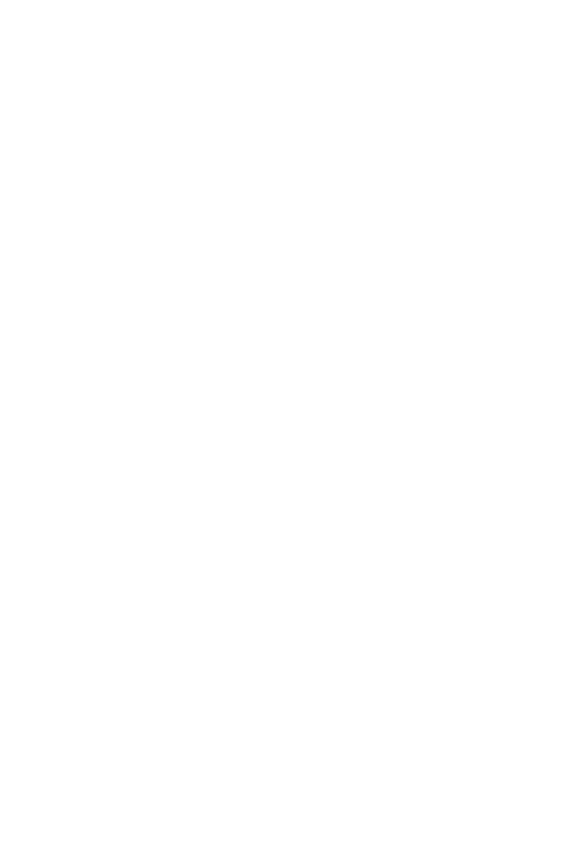against the utilisation of the methods in industrial chemistry, but fortunately it is possible to dispense with platinum in most cases, and an aqueous emulsion of an organic compound can be reduced efficiently, provided the electrolyte be thoroughly stirred during the process. Such aqueous electrolytes are good conductors, and by excluding organic solvents the electrical energy costs can be reduced to the dimensions of commercial requirements.

# THE REDUCTION OF NITRO-COMPOUNDS.

When reduced by electrolysis, nitrobenzene and its homologues yield the same products as may be obtained by the various chemical methods of reduction. Aniline, azobenzene, azoxybenzene, hydrazobenzene, and  $p$ -aminophenol, as well as phenylhydroxylamine, can thus be obtained from nitrobenzene, and most, if not all, of these products could be prepared satisfactorily on an industrial scale by electrolysis, by adjusting the manner of working so that economy of energy is combined with maximum yields. Many of these products demand a comparatively high price, so that low power cost is not so important in this class of manufacture as high percentage yields.

In concentrated sulphuric acid solution, Gattermann<sup>1</sup> and his co-workers have shown that with platinum cathodes aminohydroxy-bodies result. With diaphragm cells in which the cathode compartment is separated from the anode, they found that all nitro-compounds in which the

*<sup>l</sup>Ber.<sup>t</sup>* 1893, 26,1844, 2810; 1894, 27,1927.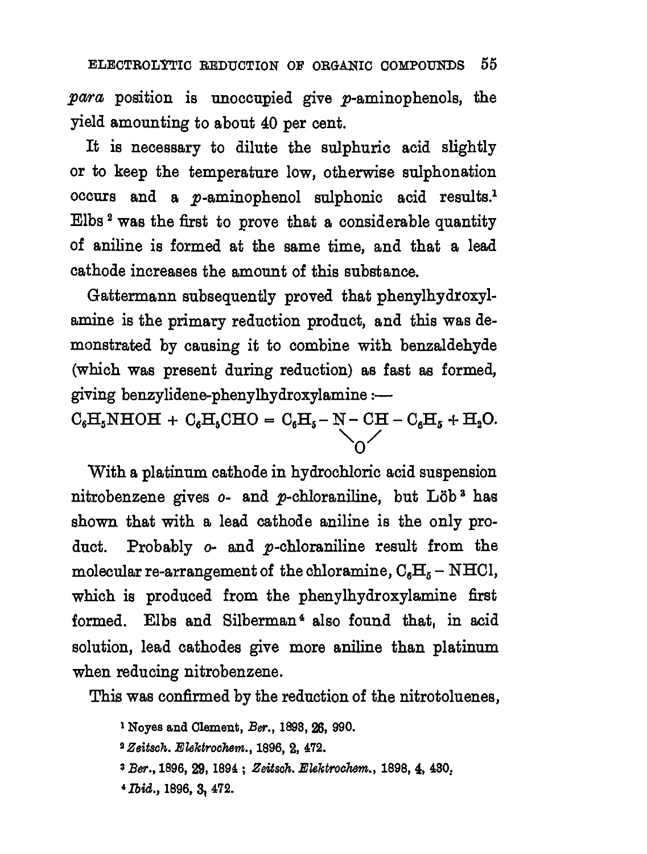*para* position is unoccupied give *p*-aminophenols, the yield amounting to about 40 per cent.

It is necessary to dilute the sulphuric acid slightly or to keep the temperature low, otherwise sulphonation occurs and a  $p$ -aminophenol sulphonic acid results.<sup>1</sup> Elbs <sup>2</sup> was the first to prove that a considerable quantity of aniline is formed at the same time, and that a lead cathode increases the amount of this substance.

Gattermann subsequently proved that phenylhydroxylamine is the primary reduction product, and this was demonstrated by causing it to combine with benzaldehyde (which was present during reduction) as fast as formed, giving benzylidene-phenylhydroxylamine:—

 $\text{C}_6\text{H}_5\text{NHOH} + \text{C}_6\text{H}_5\text{CHO} = \text{C}_6\text{H}_5 - \text{N} - \text{CH} - \text{C}_6\text{H}_5 + \text{H}_2\text{O}.$  $\int$   $\$  $\int$ 

With a platinum cathode in hydrochloric acid suspension nitrobenzene gives  $o$ - and  $p$ -chloraniline, but Löb<sup>3</sup> has shown that with a lead cathode aniline is the only product. Probably  $o$ - and  $p$ -chloraniline result from the molecular re-arrangement of the chloramine,  $C_6H_6 - NHC1$ , which is produced from the phenylhydroxylamine first formed. Elbs and Silberman<sup>4</sup> also found that, in acid solution, lead cathodes give more aniline than platinum when reducing nitrobenzene.

This was confirmed by the reduction of the nitrotoluenes,

1 Noyes and Clement, *Ber.,* 1893, 26, 990.

<sup>2</sup> Zeitsch. Elektrochem., 1896, 2, 472.

- 3 *Ber.9*1896, 29,1894 ; *Zeitsoh. Elektrochm.,* 1898, 4, 430.
- *bid.*, 1896, 3, 472.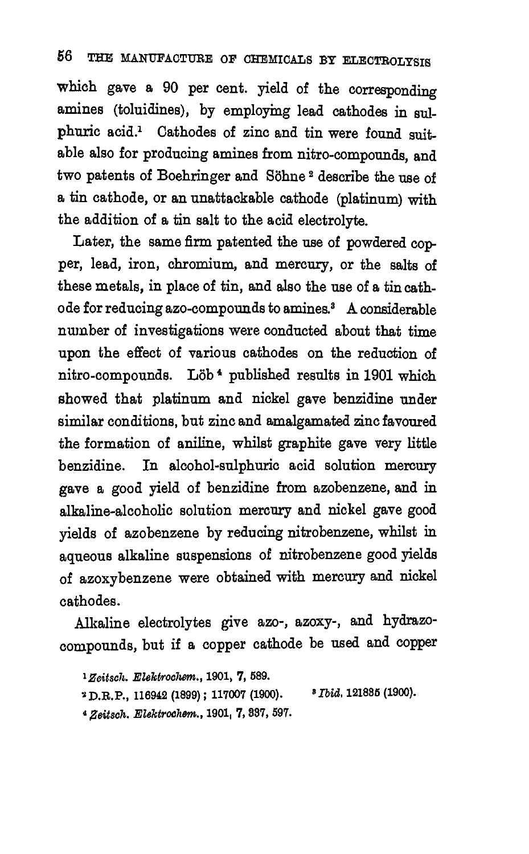which gave a 90 per cent. yield of the corresponding amines (toluidines), by employing lead cathodes in sulphuric acid.<sup>1</sup> Cathodes of zinc and tin were found suitable also for producing amines from nitro-compounds, and two patents of Boehringer and Söhne<sup>2</sup> describe the use of a tin cathode, or an unattackable cathode (platinum) with the addition of a tin salt to the acid electrolyte.

Later, the same firm patented the use of powdered copper, lead, iron, chromium, and mercury, or the salts of these metals, in place of tin, and also the use of a tin cath- $\rm ode$  for reducing azo-compounds to amines. $^3$   $\,$   $\rm A$  considerable number of investigations were conducted about that time upon the effect of various cathodes on the reduction of nitro-compounds. Löb<sup>4</sup> published results in 1901 which showed that platinum and nickel gave benzidine under similar conditions, but zinc and amalgamated zinc favoured the formation of aniline, whilst graphite gave very little benzidine. In alcohol-sulphuric acid solution mercury gave a good yield of benzidine from azobenzene, and in alkaline-alcoholic solution mercury and nickel gave good yields of azobenzene by reducing nitrobenzene, whilst in aqueous alkaline suspensions of nitrobenzene good yields of azoxybenzene were obtained with mercury and nickel cathodes.

Alkaline electrolytes give azo-, azoxy-, and hydrazoconipounds, but if a copper cathode be used and copper

*\*Zeitsc7i. EUkfrochem.,* 1901, 7, 589. «D.B.P., 116942 (1899); 117007 (1900). *\*Ibid.* 121835 (1900).

*h. Elehtrochem.,* 1901, 7, 337, 597.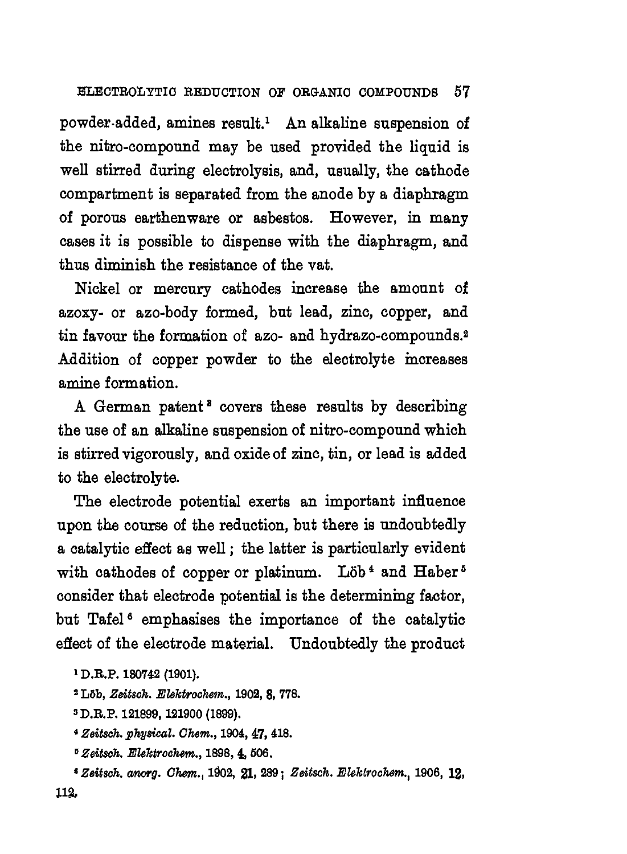#### BLBCTEOliYTIO BEBTJCTION OF OBGANIC COMPOUNDS 57

powder-added, amines result.<sup>1</sup> An alkaline suspension of the nitro-compound may be used provided the liquid is well stirred during electrolysis, and, usually, the cathode compartment is separated from the anode by a diaphragm of porous earthenware or asbestos. However, in many cases it is possible to dispense with the diaphragm, and thus diminish the resistance of the vat.

Nickel or mercury cathodes increase the amount of azoxy- or azo-body formed, but lead, zinc, copper, and tin favour the formation of azo- and hydrazo-compounds.<sup>2</sup> Addition of copper powder to the electrolyte increases amine formation.

A German patent<sup>3</sup> covers these results by describing the use of an alkaline suspension of nitro-compound which is stirred vigorously, and oxide of zinc, tin, or lead is added to the electrolyte.

The electrode potential exerts an important influence upon the course of the reduction, but there is undoubtedly a catalytic effect as well; the latter is particularly evident with cathodes of copper or platinum. Löb<sup>4</sup> and Haber<sup>5</sup> consider that electrode potential is the determining factor, but Tafel<sup>6</sup> emphasises the importance of the catalytic effect of the electrode material. Undoubtedly the product

<sup>1</sup> D.R.P. 180742 (1901).

2 Lob, *Zeitsch. Elelctrochem.,* 1902, 8, 778.

<sup>3</sup>D.E.P. 121899,121900 (1899).

4  *Zeitsch. physical. Chem.,* 1904, 47, 418.

<sup>5</sup> Zeitsch. Elektrochem., 1898, **4,** 506.

6  *Zeitsch. amrg. Chem.,* 1002, 21> 289; *Zeitsch. Elektrochem^* 1906, 12,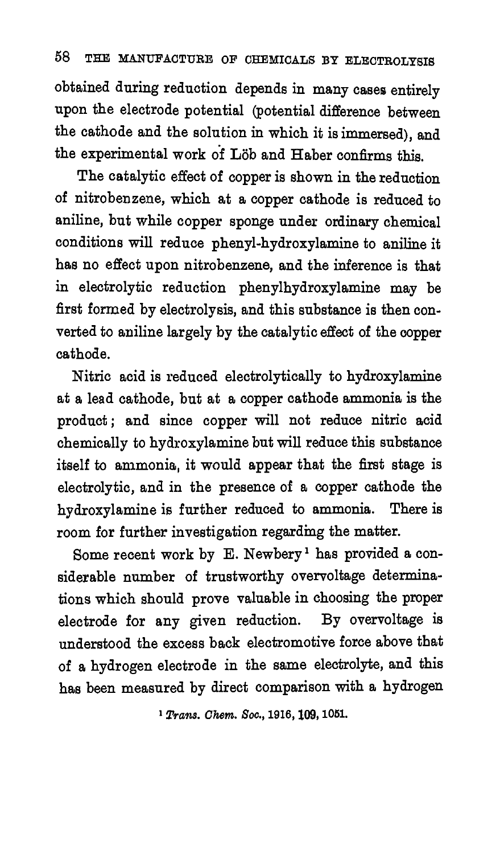obtained during reduction depends in many cases entirely upon the electrode potential (potential difference between the cathode and the solution in which it is immersed), and the experimental work of Löb and Haber confirms this.

The catalytic effect of copper is shown in the reduction of nitrobenzene, which at a copper cathode is reduced to aniline, but while copper sponge under ordinary chemical conditions will reduce phenyl-hydroxylamine to aniline it has no effect upon nitrobenzene, and the inference is that in electrolytic reduction phenylhydroxylamine may be first formed by electrolysis, and this substance is then converted to aniline largely by the catalytic effect of the copper cathode.

Nitric acid is reduced electrolytically to hydroxylamine at a lead cathode, but at a copper cathode ammonia is the product; and since copper will not reduce nitric acid chemically to hydroxylamine but will reduce this substance itself to ammonia, it would appear that the first stage is electrolytic, and in the presence of a copper cathode the hydroxylamine is further reduced to ammonia. There is room for further investigation regarding the matter.

Some recent work by  $E$ . Newbery<sup>1</sup> has provided a considerable number of trustworthy overvoltage determinations which should prove valuable in choosing the proper electrode for any given reduction. By overvoltage is understood the excess back electromotive force above that of a hydrogen electrode in the same electrolyte, and this has been measured by direct comparison with a hydrogen

<sup>1</sup> Trans. Chem. Soc., 1916, **109**, 1051.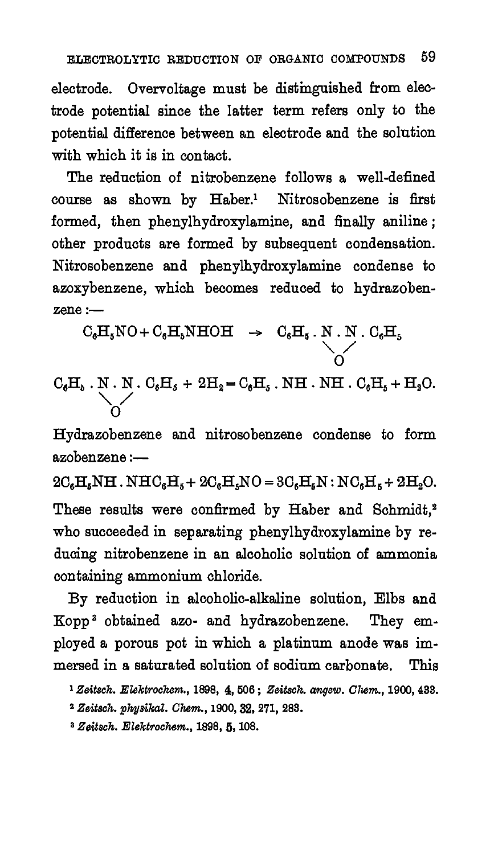electrode. Overvoltage must be distinguished from electrode potential since the latter term refers only to the potential difference between an electrode and the solution with which it is in contact.

The reduction of nitrobenzene follows a well-defined course as shown by Haber.<sup>1</sup> Nitrosobenzene is first formed, then phenylhydroxylamine, and finally aniline; other products are formed by subsequent condensation. Nitrosobenzene and phenylhydroxylamine condense to azoxybenzene, which becomes reduced to hydrazobenzene:—

 $\mathrm{C}_6\mathrm{H}_5\mathrm{NO} + \mathrm{C}_6\mathrm{H}_5\mathrm{NHOH} \rightarrow \mathrm{C}_6\mathrm{H}_5$  . N . N .  $\mathrm{C}_6\mathrm{H}_5$  $\searrow$  $\overline{C}$ 

 $\rm C_6H_5$  . N . N .  $\rm C_6H_5 + 2H_2 = C_6H_5$  . NH . NH .  $\rm C_6H_5 + H_2O$ .  $\searrow$ 

 $\check{\phantom{a}}$ Hydrazobenzene and nitrosobenzene condense to form  $\sum_{i=1}^{n}$ 

 $2C_6H_5NH$ . NHC $_6H_5 + 2C_6H_5NO = 3C_6H_5N$ : NC $_6H_5 + 2H_2O$ .

These results were confirmed by Haber and Schmidt,<sup>2</sup> who succeeded in separating phenylhydroxylamine by reducing nitrobenzene in an alcoholic solution of ammonia containing ammonium chloride.

By reduction in alcoholic-alkaline solution, Elbs and Kopp<sup>3</sup> obtained azo- and hydrazobenzene. They employed a porous pot in which a platinum anode was immersed in a saturated solution of sodium carbonate. This

<sup>&</sup>lt;sup>1</sup> Zeitsch. Elektrochem., 1898, 4, 506 ; Zeitsch. angew. Chem., 1900, 433.

*<sup>2</sup> JZeitsch. ptvysikal. Chem.,* 1900, 32, 271, 283.

<sup>3</sup>  *Zeitsch. Elehtroehem.,* 1898, 5,108.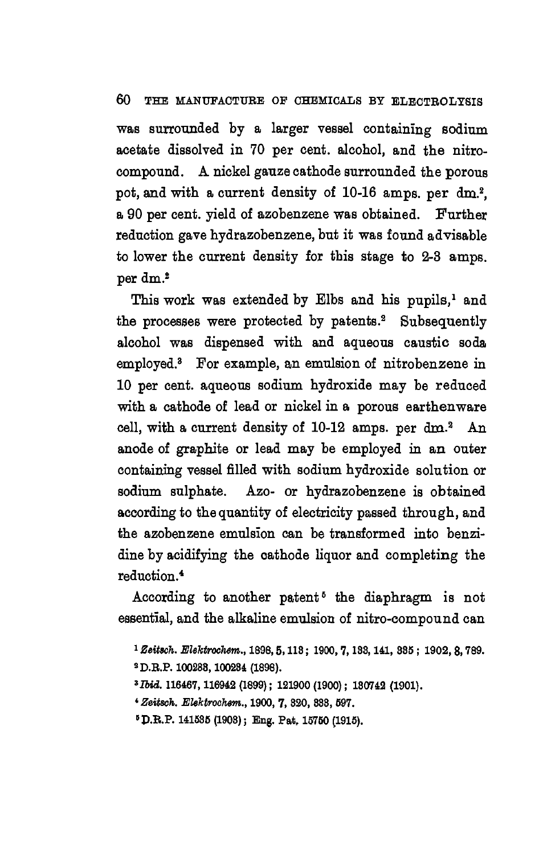was surrounded by a larger vessel containing sodium acetate dissolved in 70 per cent, alcohol, and the nitrocompound. A nickel gauze cathode surrounded the porous pot, and with a current density of 10-16 amps. per dm.<sup>2</sup>, a 90 per cent, yield of azobenzene was obtained. Further reduction gave hydrazobenzene, but it was found advisable to lower the current density for this stage to 2-3 amps, per dm.<sup>2</sup>

This work was extended by Elbs and his pupils,<sup>1</sup> and the processes were protected by patents.<sup>2</sup> Subsequently alcohol was dispensed with and aqueous caustic soda employed.<sup>3</sup> For example, an emulsion of nitrobenzene in 10 per cent, aqueous sodium hydroxide may be reduced with a cathode of lead or nickel in a porous earthenware cell, with a current density of 10-12 amps. per dm.<sup>2</sup> An anode of graphite or lead may be employed in an outer containing vessel filled with sodium hydroxide solution or sodium sulphate. Azo- or hydrazobenzene is obtained according to the quantity of electricity passed through, and the azobenzene emulsion can be transformed into benzidine by acidifying the cathode liquor and completing the reduction.<sup>4</sup>

According to another patent<sup>5</sup> the diaphragm is not essential, and the alkaline emulsion of nitro-compound can

- *\*Ibid.* 116467,116942 (1899); 121900 (1900); 130742 (1901).
- *tZeitscK. EUktroch&m.,* 1900, 7, 320, 333, 597.
- 5 P.B.P. 141535 (1903) j Eng. Pat, 15750 (1915),

<sup>&</sup>lt;sup>1</sup> Zeitsch. Elektrochem., 1898, 5, 113; 1900, 7, 133, 141, 335; 1902, 8, 789. <sup>a</sup>D.B.P. 100233,100234 (1898).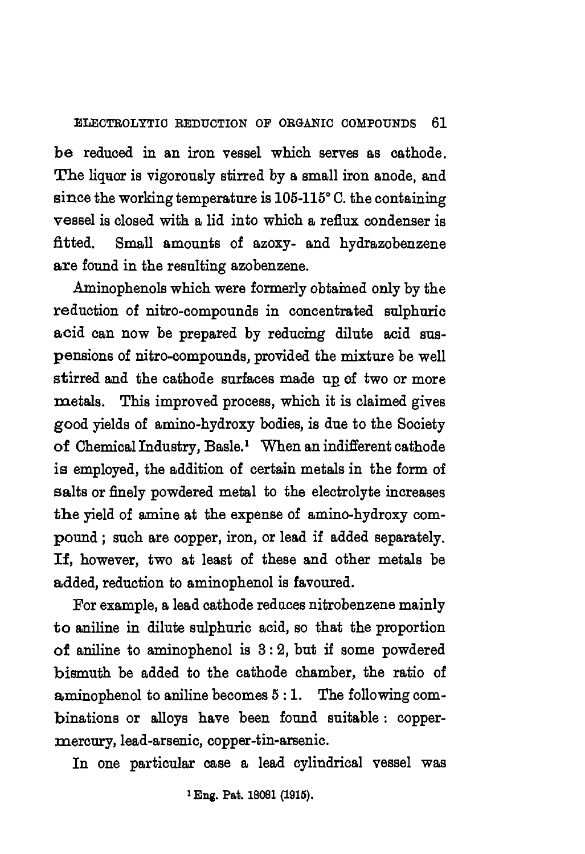#### ELECTROLYTIC REDUCTION OF ORGANIC COMPOUNDS 61

be reduced in an iron vessel which serves as cathode. The liquor is vigorously stirred by a small iron anode, and since the working temperature is 105-115° 0. the containing vessel is closed with a lid into which a reflux condenser is fitted. Small amounts of azoxy- and hydrazobenzene are found in the resulting azobenzene.

Aminophenols which were formerly obtained only by the reduction of nitro-compounds in concentrated sulphuric acid can now be prepared by reducing dilute acid suspensions of nitro-compounds, provided the mixture be well stirred and the cathode surfaces made up of two or more metals. This improved process, which it is claimed gives good yields of amino-hydroxy bodies, is due to the Society of Chemical Industry, Basle.<sup>1</sup> When an indifferent cathode is employed, the addition of certain metals in the form of salts or finely powdered metal to the electrolyte increases the yield of amine at the expense of amino-hydroxy compound ; such are copper, iron, or lead if added separately. If, however, two at least of these and other metals be added, reduction to aminophenol is favoured.

For example, a lead cathode reduces nitrobenzene mainly to aniline in dilute sulphuric acid, so that the proportion of aniline to aminophenol is  $3:2$ , but if some powdered bismuth be added to the cathode chamber, the ratio of aminophenol to aniline becomes  $5:1$ . The following combinations or alloys have been found suitable: coppermercury, lead-arsenic, copper-tin-arsenic.

In one particular case a lead cylindrical vessel was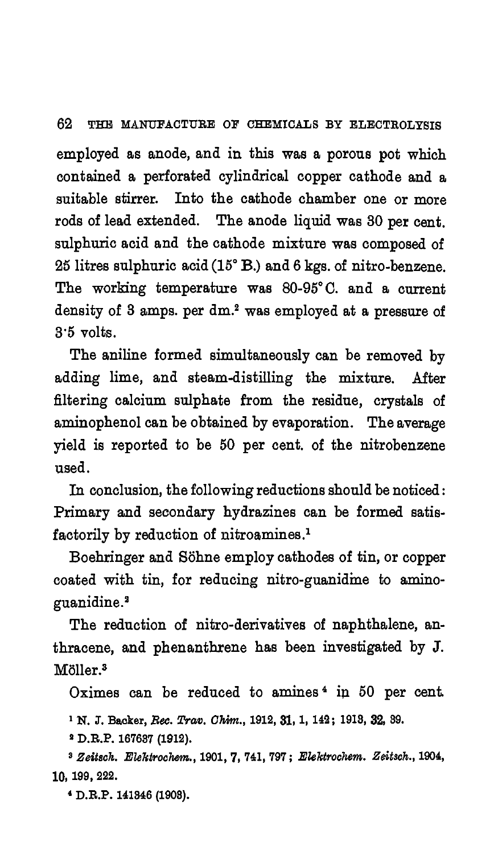62 THE MANUFACTURE OF CHEMICALS BY ELECTROLYSIS

employed as anode, and in this was a porous pot which contained a perforated cylindrical copper cathode and a suitable stirrer. Into the cathode chamber one or more rods of lead extended. The anode liquid was 30 per cent, sulphuric acid and the cathode mixture was composed of 25 litres sulphuric acid (15° B.) and 6 kgs. of nitro-benzene. The working temperature was 80-95° C. and a current density of 3 amps. per dm.<sup>2</sup> was employed at a pressure of 3'5 volts.

The aniline formed simultaneously can be removed by adding lime, and steam-distilling the mixture. After filtering calcium sulphate from the residue, crystals of aminophenol can be obtained by evaporation. The average yield is reported to be 50 per cent, of the nitrobenzene used.

In conclusion, the following reductions should be noticed: Primary and secondary hydrazines can be formed satisfactorily by reduction of nitroamines.<sup>1</sup>

Boehringer and Sohne employ cathodes of tin, or copper coated with tin, for reducing nitro-guanidine to aminoguanidine.<sup>2</sup>

The reduction of nitro-derivatives of naphthalene, anthracene, and phenanthrene has been investigated by J. Möller.<sup>3</sup>

Oximes can be reduced to amines<sup>4</sup> in 50 per cent.

1 N. J. Baoker, *Bee. Trav. Chim.,* 1912, 31,1, 142; 1913, 32, 89.

2 D.E.P. 167637 (1912).

3  *Zeitsch. EleJstrochem.,* 1901, 7, 741, 797; *EUUrochem. Zeitsch.,* 1904, 10, 199, 222.

4 D.B.P. 141346 (1903).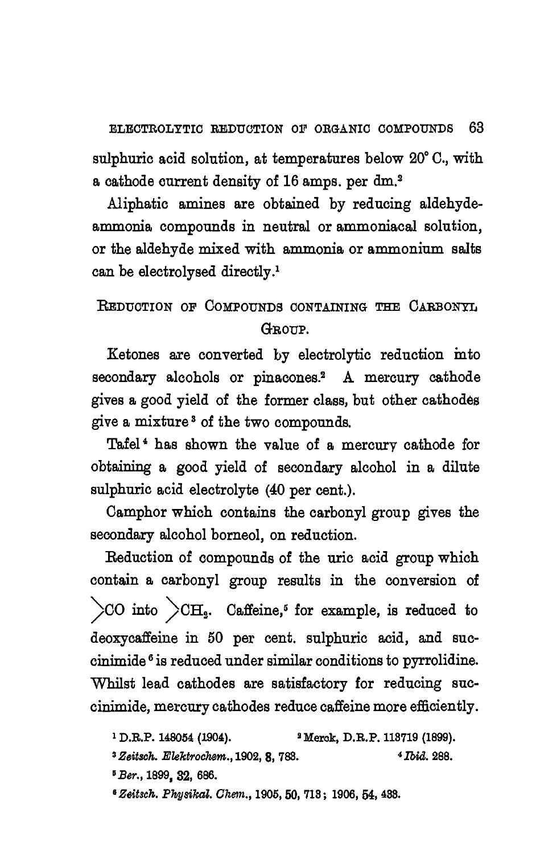ELBGTKOLYTIO KEDUCTION OF ORGANIC COMPOUNDS 63 sulphuric acid solution, at temperatures below 20°C, with a cathode current density of 16 amps, per dm.<sup>2</sup>

Aliphatic amines are obtained by reducing aldehydeammonia compounds in neutral or ammoniacal solution, or the aldehyde mixed with ammonia or ammonium salts can be electrolysed directly.<sup>1</sup>

BEDUOTION OF COMPOUNDS CONTAINING THE CAEBONTL GROUP.

Ketones are converted by electrolytic reduction into secondary alcohols or pinacones.<sup>2</sup> A mercury cathode gives a good yield of the former class, but other cathodes give a mixture <sup>3</sup> of the two compounds.

Tafel<sup>4</sup> has shown the value of a mercury cathode for obtaining a good yield of secondary alcohol in a dilute sulphuric acid electrolyte (40 per cent.).

Camphor which contains the carbonyl group gives the secondary alcohol borneol, on reduction.

Eeduction of compounds of the uric acid group which contain a carbonyl group results in the conversion of  $\angle$ CO into  $\angle$ CH<sub>2</sub>. Caffeine,<sup>5</sup> for example, is reduced to deoxycaffeine in 50 per cent, sulphuric acid, and suc $c$ inimide $6$  is reduced under similar conditions to pyrrolidine. Whilst lead cathodes are satisfactory for reducing succinimide, mercury cathodes reduce caffeine more efficiently.

i D.R.P. 148054 (1904). <sup>2</sup> Merck, D.R.P. 113719 (1899).

<sup>3</sup>  *Zeitsch. BUUrochemn* 1902, 8, 783. <sup>4</sup> *Ibid.* 288.

<sup>&</sup>lt;sup>5</sup> Ber., 1899, 32, 686.

*<sup>\*</sup>Zeitsch. Physihal Chem.,* 1905, 50, 713; 1906, 54, 433.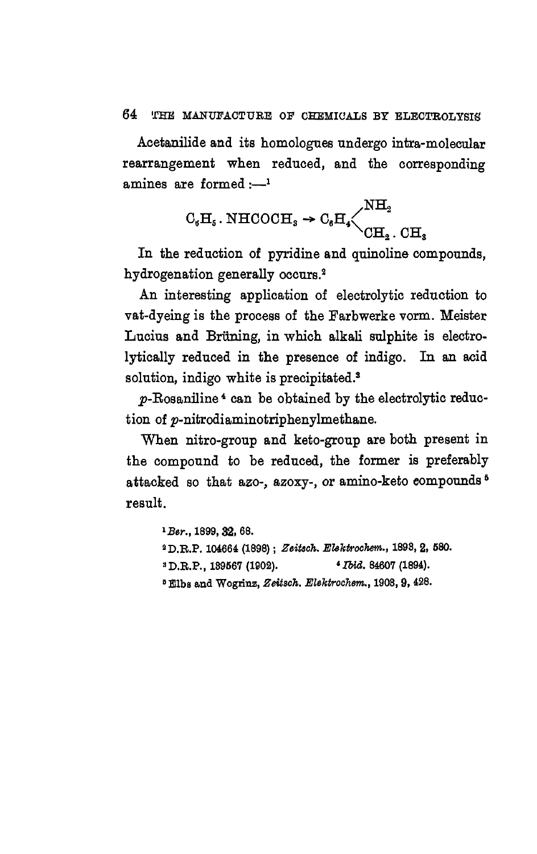## 64 THE MANTJFACTUEE OF CHEMICALS BY ELECTBOLYSIS

Acetanilide and its homologues undergo intra-molecular rearrangement when reduced, and the corresponding amines are formed  $:$ -1

$$
C_{6}H_{6}. NHCOCH_{3} \rightarrow C_{6}H_{4} \diagdown_{CH_{2}. CH_{3}}^{NH_{2}}
$$

In the reduction of pyridine and quinoline compounds, hydrogenation generally occurs.<sup>2</sup>

An interesting application of electrolytic reduction to vat-dyeing is the process of the Farbwerke vorm. Meister Lucius and Brüning, in which alkali sulphite is electrolytically reduced in the presence of indigo. In an acid solution, indigo white is precipitated.<sup>3</sup>

 $p$ -Rosaniline<sup>4</sup> can be obtained by the electrolytic reduc- $\mathbf{r}$  -can be obtained by the electrolytic reduc-

When nitro-group and keto-group are both present in the compound to be reduced, the former is preferably  $t_{\text{total}}$  and the to be reduced, the former is preferenced, the former is preferably  $\frac{1}{2}$ attacked so that also , azony-, or amino-keto  $\Gamma$ 

```
*Ber., 1899,32, 68.
2D.R.P. 104:664 (1898); Zeitsch. Elekfrochem., 1898, 2, 580.
"D.B.P., 139567 (1902). 'Ibid. 84607 (1894).
<sup>5</sup> Elbs and Wogrinz, Zeitsch. Elektrochem., 1903, 9, 428.
```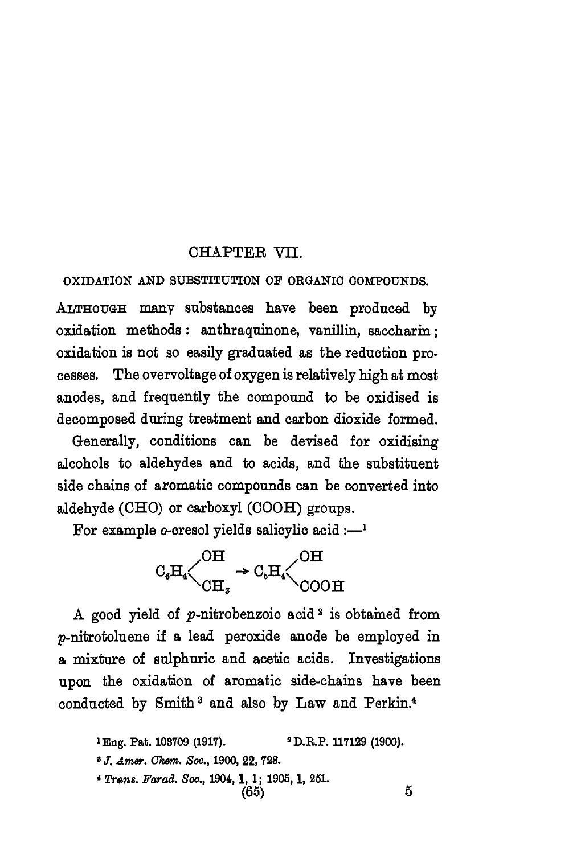## CHAPTEE VII.

OXIDATION AND SUBSTITUTION OF ORGANIC COMPOUNDS.

ALTHOUGH many substances have been produced by oxidation methods: anthraquinone, vanillin, saccharin; oxidation is not so easily graduated as the reduction processes. The overvoltage of oxygen is relatively high at most anodes, and frequently the compound to be oxidised is decomposed during treatment and carbon dioxide formed.

Generally, conditions can be devised for oxidising alcohols to aldehydes and to acids, and the substituent side chains of aromatic compounds can be converted into aldehyde (OHO) or carboxyl (GOOH) groups.

For example o-cresol yields salicylic acid  $:$ 

X)H .OH C6H4<; -> C <sup>6</sup> H <sup>4</sup> ( <sup>X</sup> C H <sup>3</sup> <sup>N</sup> COO H

A good yield of  $p$ -nitrobenzoic acid<sup>2</sup> is obtained from p-nitrotoluene if a lead peroxide anode be employed in a mixture of sulphuric and acetic acids. Investigations upon the oxidation of aromatic side-chains have been conducted by Smith<sup>3</sup> and also by Law and Perkin.<sup>4</sup>

<sup>2</sup>D.B.P. 117129 (1900). <sup>1</sup>Eng. Pat. 103709 (1917). 3  *J. Amer. Ghmi. Soc,* 1900, 22, 723. *\* Trans. Farad. Soc,* 1904,1,1; 1905,1, 251. 5 (65)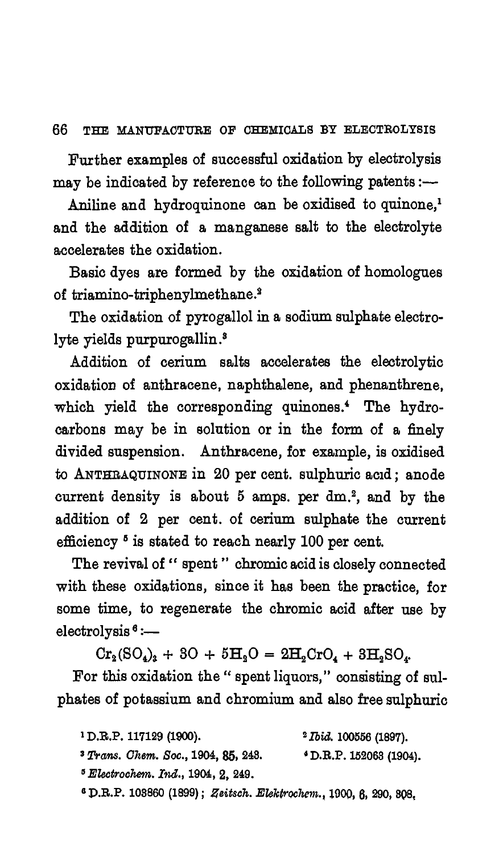### 66 THE MANTTFACTTJEE OF CHEMICALS BY ELECTEOLYSIS

Further examples of successful oxidation by electrolysis may be indicated by reference to the following patents:—

Aniline and hydroquinone can be oxidised to quinone,<sup>1</sup> and the addition of a manganese salt to the electrolyte accelerates the oxidation.

Basic dyes are formed by the oxidation of homologues of triamino-triphenylmethane.<sup>2</sup>

The oxidation of pyrogallol in a sodium sulphate electrolyte yields purpurogallin.<sup>3</sup>

Addition of cerium salts accelerates the electrolytic oxidation of anthracene, naphthalene, and phenanthrene, which yield the corresponding quinones.<sup>4</sup> The hydrocarbons may be in solution or in the form of a finely divided suspension. Anthracene, for example, is oxidised to ANTHBAQUINONE in 20 per cent, sulphuric acid; anode current density is about 5 amps, per dm.<sup>2</sup>, and by the addition of 2 per cent, of cerium sulphate the current efficiency<sup>5</sup> is stated to reach nearly 100 per cent.

The revival of " spent " chromic acid is closely connected with these oxidations, since it has been the practice, for some time, to regenerate the chromic acid after use by electrolysis <sup>6</sup> :—

 $Cr_2(SO_4)_3 + 3O + 5H_2O = 2H_2CrO_4 + 3H_2SO_4.$ 

For this oxidation the " spent liquors," consisting of sulphates of potassium and chromium and also free sulphuric

<sup>c</sup> D.R.P. 103860 (1899); Zeitsch. Elektrochem., 1900, 6, 290, 308,

<sup>1</sup> D.B.P. 117129 (1900). <sup>2</sup> *Ibid.* 100556 (1897).

<sup>3</sup>  *Trans. Chem. Soc,* 1904, 85, 243. <sup>4</sup> D.B.P. 152063 (1904).

<sup>5</sup>  *Electrochem. hid.,* 1904, 2, 249.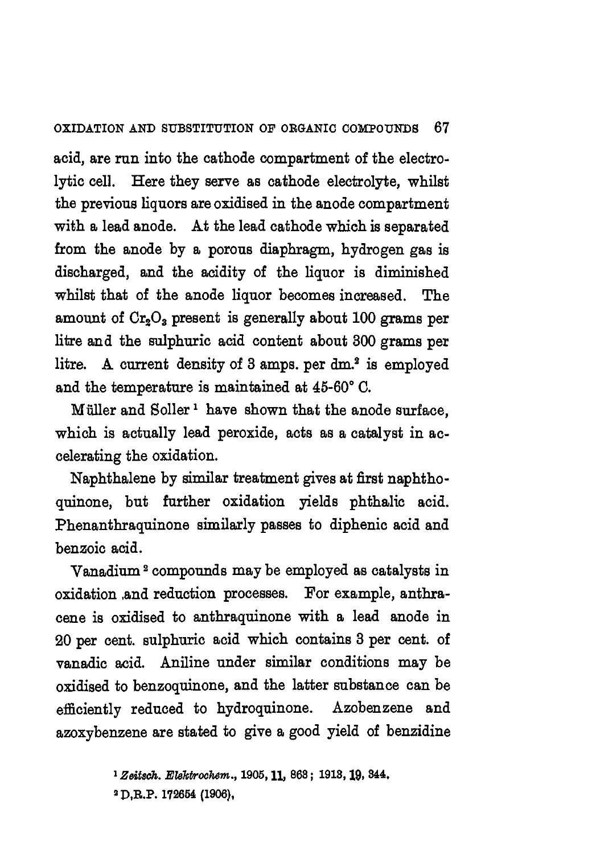acid, are run into the cathode compartment of the electrolytic cell. Here they serve as cathode electrolyte, whilst the previous liquors are oxidised in the anode compartment with a lead anode. At the lead cathode which is separated from the anode by a porous diaphragm, hydrogen gas is discharged, and the acidity of the liquor is diminished whilst that of the anode liquor becomes increased. The amount of  $Cr_2O_3$  present is generally about 100 grams per litre and the sulphuric acid content about 300 grams per litre. A current density of 3 amps. per dm.<sup>2</sup> is employed and the temperature is maintained at 45-60° C.

Miiller and Soller*<sup>l</sup>* have shown that the anode surface, which is actually lead peroxide, acts as a catalyst in accelerating the oxidation.

Naphthalene by similar treatment gives at first naphthoquinone, but further oxidation yields phthalic acid. Phenanthraquinone similarly passes to diphenic acid and benzoic acid.

Vanadium<sup>2</sup> compounds may be employed as catalysts in oxidation ,and reduction processes. For example, anthracene is oxidised to anthraquinone with a lead anode in 20 per cent, sulphuric acid which contains 3 per cent, of vanadic acid. Aniline under similar conditions may be oxidised to benzoquinone, and the latter substance can be efficiently reduced to hydroquinone. Azobenzene and azoxybenzene are stated to give a good yield of benzidine

<sup>1</sup>  *Zeitsch. Elelcfrockem.,* 1905,11, 863; 1913,19, 344, 2 p,K.P. 172654(1906),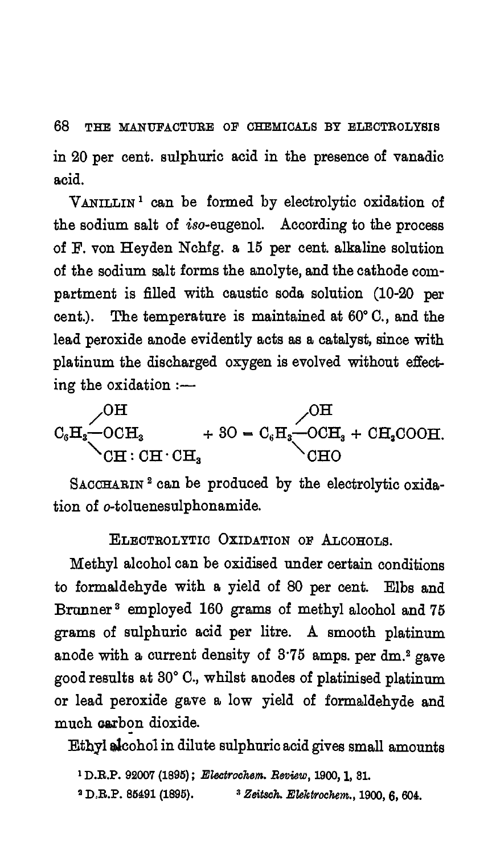68 THE MANUFACTURE OF CHEMICALS BY ELECTROLYSIS in 20 per cent, sulphuric acid in the presence of vanadic acid.

VANILLIN<sup>1</sup> can be formed by electrolytic oxidation of the sodium salt of iso-eugenol. According to the process of F. von Heyden Nchfg. a 15 per cent, alkaline solution of the sodium salt forms the anolyte, and the cathode compartment is filled with caustic soda solution (10-20 per cent.). The temperature is maintained at 60° C, and the lead peroxide anode evidently acts as a catalyst, since with platinum the discharged oxygen is evolved without effecting the oxidation :—

 $\gamma{\rm OH}$  , and  $\gamma{\rm OH}$  $C_6H_3$  - OCH<sub>3</sub> + 30 =  $C_6H_3$  - OCH<sub>3</sub> + CH<sub>3</sub>COOH.

SACCHARIN <sup>2</sup> can be produced by the electrolytic oxidation of o-toluenesulphonamide.

ELECTROLYTIC OXIDATION OF ALCOHOLS.

Methyl alcohol can be oxidised under certain conditions to formaldehyde with a yield of 80 per cent. Elbs and Brunner <sup>3</sup> employed 160 grams of methyl alcohol and 75 grams of sulphuric acid per litre. A smooth platinum anode with a current density of  $3.75$  amps, per dm.<sup>2</sup> gave good results at 30° C, whilst anodes of platinised platinum or lead peroxide gave a low yield of formaldehyde and much oarbon dioxide.

Ethyl alcohol in dilute sulphuric acid gives small amounts

1 D.R.P. 92007 (1895); *Electrochem. Beview,* 1900,1, 81. <sup>2</sup> D.R.P. 85491 (1895). D,RP. 85491 (1895). »*Zeitsch. Elektrochem.,* 1900, 6, 604.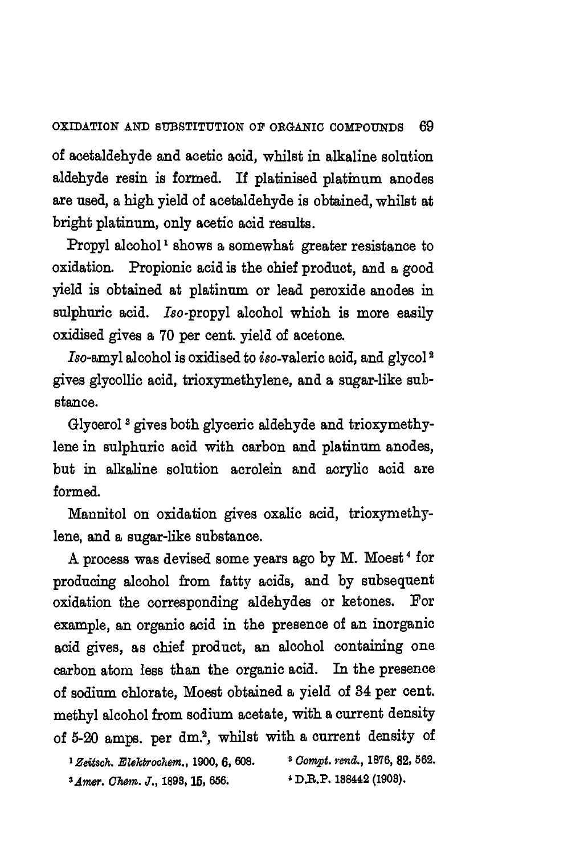of acetaldehyde and acetic acid, whilst in alkaline solution aldehyde resin is formed. If platinised platinum anodes are used, a high yield of acetaldehyde is obtained, whilst at bright platinum, only acetic acid results.

Propyl alcohol<sup>1</sup> shows a somewhat greater resistance to oxidation. Propionic acid is the chief product, and a good yield is obtained at platinum or lead peroxide anodes in sulphuric acid. Iso-propyl alcohol which is more easily oxidised gives a 70 per cent, yield of acetone.

Iso-amyl alcohol is oxidised to *iso~*valeric acid, and glycol<sup>2</sup> gives glycollic acid, trioxymethylene, and a sugar-like substance.

Glycerol<sup>3</sup> gives both glyceric aldehyde and trioxymethylene in sulphuric acid with carbon and platinum anodes, but in alkaline solution acrolein and acrylic acid are formed.

Mannitol on oxidation gives oxalic acid, trioxymethylene, and a sugar-like substance.

A process was devised some years ago by M. Moest<sup>4</sup> for producing alcohol from fatty acids, and by subsequent oxidation the corresponding aldehydes or ketones. For example, an organic acid in the presence of an inorganic acid gives, as chief product, an alcohol containing one carbon atom less than the organic acid. In the presence of sodium chlorate, Moest obtained a yield of 34 per cent, methyl alcohol from sodium acetate, with a current density of 5-20 amps, per dm.<sup>2</sup> , whilst with a current density of

1  *Zeitsch. Elektrochem.,* 1900, 6, 608. *\*Amer. Chem. J.<sup>t</sup>* 1893,15, 656.

<sup>2</sup> *Compt. rend.,* 1876, 82, 562. <sup>4</sup> D.B.P. 138442 (1903).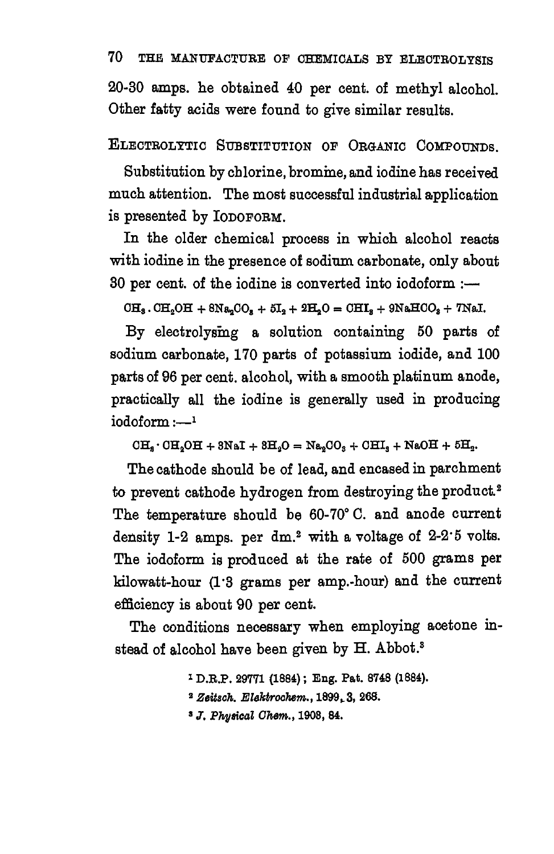70 THE MANUFACTURE OF CHEMICALS BY ELECTROLYSIS

20-30 amps, he obtained 40 per cent, of methyl alcohol. Other fatty acids were found to give similar results.

ELECTROLYTIC SUBSTITUTION OF ORGANIC COMPOUNDS.

Substitution by chlorine, bromine, and iodine has received much attention. The most successful industrial application is presented by IODOFORM.

In the older chemical process in which alcohol reacts with iodine in the presence of sodium carbonate, only about 30 per cent, of the iodine is converted into iodoform :—

 $\text{OH}_3$ .  $\text{OH}_2\text{OH} + 8\text{Na}_2\text{CO}_3 + 5\text{I}_2 + 2\text{H}_2\text{O} = \text{OHI}_3 + 9\text{NaHCO}_3 + 7\text{NaI}.$ 

By electrolysing a solution containing 50 parts of sodium carbonate, 170 parts of potassium iodide, and 100 parts of 96 per cent, alcohol, with a smooth platinum anode, practically all the iodine is generally used in producing iodoform:—*<sup>l</sup>*

 $CH_3 \cdot CH_2OH + 3NaI + 3H_2O = Na_2CO_3 + CHI_3 + NaOH + 5H_2.$ 

The cathode should be of lead, and encased in parchment to prevent cathode hydrogen from destroying the product.<sup>2</sup> The temperature should be 60-70° O. and anode current density 1-2 amps. per dm.<sup>2</sup> with a voltage of  $2-2.5$  volts. The iodoform is produced at the rate of 500 grams per kilowatt-hour (1\*3 grams per amp.-hour) and the current efficiency is about 90 per cent.

The conditions necessary when employing acetone instead of alcohol have been given by H. Abbot.<sup>3</sup>

> <sup>1</sup> D.R.P. 29771 (1884); Eng. Pat. 8748 (1884). 2  *Zeitsch. Elektrockem.,* 1899,.3, 268. s *J% Physical Chem.,* 1903, 84.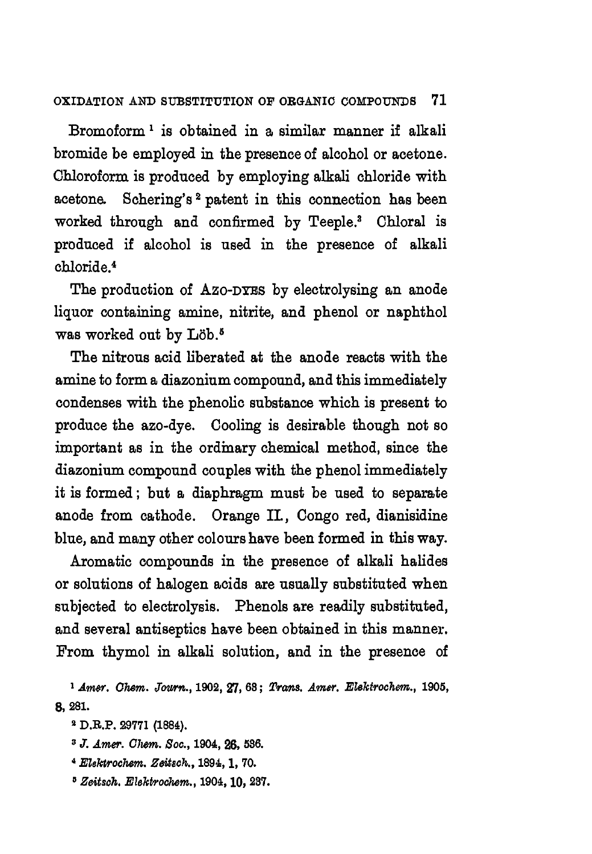#### OXIDATION AND SUBSTITUTION OF OKGANIC COMPOUNDS 71

Bromoform*<sup>l</sup>* is obtained in a similar manner if alkali bromide be employed in the presence of alcohol or acetone. Chloroform is produced by employing alkali chloride with acetone. Schering's<sup>2</sup> patent in this connection has been worked through and confirmed by Teeple.<sup>3</sup> Chloral is produced if alcohol is used in the presence of alkali chloride.<sup>4</sup>

The production of AZO-DYES by electrolysing an anode liquor containing amine, nitrite, and phenol or naphthol was worked out by Löb.<sup>5</sup>

The nitrous acid liberated at the anode reacts with the amine to form a diazonium compound, and this immediately condenses with the phenolic substance which is present to produce the azo-dye. Cooling is desirable though not so important as in the ordinary chemical method, since the diazonium compound couples with the phenol immediately it is formed; but a diaphragm must be used to separate anode from cathode. Orange II., Congo red, dianisidine blue, and many other colours have been formed in this way.

Aromatic compounds in the presence of alkali halides or solutions of halogen acids are usually substituted when subjected to electrolysis. Phenols are readily substituted, and several antiseptics have been obtained in this manner. From thymol in alkali solution, and in the presence of

2 D.R.P. 29771 (1884).

<sup>3</sup> J. Amer. Chem. Soc., 1904, 26, 536.

6  *Zeitsch. Elektrochem.,* 1904,10, 237.

<sup>1</sup>  *Amer. Cham. Jowrn.,* 1902, 27, 63; *Trans, Amer. Etektrochem,,* 1905, 8, 281.

<sup>&</sup>lt;sup>4</sup> Elektrochem. Zeitsch., 1894, **1**, 70.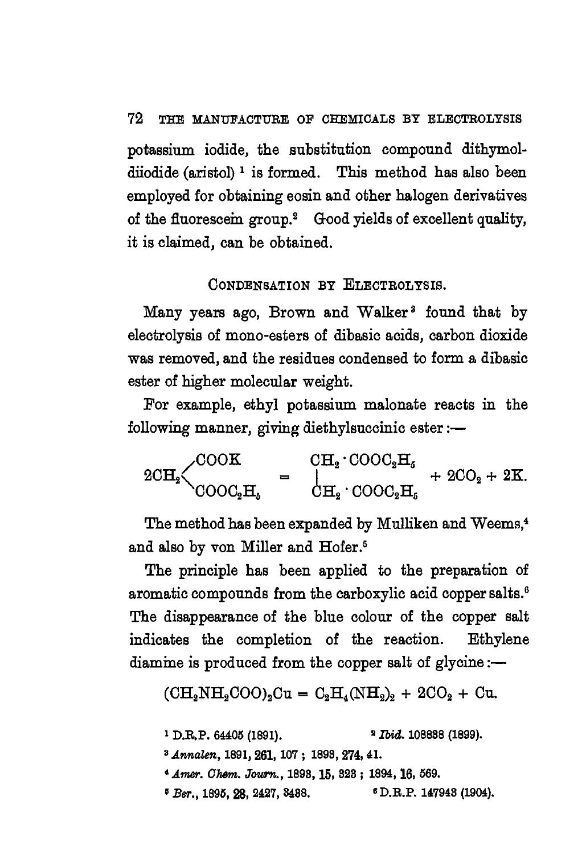72 THE MANUFACTUEE OF CHEMICALS BY ELECTKOLYSIS potassium iodide, the substitution compound dithymoldiiodide (aristol)*<sup>1</sup>* is formed. This method has also been employed for obtaining eosin and other halogen derivatives of the fluorescem group.<sup>2</sup> Good yields of excellent quality, it is claimed, can be obtained.

# CONDENSATION BY ELECTROLYSIS.

Many years ago, Brown and Walker<sup>3</sup> found that by electrolysis of mono-esters of dibasic acids, carbon dioxide was removed, and the residues condensed to form a dibasic ester of higher molecular weight.

For example, ethyl potassium malonate reacts in the following manner, giving diethylsuccinic ester:—

 $\mathrm{C}\mathrm{O}\mathrm{O}\mathrm{C}\mathrm{K}$  change  $\mathrm{CH}_2$   $\cdot$   $\mathrm{CO}\mathrm{O}\mathrm{C}_2\mathrm{H}_5$  $2\text{CH}_2\big\{\begin{array}{r} = \\ - \end{array}\big\}$  +  $2\text{CO}_2 + 2\text{K}$ .  $\text{COOC}_2\text{H}_\text{6}$   $\text{CH}_2 \cdot \text{COOC}_2\text{H}_\text{6}$ 

The method has been expanded by Mulliken and Weems,<sup>4</sup> and also by von Miller and Hofer.<sup>5</sup>

The principle has been applied to the preparation of aromatic compounds from the carboxylic acid copper salts.<sup>6</sup> The disappearance of the blue colour of the copper salt indicates the completion of the reaction. Ethylene diamine is produced from the copper salt of glycine:—

 $(CH_2NH_2COO)_2Cu = C_2H_4(NH_2)_2 + 2CO_2 + Cu.$ 

<sup>1</sup> D.R.P. 64405 (1891). <sup>a</sup> *Ibid.* 108838 (1899).

- 3  *Annalen,* 1891, 261,107 ; 1893, 274, 41.
- *Amer. Chem. Journ.*, 1893, 15, 323; 1894, 16, 569.
- 6  *Ber.,* 1895, 28, 2427, 3488. <sup>6</sup>D.B.P. 147943 (1904).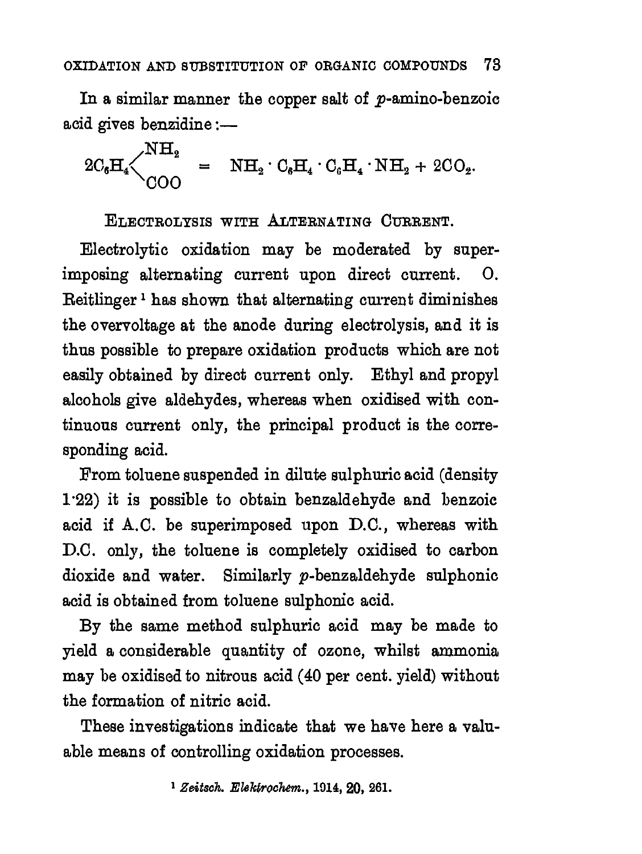### OXIDATION AND SUBSTITUTION OF ORGANIC COMPOUNDS 73

In a similar manner the copper salt of  $p$ -amino-benzoic acid gives benzidine:—

$$
2C_6H_4\begin{pmatrix}NH_2\\COO\end{pmatrix} = NH_2 \cdot C_6H_4 \cdot C_6H_4 \cdot NH_2 + 2CO_2.
$$

ELECTEOLYSIS WITH ALTEBNATING CURBENT.

Electrolytic oxidation may be moderated by superimposing alternating current upon direct current. 0. Eeitlinger*<sup>1</sup>* has shown that alternating current diminishes the overvoltage at the anode during electrolysis, and it is thus possible to prepare oxidation products which are not easily obtained by direct current only. Ethyl and propyl alcohols give aldehydes, whereas when oxidised with continuous current only, the principal product is the corresponding acid.

Prom toluene suspended in dilute sulphuric acid (density 1\*22) it is possible to obtain benzaldehyde and benzoic acid if A.C. be superimposed upon D.C., whereas with D.C. only, the toluene is completely oxidised to carbon dioxide and water. Similarly p-benzaldehyde sulphonic acid is obtained from toluene sulphonic acid.

By the same method sulphuric acid may be made to yield a considerable quantity of ozone, whilst ammonia may be oxidised to nitrous acid (40 per cent, yield) without the formation of nitric acid.

These investigations indicate that we have here a valuable means of controlling oxidation processes.

<sup>1</sup> Zeitsch. Elektrochem., 1914, 20, 261.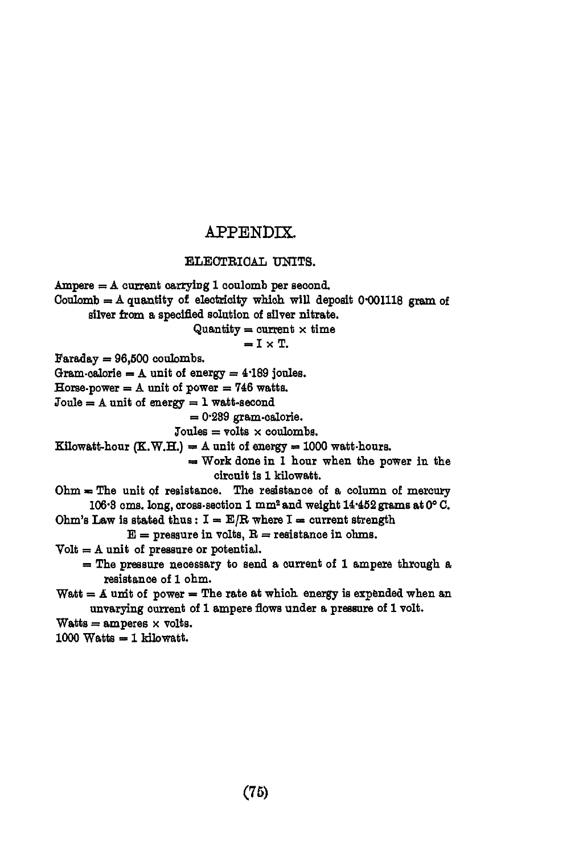## APPENDIX.

#### ELECTRICAL UNITS.

 $Ampere = A current carrying 1 coulomb per second.$ Coulomb  $= A$  quantity of electricity which will deposit 0°001118 gram of silver from a specified solution of silver nitrate.  $\text{Quantity} = \text{current} \times \text{time}$  $= I \times T$ .  $Faraday = 96,500 coulombs.$ Gram-calorie  $= A$  unit of energy  $= 4.189$  joules. Horse-power =  $A$  unit of power = 746 watts.  $Joule = A$  unit of energy  $= 1$  watt-second  $= 0.239$  gram-calorie.  $Joules = volts \times coulombs.$ Kilowatt-hour  $(K.W.H.) = A$  unit of energy = 1000 watt-hours.  $=$  Work done in 1 hour when the power in the circuit is 1 kilowatt.  $Ohm = The unit of resistance. The resistance of a column of mercury$ 106 $\cdot$ 3 cms. long, oross-seotion 1 mm<sup>2</sup> and weight 14:452 grams at 0° C. Ohm's Law is stated thus:  $I = E/R$  where  $I =$  current strength  $E =$  pressure in volts,  $R =$  resistance in ohms.  $Volt = A unit of pressure or potential.$  $=$  The pressure necessary to send a current of 1 ampere through a resistance of 1 ohm. Watt =  $\Delta$  unit of power = The rate at which energy is expended when an unvarying current of 1 ampere flows under a pressure of 1 volt.  $Watts = amperes \times volts.$ 

 $1000$  Watts  $= 1$  kilowatt.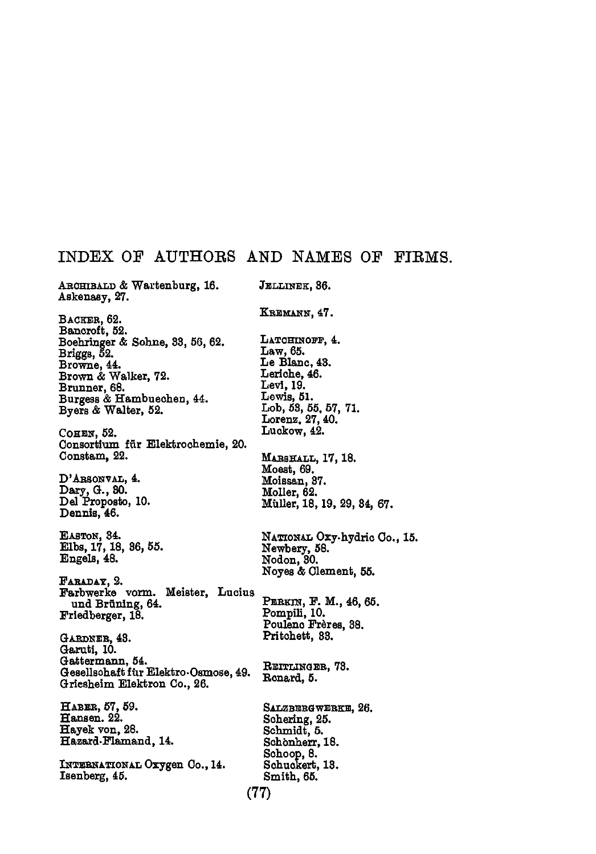#### **INDEX OF AUTHOES AND NAMES OF FTEMS.**

ARCHIBALD & Wartenburg, 16. JELLINEK, 36. Askenasy, 27.

Kremann, 47.

BACKER, 62. Bancroft, 52. Boehringer & Sohne, 33, 56, 62. Briggs, 52. Browne, 44. Brown & Walker, 72. Brunner, 68. Burgess *&* Hambuechen, 44. Byers & Walter, 52.

COHEN, 52. Consortium fur Elektrochemie, 20. Constam, 22.

D'ARSONVAL, 4. Dary, G., 30.<br>Del Proposto, 10. Dennis, 46.

EASTON, 34. Elbs, 17,18, 36, 55. Engels, 48.

FARADAY, 2. Farbwerke vorm. Meister, Lucius und Brüning, 64. Friedberger, 18.

GARDNER, 43. Garuti, 10. Gattermann, 54. Gesellsohaft fur Elektro-Osmose, 49. Griesheim Elektron Co., 26.

HABER, 57, 59. Hansen. 22. Hayek von, 28. Hazard-Flamand, 14.

INTERNATIONAL Oxygen Co., 14. Isenberg, 45.

LATCEINOFF, 4. Law, 65. Le Blanc, 43. Leriche, 46. Levi, 19. Lewis, 51. Lob, 53, 55, 57, 71. Lorenz, 27, 40. Luckow, 42. MARSHALL, 17, 18. Moeat, 69. Moissan, 37. Moller, 62. Muller, 18,19, 29, 34, 67. NATIONAL Oxy-hydric Co., 15. Kewbery, 58. Nodon, 30. Noyes & Clement, 55. PBRKIN, F. M., 46, 65. Pompili, 10. Pouleno Frères, 38. Pritchett, 33. REITLINGER, 73.<br>Ronard, 5. SALZBERGWBRKE, 26. Schering, 25. Schmidt, 5. Schonherr, 18. Schoop, 8. Schuckert, 13. Smith, 65.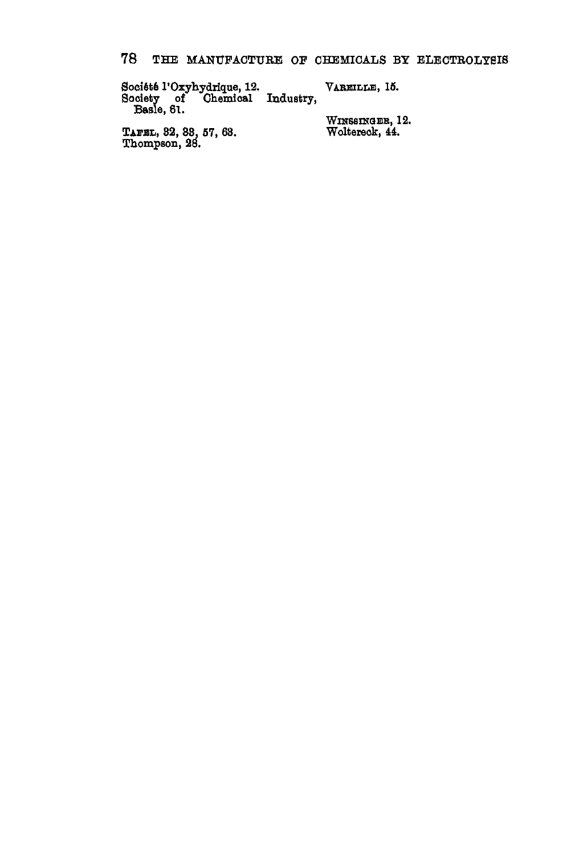78 THE MANUFACTUBB OF CHEMICALS BY ELECTROLYSIS

Société l'Oxyhydrique, 12. (VAREILLE, 15. Society of Chemical Industry, Basle, 61.

TAIPEI., 32, 33, 57, 63. Woltereok, 44. Thompson, 28.

WINSSINGER, 12.<br>Woltereck, 44.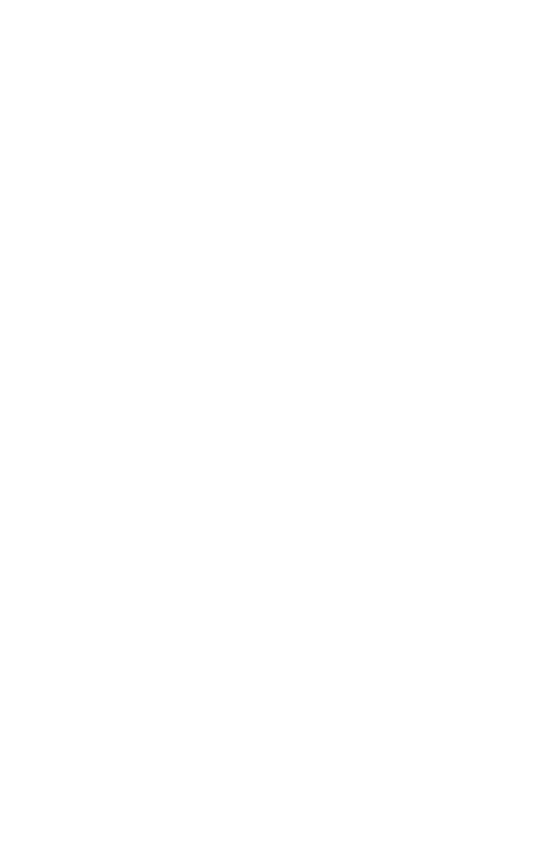# SUBJECT INDEX.

AOETANILIDE, reduction of, 64. Alcohols, oxidation of, 68. Aldehydes, formation of, 68, 69. Alloys, pyrophoric, 47. Alternating current, use of, 16, 73. Alumina, purification of, 51. Aminophenols, formation of, 54, 61. Ammonium persulphate, 19, 21. Aniline, formation of, 55, 61. Anthracene, oxidation of, 66. Anthraquinone, 67. Aromatic side chain, oxidation of, 65. Azo-compounds, formation of, 56, 59, 60. Azo-dyes, production of, 71. Azoxy-compounds, production of, 59. BBNZIDINE, formation of, 56, 60. Bromofonn, formation of, 71. Browne process for white lead, 44. CADMIUM sulphide, formation of,  $42.$ 42. Oarbonyl group, reduction of, 63. Catalytic electrodes, 57, 67. Chloral, formation of, 71. Ohloranilines, formation of, 55. Chloroform, formation of 71, Chrome yellow, precipitation of, 43. Chromic acid, regeneration of, 66. Condensation by electrolysis, 72. Current concentration, 36. DECOMPOSITION voltage, 2. Dehydration by electro-osmosis, 50. Deoxycafieine, formation of, 63. Dibasic esters, formation of, 72. Diazotisation by electrolysis, 71. ELECTRO-OAPILLARY processes, 51. Electrodes of alloy, 27, 61. Electrode potential, 57, 59. Electro-osmosis, 49, 52. FILTER-press cells for electrolysis of water, 5, 15. Fluorine, production of, 87. Fluorine, production of, 57.<br>Formaldehyde, production o Formaldehyde, production of, 68. GARDNER process for white lead, 43. Garuti cell for electrolysis of water, 10. Glue, separation of constituents of, 50. Glycerol, oxidation of, 69. Glycol, oxidation of, 69. HYDRAZINBS, formation of, 62. Hydrazo-compounds, formation of, 59, 60.<br>Hydrogen, electrolytic production of, 2. Hydrogen peroxide, 21. Hydrosulphite, formation of, 35. Hydroxylamine, formation of, 32. INDIGO, reduction of, 64. Iodoform, production of, 70. LANTHANUM, separation of, 46. Lead ohromate, 43. — peroxide, 43. — sulphate, 43. MANGANESE salts, use of, in oxidation, 66.<br>Mannitol, oxidation of, 69. Methyl alcohol, oxidation of, 68. Methyl alcohol, oxidation of, 68. Misoh metall, preparation of, 47. NAPHTHALENE, oxidation of, 67. Nitric acid from peat, production of, 30. Nitrites, formation of, 34. Nitrobenzene, reduction of, 54. Nitro-compounds, reduction of, 54. Nodon's process for making nitric acid,  $30_s$ (79)